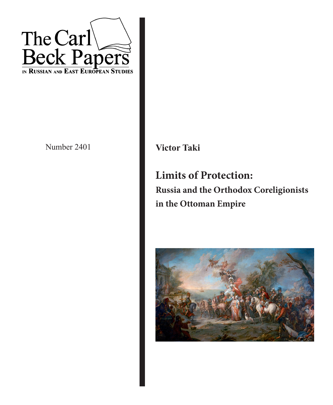

Number 2401 **Victor Taki** 

**Limits of Protection: Russia and the Orthodox Coreligionists in the Ottoman Empire**

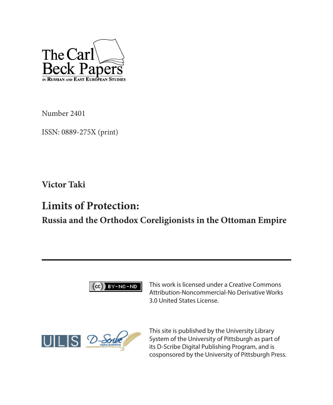

Number 2401

ISSN: 0889-275X (print)

**Victor Taki**

# **Limits of Protection:**

**Russia and the Orthodox Coreligionists in the Ottoman Empire**



This work is licensed under a Creative Commons Attribution-Noncommercial-No Derivative Works 3.0 United States License.



This site is published by the University Library System of the University of Pittsburgh as part of its D-Scribe Digital Publishing Program, and is cosponsored by the University of Pittsburgh Press.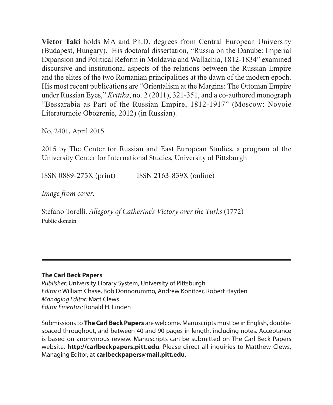**Victor Taki** holds MA and Ph.D. degrees from Central European University (Budapest, Hungary). His doctoral dissertation, "Russia on the Danube: Imperial Expansion and Political Reform in Moldavia and Wallachia, 1812-1834" examined discursive and institutional aspects of the relations between the Russian Empire and the elites of the two Romanian principalities at the dawn of the modern epoch. His most recent publications are "Orientalism at the Margins: The Ottoman Empire under Russian Eyes," *Kritika*, no. 2 (2011), 321-351, and a co-authored monograph "Bessarabia as Part of the Russian Empire, 1812-1917" (Moscow: Novoie Literaturnoie Obozrenie, 2012) (in Russian).

No. 2401, April 2015

2015 by The Center for Russian and East European Studies, a program of the University Center for International Studies, University of Pittsburgh

ISSN 0889-275X (print) ISSN 2163-839X (online)

*Image from cover:* 

Stefano Torelli, *Allegory of Catherine's Victory over the Turks* (1772) Public domain

#### **The Carl Beck Papers**

*Publisher:* University Library System, University of Pittsburgh *Editors:* William Chase, Bob Donnorummo, Andrew Konitzer, Robert Hayden *Managing Editor:* Matt Clews *Editor Emeritus:* Ronald H. Linden

Submissions to **The Carl Beck Papers** are welcome. Manuscripts must be in English, doublespaced throughout, and between 40 and 90 pages in length, including notes. Acceptance is based on anonymous review. Manuscripts can be submitted on The Carl Beck Papers website, **http://carlbeckpapers.pitt.edu**. Please direct all inquiries to Matthew Clews, Managing Editor, at **carlbeckpapers@mail.pitt.edu**.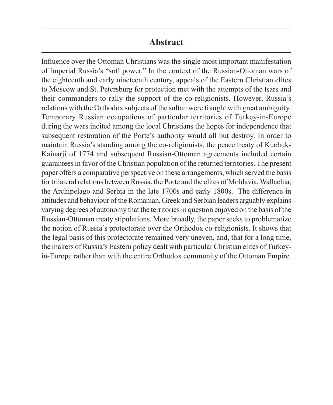#### **Abstract**

Influence over the Ottoman Christians was the single most important manifestation of Imperial Russia's "soft power." In the context of the Russian-Ottoman wars of the eighteenth and early nineteenth century, appeals of the Eastern Christian elites to Moscow and St. Petersburg for protection met with the attempts of the tsars and their commanders to rally the support of the co-religionists. However, Russia's relations with the Orthodox subjects of the sultan were fraught with great ambiguity. Temporary Russian occupations of particular territories of Turkey-in-Europe during the wars incited among the local Christians the hopes for independence that subsequent restoration of the Porte's authority would all but destroy. In order to maintain Russia's standing among the co-religionists, the peace treaty of Kuchuk-Kainarji of 1774 and subsequent Russian-Ottoman agreements included certain guarantees in favor of the Christian population of the returned territories. The present paper offers a comparative perspective on these arrangements, which served the basis for trilateral relations between Russia, the Porte and the elites of Moldavia, Wallachia, the Archipelago and Serbia in the late 1700s and early 1800s. The difference in attitudes and behaviour of the Romanian, Greek and Serbian leaders arguably explains varying degrees of autonomy that the territories in question enjoyed on the basis of the Russian-Ottoman treaty stipulations. More broadly, the paper seeks to problematize the notion of Russia's protectorate over the Orthodox co-religionists. It shows that the legal basis of this protectorate remained very uneven, and, that for a long time, the makers of Russia's Eastern policy dealt with particular Christian elites of Turkeyin-Europe rather than with the entire Orthodox community of the Ottoman Empire.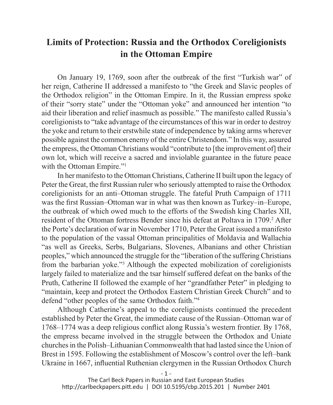## **Limits of Protection: Russia and the Orthodox Coreligionists in the Ottoman Empire**

On January 19, 1769, soon after the outbreak of the first "Turkish war" of her reign, Catherine II addressed a manifesto to "the Greek and Slavic peoples of the Orthodox religion" in the Ottoman Empire. In it, the Russian empress spoke of their "sorry state" under the "Ottoman yoke" and announced her intention "to aid their liberation and relief inasmuch as possible." The manifesto called Russia's coreligionists to "take advantage of the circumstances of this war in order to destroy the yoke and return to their erstwhile state of independence by taking arms wherever possible against the common enemy of the entire Christendom." In this way, assured the empress, the Ottoman Christians would "contribute to [the improvement of] their own lot, which will receive a sacred and inviolable guarantee in the future peace with the Ottoman Empire."<sup>1</sup>

In her manifesto to the Ottoman Christians, Catherine II built upon the legacy of Peter the Great, the first Russian ruler who seriously attempted to raise the Orthodox coreligionists for an anti–Ottoman struggle. The fateful Pruth Campaign of 1711 was the first Russian–Ottoman war in what was then known as Turkey–in–Europe, the outbreak of which owed much to the efforts of the Swedish king Charles XII, resident of the Ottoman fortress Bender since his defeat at Poltava in 1709.<sup>2</sup> After the Porte's declaration of war in November 1710, Peter the Great issued a manifesto to the population of the vassal Ottoman principalities of Moldavia and Wallachia "as well as Greeks, Serbs, Bulgarians, Slovenes, Albanians and other Christian peoples," which announced the struggle for the "liberation of the suffering Christians from the barbarian yoke."3 Although the expected mobilization of coreligionists largely failed to materialize and the tsar himself suffered defeat on the banks of the Pruth, Catherine II followed the example of her "grandfather Peter" in pledging to "maintain, keep and protect the Orthodox Eastern Christian Greek Church" and to defend "other peoples of the same Orthodox faith."4

Although Catherine's appeal to the coreligionists continued the precedent established by Peter the Great, the immediate cause of the Russian–Ottoman war of 1768–1774 was a deep religious conflict along Russia's western frontier. By 1768, the empress became involved in the struggle between the Orthodox and Uniate churches in the Polish–Lithuanian Commonwealth that had lasted since the Union of Brest in 1595. Following the establishment of Moscow's control over the left–bank Ukraine in 1667, influential Ruthenian clergymen in the Russian Orthodox Church

http://carlbeckpapers.pitt.edu | DOI 10.5195/cbp.2015.201 | Number 2401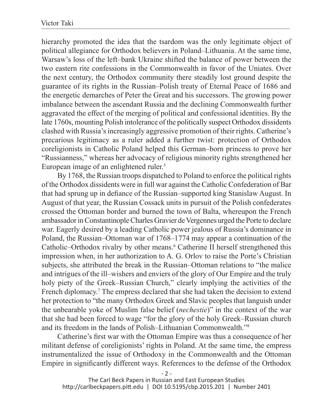hierarchy promoted the idea that the tsardom was the only legitimate object of political allegiance for Orthodox believers in Poland–Lithuania. At the same time, Warsaw's loss of the left–bank Ukraine shifted the balance of power between the two eastern rite confessions in the Commonwealth in favor of the Uniates. Over the next century, the Orthodox community there steadily lost ground despite the guarantee of its rights in the Russian–Polish treaty of Eternal Peace of 1686 and the energetic demarches of Peter the Great and his successors. The growing power imbalance between the ascendant Russia and the declining Commonwealth further aggravated the effect of the merging of political and confessional identities. By the late 1760s, mounting Polish intolerance of the politically suspect Orthodox dissidents clashed with Russia's increasingly aggressive promotion of their rights. Catherine's precarious legitimacy as a ruler added a further twist: protection of Orthodox coreligionists in Catholic Poland helped this German–born princess to prove her "Russianness," whereas her advocacy of religious minority rights strengthened her European image of an enlightened ruler.<sup>5</sup>

By 1768, the Russian troops dispatched to Poland to enforce the political rights of the Orthodox dissidents were in full war against the Catholic Confederation of Bar that had sprung up in defiance of the Russian–supported king Stanislaw August. In August of that year, the Russian Cossack units in pursuit of the Polish confederates crossed the Ottoman border and burned the town of Balta, whereupon the French ambassador in Constantinople Charles Gravier de Vergennes urged the Porte to declare war. Eagerly desired by a leading Catholic power jealous of Russia's dominance in Poland, the Russian–Ottoman war of 1768–1774 may appear a continuation of the Catholic–Orthodox rivalry by other means.<sup>6</sup> Catherine II herself strengthened this impression when, in her authorization to A. G. Orlov to raise the Porte's Christian subjects, she attributed the break in the Russian–Ottoman relations to "the malice and intrigues of the ill–wishers and enviers of the glory of Our Empire and the truly holy piety of the Greek–Russian Church," clearly implying the activities of the French diplomacy.<sup>7</sup> The empress declared that she had taken the decision to extend her protection to "the many Orthodox Greek and Slavic peoples that languish under the unbearable yoke of Muslim false belief (*nechestie*)" in the context of the war that she had been forced to wage "for the glory of the holy Greek–Russian church and its freedom in the lands of Polish–Lithuanian Commonwealth."8

Catherine's first war with the Ottoman Empire was thus a consequence of her militant defense of coreligionists' rights in Poland. At the same time, the empress instrumentalized the issue of Orthodoxy in the Commonwealth and the Ottoman Empire in significantly different ways. References to the defense of the Orthodox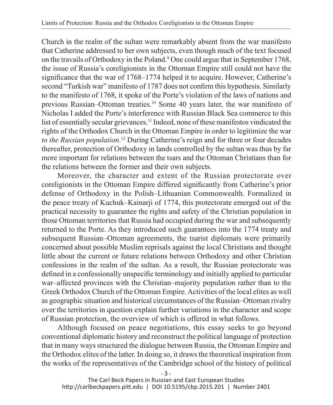Church in the realm of the sultan were remarkably absent from the war manifesto that Catherine addressed to her own subjects, even though much of the text focused on the travails of Orthodoxy in the Poland.<sup>9</sup> One could argue that in September 1768, the issue of Russia's coreligionists in the Ottoman Empire still could not have the significance that the war of 1768–1774 helped it to acquire. However, Catherine's second "Turkish war" manifesto of 1787 does not confirm this hypothesis. Similarly to the manifesto of 1768, it spoke of the Porte's violation of the laws of nations and previous Russian–Ottoman treaties.10 Some 40 years later, the war manifesto of Nicholas I added the Porte's interference with Russian Black Sea commerce to this list of essentially secular grievances.11 Indeed, none of these manifestos vindicated the rights of the Orthodox Church in the Ottoman Empire in order to legitimize the war *to the Russian population*. 12 During Catherine's reign and for three or four decades thereafter, protection of Orthodoxy in lands controlled by the sultan was thus by far more important for relations between the tsars and the Ottoman Christians than for the relations between the former and their own subjects.

Moreover, the character and extent of the Russian protectorate over coreligionists in the Ottoman Empire differed significantly from Catherine's prior defense of Orthodoxy in the Polish–Lithuanian Commonwealth. Formalized in the peace treaty of Kuchuk–Kainarji of 1774, this protectorate emerged out of the practical necessity to guarantee the rights and safety of the Christian population in those Ottoman territories that Russia had occupied during the war and subsequently returned to the Porte. As they introduced such guarantees into the 1774 treaty and subsequent Russian–Ottoman agreements, the tsarist diplomats were primarily concerned about possible Muslim reprisals against the local Christians and thought little about the current or future relations between Orthodoxy and other Christian confessions in the realm of the sultan. As a result, the Russian protectorate was defined in a confessionally unspecific terminology and initially applied to particular war–affected provinces with the Christian–majority population rather than to the Greek Orthodox Church of the Ottoman Empire. Activities of the local elites as well as geographic situation and historical circumstances of the Russian–Ottoman rivalry over the territories in question explain further variations in the character and scope of Russian protection, the overview of which is offered in what follows.

Although focused on peace negotiations, this essay seeks to go beyond conventional diplomatic history and reconstruct the political language of protection that in many ways structured the dialogue between Russia, the Ottoman Empire and the Orthodox elites of the latter. In doing so, it draws the theoretical inspiration from the works of the representatives of the Cambridge school of the history of political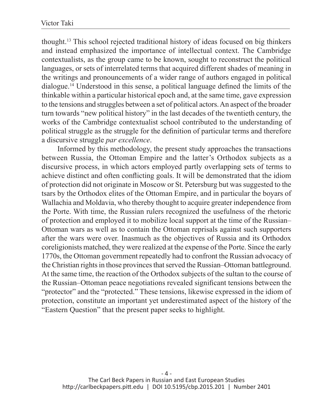thought.13 This school rejected traditional history of ideas focused on big thinkers and instead emphasized the importance of intellectual context. The Cambridge contextualists, as the group came to be known, sought to reconstruct the political languages, or sets of interrelated terms that acquired different shades of meaning in the writings and pronouncements of a wider range of authors engaged in political dialogue.14 Understood in this sense, a political language defined the limits of the thinkable within a particular historical epoch and, at the same time, gave expression to the tensions and struggles between a set of political actors. An aspect of the broader turn towards "new political history" in the last decades of the twentieth century, the works of the Cambridge contextualist school contributed to the understanding of political struggle as the struggle for the definition of particular terms and therefore a discursive struggle *par excellence*.

Informed by this methodology, the present study approaches the transactions between Russia, the Ottoman Empire and the latter's Orthodox subjects as a discursive process, in which actors employed partly overlapping sets of terms to achieve distinct and often conflicting goals. It will be demonstrated that the idiom of protection did not originate in Moscow or St. Petersburg but was suggested to the tsars by the Orthodox elites of the Ottoman Empire, and in particular the boyars of Wallachia and Moldavia, who thereby thought to acquire greater independence from the Porte. With time, the Russian rulers recognized the usefulness of the rhetoric of protection and employed it to mobilize local support at the time of the Russian– Ottoman wars as well as to contain the Ottoman reprisals against such supporters after the wars were over. Inasmuch as the objectives of Russia and its Orthodox coreligionists matched, they were realized at the expense of the Porte. Since the early 1770s, the Ottoman government repeatedly had to confront the Russian advocacy of the Christian rights in those provinces that served the Russian–Ottoman battleground. At the same time, the reaction of the Orthodox subjects of the sultan to the course of the Russian–Ottoman peace negotiations revealed significant tensions between the "protector" and the "protected." These tensions, likewise expressed in the idiom of protection, constitute an important yet underestimated aspect of the history of the "Eastern Question" that the present paper seeks to highlight.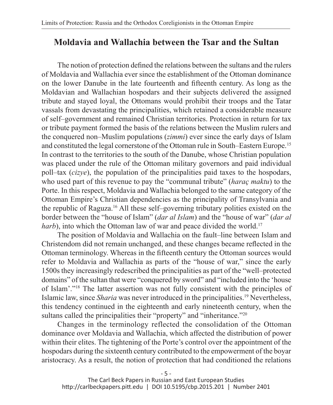# **Moldavia and Wallachia between the Tsar and the Sultan**

The notion of protection defined the relations between the sultans and the rulers of Moldavia and Wallachia ever since the establishment of the Ottoman dominance on the lower Danube in the late fourteenth and fifteenth century. As long as the Moldavian and Wallachian hospodars and their subjects delivered the assigned tribute and stayed loyal, the Ottomans would prohibit their troops and the Tatar vassals from devastating the principalities, which retained a considerable measure of self–government and remained Christian territories. Protection in return for tax or tribute payment formed the basis of the relations between the Muslim rulers and the conquered non–Muslim populations (*zimmi*) ever since the early days of Islam and constituted the legal cornerstone of the Ottoman rule in South–Eastern Europe.15 In contrast to the territories to the south of the Danube, whose Christian population was placed under the rule of the Ottoman military governors and paid individual poll–tax (*cizye*), the population of the principalities paid taxes to the hospodars, who used part of this revenue to pay the "communal tribute" (*haraç maktu*) to the Porte. In this respect, Moldavia and Wallachia belonged to the same category of the Ottoman Empire's Christian dependencies as the principality of Transylvania and the republic of Raguza.16 All these self–governing tributary polities existed on the border between the "house of Islam" (*dar al Islam*) and the "house of war" (*dar al harb*), into which the Ottoman law of war and peace divided the world.<sup>17</sup>

The position of Moldavia and Wallachia on the fault–line between Islam and Christendom did not remain unchanged, and these changes became reflected in the Ottoman terminology. Whereas in the fifteenth century the Ottoman sources would refer to Moldavia and Wallachia as parts of the "house of war," since the early 1500s they increasingly redescribed the principalities as part of the "well–protected domains" of the sultan that were "conquered by sword" and "included into the 'house of Islam'."18 The latter assertion was not fully consistent with the principles of Islamic law, since *Sharia* was never introduced in the principalities.19 Nevertheless, this tendency continued in the eighteenth and early nineteenth century, when the sultans called the principalities their "property" and "inheritance."<sup>20</sup>

Changes in the terminology reflected the consolidation of the Ottoman dominance over Moldavia and Wallachia, which affected the distribution of power within their elites. The tightening of the Porte's control over the appointment of the hospodars during the sixteenth century contributed to the empowerment of the boyar aristocracy. As a result, the notion of protection that had conditioned the relations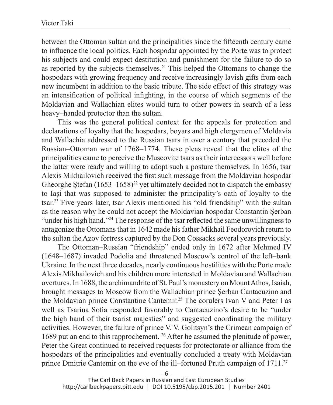between the Ottoman sultan and the principalities since the fifteenth century came to influence the local politics. Each hospodar appointed by the Porte was to protect his subjects and could expect destitution and punishment for the failure to do so as reported by the subjects themselves.21 This helped the Ottomans to change the hospodars with growing frequency and receive increasingly lavish gifts from each new incumbent in addition to the basic tribute. The side effect of this strategy was an intensification of political infighting, in the course of which segments of the Moldavian and Wallachian elites would turn to other powers in search of a less heavy–handed protector than the sultan.

This was the general political context for the appeals for protection and declarations of loyalty that the hospodars, boyars and high clergymen of Moldavia and Wallachia addressed to the Russian tsars in over a century that preceded the Russian–Ottoman war of 1768–1774. These pleas reveal that the elites of the principalities came to perceive the Muscovite tsars as their intercessors well before the latter were ready and willing to adopt such a posture themselves. In 1656, tsar Alexis Mikhailovich received the first such message from the Moldavian hospodar Gheorghe Stefan  $(1653-1658)^{22}$  yet ultimately decided not to dispatch the embassy to Iași that was supposed to administer the principality's oath of loyalty to the tsar.23 Five years later, tsar Alexis mentioned his "old friendship" with the sultan as the reason why he could not accept the Moldavian hospodar Constantin Șerban "under his high hand."24 The response of the tsar reflected the same unwillingness to antagonize the Ottomans that in 1642 made his father Mikhail Feodorovich return to the sultan the Azov fortress captured by the Don Cossacks several years previously.

The Ottoman–Russian "friendship" ended only in 1672 after Mehmed IV (1648–1687) invaded Podolia and threatened Moscow's control of the left–bank Ukraine. In the next three decades, nearly continuous hostilities with the Porte made Alexis Mikhailovich and his children more interested in Moldavian and Wallachian overtures. In 1688, the archimandrite of St. Paul's monastery on Mount Athos, Isaiah, brought messages to Moscow from the Wallachian prince Şerban Cantacuzino and the Moldavian prince Constantine Cantemir.25 The corulers Ivan V and Peter I as well as Tsarina Sofia responded favorably to Cantacuzino's desire to be "under the high hand of their tsarist majesties" and suggested coordinating the military activities. However, the failure of prince V. V. Golitsyn's the Crimean campaign of 1689 put an end to this rapprochement. 26 After he assumed the plenitude of power, Peter the Great continued to received requests for protectorate or alliance from the hospodars of the principalities and eventually concluded a treaty with Moldavian prince Dmitrie Cantemir on the eve of the ill–fortuned Pruth campaign of 1711.<sup>27</sup>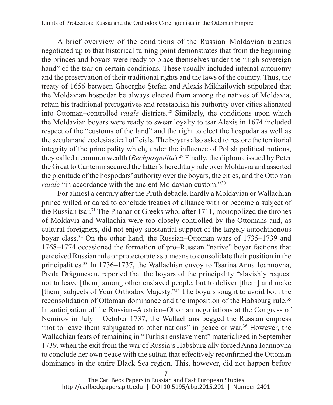A brief overview of the conditions of the Russian–Moldavian treaties negotiated up to that historical turning point demonstrates that from the beginning the princes and boyars were ready to place themselves under the "high sovereign hand" of the tsar on certain conditions. These usually included internal autonomy and the preservation of their traditional rights and the laws of the country. Thus, the treaty of 1656 between Gheorghe Ștefan and Alexis Mikhailovich stipulated that the Moldavian hospodar be always elected from among the natives of Moldavia, retain his traditional prerogatives and reestablish his authority over cities alienated into Ottoman–controlled *raiale* districts*.* 28 Similarly, the conditions upon which the Moldavian boyars were ready to swear loyalty to tsar Alexis in 1674 included respect of the "customs of the land" and the right to elect the hospodar as well as the secular and ecclesiastical officials. The boyars also asked to restore the territorial integrity of the principality which, under the influence of Polish political notions, they called a commonwealth (*Rechpospolita*).29 Finally, the diploma issued by Peter the Great to Cantemir secured the latter's hereditary rule over Moldavia and asserted the plenitude of the hospodars' authority over the boyars, the cities, and the Ottoman *raiale* "in accordance with the ancient Moldavian custom."<sup>30</sup>

For almost a century after the Pruth debacle, hardly a Moldavian or Wallachian prince willed or dared to conclude treaties of alliance with or become a subject of the Russian tsar.31 The Phanariot Greeks who, after 1711, monopolized the thrones of Moldavia and Wallachia were too closely controlled by the Ottomans and, as cultural foreigners, did not enjoy substantial support of the largely autochthonous boyar class.32 On the other hand, the Russian–Ottoman wars of 1735–1739 and 1768–1774 occasioned the formation of pro–Russian "native" boyar factions that perceived Russian rule or protectorate as a means to consolidate their position in the principalities.33 In 1736–1737, the Wallachian envoy to Tsarina Anna Ioannovna, Preda Drăgunescu, reported that the boyars of the principality "slavishly request not to leave [them] among other enslaved people, but to deliver [them] and make [them] subjects of Your Orthodox Majesty."<sup>34</sup> The boyars sought to avoid both the reconsolidation of Ottoman dominance and the imposition of the Habsburg rule.35 In anticipation of the Russian–Austrian–Ottoman negotiations at the Congress of Nemirov in July – October 1737, the Wallachians begged the Russian empress "not to leave them subjugated to other nations" in peace or war.<sup>36</sup> However, the Wallachian fears of remaining in "Turkish enslavement" materialized in September 1739, when the exit from the war of Russia's Habsburg ally forced Anna Ioannovna to conclude her own peace with the sultan that effectively reconfirmed the Ottoman dominance in the entire Black Sea region. This, however, did not happen before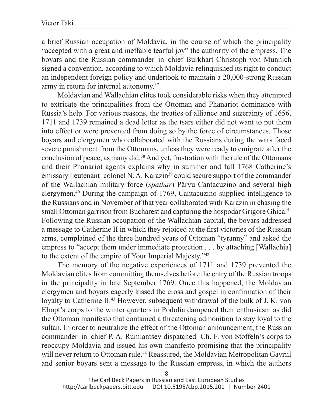a brief Russian occupation of Moldavia, in the course of which the principality "accepted with a great and ineffable tearful joy" the authority of the empress. The boyars and the Russian commander–in–chief Burkhart Christoph von Munnich signed a convention, according to which Moldavia relinquished its right to conduct an independent foreign policy and undertook to maintain a 20,000-strong Russian army in return for internal autonomy.37

Moldavian and Wallachian elites took considerable risks when they attempted to extricate the principalities from the Ottoman and Phanariot dominance with Russia's help. For various reasons, the treaties of alliance and suzerainty of 1656, 1711 and 1739 remained a dead letter as the tsars either did not want to put them into effect or were prevented from doing so by the force of circumstances. Those boyars and clergymen who collaborated with the Russians during the wars faced severe punishment from the Ottomans, unless they were ready to emigrate after the conclusion of peace, as many did.38 And yet, frustration with the rule of the Ottomans and their Phanariot agents explains why in summer and fall 1768 Catherine's emissary lieutenant–colonel N. A. Karazin<sup>39</sup> could secure support of the commander of the Wallachian military force (*spathar*) Pârvu Cantacuzino and several high clergymen.40 During the campaign of 1769, Cantacuzino supplied intelligence to the Russians and in November of that year collaborated with Karazin in chasing the small Ottoman garrison from Bucharest and capturing the hospodar Grigore Ghica.<sup>41</sup> Following the Russian occupation of the Wallachian capital, the boyars addressed a message to Catherine II in which they rejoiced at the first victories of the Russian arms, complained of the three hundred years of Ottoman "tyranny" and asked the empress to "accept them under immediate protection . . . by attaching [Wallachia] to the extent of the empire of Your Imperial Majesty."42

The memory of the negative experiences of 1711 and 1739 prevented the Moldavian elites from committing themselves before the entry of the Russian troops in the principality in late September 1769. Once this happened, the Moldavian clergymen and boyars eagerly kissed the cross and gospel in confirmation of their loyalty to Catherine II.43 However, subsequent withdrawal of the bulk of J. K. von Elmpt's corps to the winter quarters in Podolia dampened their enthusiasm as did the Ottoman manifesto that contained a threatening admonition to stay loyal to the sultan. In order to neutralize the effect of the Ottoman announcement, the Russian commander–in–chief P. A. Rumiantsev dispatched Ch. F. von Stoffeln's corps to reoccupy Moldavia and issued his own manifesto promising that the principality will never return to Ottoman rule.<sup>44</sup> Reassured, the Moldavian Metropolitan Gavriil and senior boyars sent a message to the Russian empress, in which the authors

- 8 -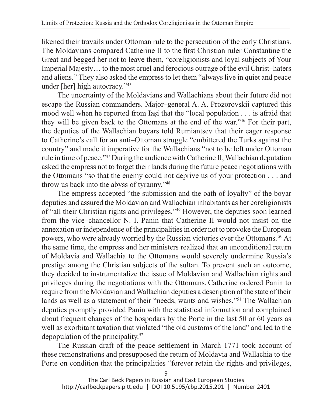likened their travails under Ottoman rule to the persecution of the early Christians. The Moldavians compared Catherine II to the first Christian ruler Constantine the Great and begged her not to leave them, "coreligionists and loyal subjects of Your Imperial Majesty… to the most cruel and ferocious outrage of the evil Christ–haters and aliens." They also asked the empress to let them "always live in quiet and peace under [her] high autocracy."45

The uncertainty of the Moldavians and Wallachians about their future did not escape the Russian commanders. Major–general A. A. Prozorovskii captured this mood well when he reported from Iași that the "local population . . . is afraid that they will be given back to the Ottomans at the end of the war."46 For their part, the deputies of the Wallachian boyars told Rumiantsev that their eager response to Catherine's call for an anti–Ottoman struggle "embittered the Turks against the country" and made it imperative for the Wallachians "not to be left under Ottoman rule in time of peace."47 During the audience with Catherine II, Wallachian deputation asked the empress not to forget their lands during the future peace negotiations with the Ottomans "so that the enemy could not deprive us of your protection . . . and throw us back into the abyss of tyranny."48

The empress accepted "the submission and the oath of loyalty" of the boyar deputies and assured the Moldavian and Wallachian inhabitants as her coreligionists of "all their Christian rights and privileges."49 However, the deputies soon learned from the vice–chancellor N. I. Panin that Catherine II would not insist on the annexation or independence of the principalities in order not to provoke the European powers, who were already worried by the Russian victories over the Ottomans. 50 At the same time, the empress and her ministers realized that an unconditional return of Moldavia and Wallachia to the Ottomans would severely undermine Russia's prestige among the Christian subjects of the sultan. To prevent such an outcome, they decided to instrumentalize the issue of Moldavian and Wallachian rights and privileges during the negotiations with the Ottomans. Catherine ordered Panin to require from the Moldavian and Wallachian deputies a description of the state of their lands as well as a statement of their "needs, wants and wishes."51 The Wallachian deputies promptly provided Panin with the statistical information and complained about frequent changes of the hospodars by the Porte in the last 50 or 60 years as well as exorbitant taxation that violated "the old customs of the land" and led to the depopulation of the principality.52

The Russian draft of the peace settlement in March 1771 took account of these remonstrations and presupposed the return of Moldavia and Wallachia to the Porte on condition that the principalities "forever retain the rights and privileges,

- 9 -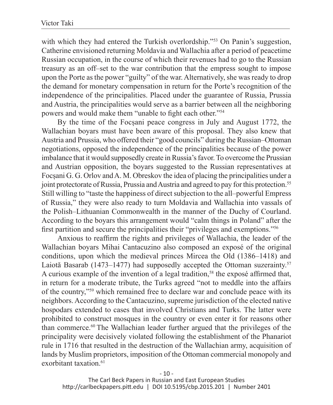with which they had entered the Turkish overlordship."<sup>53</sup> On Panin's suggestion, Catherine envisioned returning Moldavia and Wallachia after a period of peacetime Russian occupation, in the course of which their revenues had to go to the Russian treasury as an off–set to the war contribution that the empress sought to impose upon the Porte as the power "guilty" of the war. Alternatively, she was ready to drop the demand for monetary compensation in return for the Porte's recognition of the independence of the principalities. Placed under the guarantee of Russia, Prussia and Austria, the principalities would serve as a barrier between all the neighboring powers and would make them "unable to fight each other."<sup>54</sup>

By the time of the Focșani peace congress in July and August 1772, the Wallachian boyars must have been aware of this proposal. They also knew that Austria and Prussia, who offered their "good councils" during the Russian–Ottoman negotiations, opposed the independence of the principalities because of the power imbalance that it would supposedly create in Russia's favor. To overcome the Prussian and Austrian opposition, the boyars suggested to the Russian representatives at Focșani G. G. Orlov and A. M. Obreskov the idea of placing the principalities under a joint protectorate of Russia, Prussia and Austria and agreed to pay for this protection.55 Still willing to "taste the happiness of direct subjection to the all–powerful Empress of Russia," they were also ready to turn Moldavia and Wallachia into vassals of the Polish–Lithuanian Commonwealth in the manner of the Duchy of Courland. According to the boyars this arrangement would "calm things in Poland" after the first partition and secure the principalities their "privileges and exemptions."<sup>56</sup>

Anxious to reaffirm the rights and privileges of Wallachia, the leader of the Wallachian boyars Mihai Cantacuzino also composed an exposé of the original conditions, upon which the medieval princes Mircea the Old (1386–1418) and Laiotă Basarab (1473–1477) had supposedly accepted the Ottoman suzerainty.<sup>57</sup> A curious example of the invention of a legal tradition,<sup>58</sup> the exposé affirmed that, in return for a moderate tribute, the Turks agreed "not to meddle into the affairs of the country,"59 which remained free to declare war and conclude peace with its neighbors. According to the Cantacuzino, supreme jurisdiction of the elected native hospodars extended to cases that involved Christians and Turks. The latter were prohibited to construct mosques in the country or even enter it for reasons other than commerce.60 The Wallachian leader further argued that the privileges of the principality were decisively violated following the establishment of the Phanariot rule in 1716 that resulted in the destruction of the Wallachian army, acquisition of lands by Muslim proprietors, imposition of the Ottoman commercial monopoly and exorbitant taxation<sup>61</sup>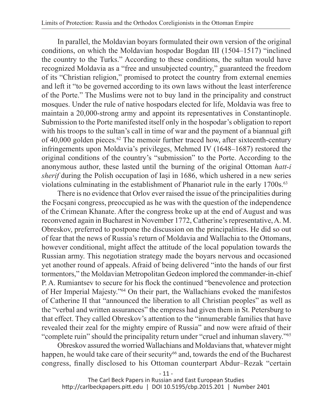In parallel, the Moldavian boyars formulated their own version of the original conditions, on which the Moldavian hospodar Bogdan III (1504–1517) "inclined the country to the Turks." According to these conditions, the sultan would have recognized Moldavia as a "free and unsubjected country," guaranteed the freedom of its "Christian religion," promised to protect the country from external enemies and left it "to be governed according to its own laws without the least interference of the Porte." The Muslims were not to buy land in the principality and construct mosques. Under the rule of native hospodars elected for life, Moldavia was free to maintain a 20,000-strong army and appoint its representatives in Constantinople. Submission to the Porte manifested itself only in the hospodar's obligation to report with his troops to the sultan's call in time of war and the payment of a biannual gift of  $40,000$  golden pieces.<sup>62</sup> The memoir further traced how, after sixteenth-century infringements upon Moldavia's privileges, Mehmed IV (1648–1687) restored the original conditions of the country's "submission" to the Porte. According to the anonymous author, these lasted until the burning of the original Ottoman *hatt-i sherif* during the Polish occupation of Iași in 1686, which ushered in a new series violations culminating in the establishment of Phanariot rule in the early 1700s.<sup>63</sup>

There is no evidence that Orlov ever raised the issue of the principalities during the Focșani congress, preoccupied as he was with the question of the independence of the Crimean Khanate. After the congress broke up at the end of August and was reconvened again in Bucharest in November 1772, Catherine's representative, A. M. Obreskov, preferred to postpone the discussion on the principalities. He did so out of fear that the news of Russia's return of Moldavia and Wallachia to the Ottomans, however conditional, might affect the attitude of the local population towards the Russian army. This negotiation strategy made the boyars nervous and occasioned yet another round of appeals. Afraid of being delivered "into the hands of our first tormentors," the Moldavian Metropolitan Gedeon implored the commander-in-chief P. A. Rumiantsev to secure for his flock the continued "benevolence and protection of Her Imperial Majesty."64 On their part, the Wallachians evoked the manifestos of Catherine II that "announced the liberation to all Christian peoples" as well as the "verbal and written assurances" the empress had given them in St. Petersburg to that effect. They called Obreskov's attention to the "innumerable families that have revealed their zeal for the mighty empire of Russia" and now were afraid of their "complete ruin" should the principality return under "cruel and inhuman slavery."65

Obreskov assured the worried Wallachians and Moldavians that, whatever might happen, he would take care of their security<sup>66</sup> and, towards the end of the Bucharest congress, finally disclosed to his Ottoman counterpart Abdur–Rezak "certain

- 11 -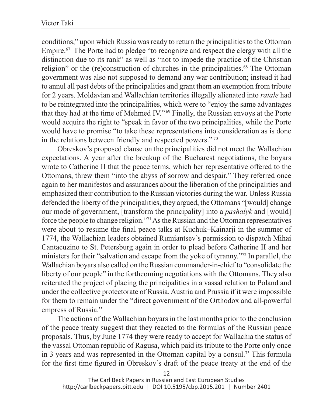conditions," upon which Russia was ready to return the principalities to the Ottoman Empire.<sup>67</sup> The Porte had to pledge "to recognize and respect the clergy with all the distinction due to its rank" as well as "not to impede the practice of the Christian religion" or the (re)construction of churches in the principalities.<sup>68</sup> The Ottoman government was also not supposed to demand any war contribution; instead it had to annul all past debts of the principalities and grant them an exemption from tribute for 2 years. Moldavian and Wallachian territories illegally alienated into *raiale* had to be reintegrated into the principalities, which were to "enjoy the same advantages that they had at the time of Mehmed IV." 69 Finally, the Russian envoys at the Porte would acquire the right to "speak in favor of the two principalities, while the Porte would have to promise "to take these representations into consideration as is done in the relations between friendly and respected powers." 70

Obreskov's proposed clause on the principalities did not meet the Wallachian expectations. A year after the breakup of the Bucharest negotiations, the boyars wrote to Catherine II that the peace terms, which her representative offered to the Ottomans, threw them "into the abyss of sorrow and despair." They referred once again to her manifestos and assurances about the liberation of the principalities and emphasized their contribution to the Russian victories during the war. Unless Russia defended the liberty of the principalities, they argued, the Ottomans "[would] change our mode of government, [transform the principality] into a *pashalyk* and [would] force the people to change religion."71 As the Russian and the Ottoman representatives were about to resume the final peace talks at Kuchuk–Kainarji in the summer of 1774, the Wallachian leaders obtained Rumiantsev's permission to dispatch Mihai Cantacuzino to St. Petersburg again in order to plead before Catherine II and her ministers for their "salvation and escape from the yoke of tyranny."72 In parallel, the Wallachian boyars also called on the Russian commander-in-chief to "consolidate the liberty of our people" in the forthcoming negotiations with the Ottomans. They also reiterated the project of placing the principalities in a vassal relation to Poland and under the collective protectorate of Russia, Austria and Prussia if it were impossible for them to remain under the "direct government of the Orthodox and all-powerful empress of Russia."

The actions of the Wallachian boyars in the last months prior to the conclusion of the peace treaty suggest that they reacted to the formulas of the Russian peace proposals. Thus, by June 1774 they were ready to accept for Wallachia the status of the vassal Ottoman republic of Ragusa, which paid its tribute to the Porte only once in 3 years and was represented in the Ottoman capital by a consul.<sup>73</sup> This formula for the first time figured in Obreskov's draft of the peace treaty at the end of the

- 12 -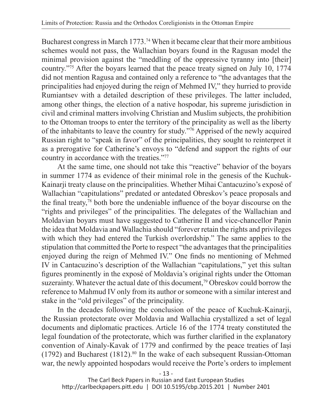Bucharest congress in March 1773.<sup>74</sup> When it became clear that their more ambitious schemes would not pass, the Wallachian boyars found in the Ragusan model the minimal provision against the "meddling of the oppressive tyranny into [their] country."75 After the boyars learned that the peace treaty signed on July 10, 1774 did not mention Ragusa and contained only a reference to "the advantages that the principalities had enjoyed during the reign of Mehmed IV," they hurried to provide Rumiantsev with a detailed description of these privileges. The latter included, among other things, the election of a native hospodar, his supreme jurisdiction in civil and criminal matters involving Christian and Muslim subjects, the prohibition to the Ottoman troops to enter the territory of the principality as well as the liberty of the inhabitants to leave the country for study."76 Apprised of the newly acquired Russian right to "speak in favor" of the principalities, they sought to reinterpret it as a prerogative for Catherine's envoys to "defend and support the rights of our country in accordance with the treaties."77

At the same time, one should not take this "reactive" behavior of the boyars in summer 1774 as evidence of their minimal role in the genesis of the Kuchuk-Kainarji treaty clause on the principalities. Whether Mihai Cantacuzino's exposé of Wallachian "capitulations" predated or antedated Obreskov's peace proposals and the final treaty,<sup>78</sup> both bore the undeniable influence of the boyar discourse on the "rights and privileges" of the principalities. The delegates of the Wallachian and Moldavian boyars must have suggested to Catherine II and vice-chancellor Panin the idea that Moldavia and Wallachia should "forever retain the rights and privileges with which they had entered the Turkish overlordship." The same applies to the stipulation that committed the Porte to respect "the advantages that the principalities enjoyed during the reign of Mehmed IV." One finds no mentioning of Mehmed IV in Cantacuzino's description of the Wallachian "capitulations," yet this sultan figures prominently in the exposé of Moldavia's original rights under the Ottoman suzerainty. Whatever the actual date of this document,<sup>79</sup> Obreskov could borrow the reference to Mahmud IV only from its author or someone with a similar interest and stake in the "old privileges" of the principality.

In the decades following the conclusion of the peace of Kuchuk-Kainarji, the Russian protectorate over Moldavia and Wallachia crystallized a set of legal documents and diplomatic practices. Article 16 of the 1774 treaty constituted the legal foundation of the protectorate, which was further clarified in the explanatory convention of Ainaly-Kavak of 1779 and confirmed by the peace treaties of Iași (1792) and Bucharest (1812).<sup>80</sup> In the wake of each subsequent Russian-Ottoman war, the newly appointed hospodars would receive the Porte's orders to implement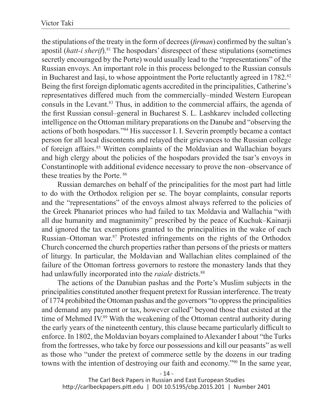the stipulations of the treaty in the form of decrees (*firman*) confirmed by the sultan's apostil (*hatt-i sherif*).81 The hospodars' disrespect of these stipulations (sometimes secretly encouraged by the Porte) would usually lead to the "representations" of the Russian envoys. An important role in this process belonged to the Russian consuls in Bucharest and Iași, to whose appointment the Porte reluctantly agreed in 1782.<sup>82</sup> Being the first foreign diplomatic agents accredited in the principalities, Catherine's representatives differed much from the commercially–minded Western European consuls in the Levant.83 Thus, in addition to the commercial affairs, the agenda of the first Russian consul–general in Bucharest S. L. Lashkarev included collecting intelligence on the Ottoman military preparations on the Danube and "observing the actions of both hospodars."84 His successor I. I. Severin promptly became a contact person for all local discontents and relayed their grievances to the Russian college of foreign affairs.85 Written complaints of the Moldavian and Wallachian boyars and high clergy about the policies of the hospodars provided the tsar's envoys in Constantinople with additional evidence necessary to prove the non–observance of these treaties by the Porte. 86

Russian demarches on behalf of the principalities for the most part had little to do with the Orthodox religion per se. The boyar complaints, consular reports and the "representations" of the envoys almost always referred to the policies of the Greek Phanariot princes who had failed to tax Moldavia and Wallachia "with all due humanity and magnanimity" prescribed by the peace of Kuchuk–Kainarji and ignored the tax exemptions granted to the principalities in the wake of each Russian–Ottoman war.87 Protested infringements on the rights of the Orthodox Church concerned the church properties rather than persons of the priests or matters of liturgy. In particular, the Moldavian and Wallachian elites complained of the failure of the Ottoman fortress governors to restore the monastery lands that they had unlawfully incorporated into the *raiale* districts.<sup>88</sup>

The actions of the Danubian pashas and the Porte's Muslim subjects in the principalities constituted another frequent pretext for Russian interference. The treaty of 1774 prohibited the Ottoman pashas and the governors "to oppress the principalities and demand any payment or tax, however called" beyond those that existed at the time of Mehmed IV.89 With the weakening of the Ottoman central authority during the early years of the nineteenth century, this clause became particularly difficult to enforce. In 1802, the Moldavian boyars complained to Alexander I about "the Turks from the fortresses, who take by force our possessions and kill our peasants" as well as those who "under the pretext of commerce settle by the dozens in our trading towns with the intention of destroying our faith and economy."90 In the same year,

- 14 -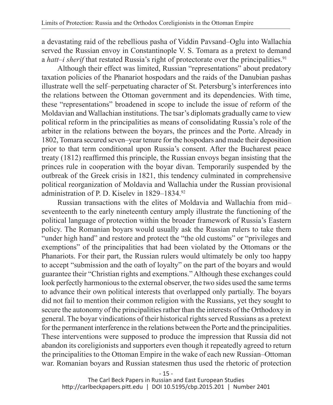a devastating raid of the rebellious pasha of Viddin Pavsand–Oglu into Wallachia served the Russian envoy in Constantinople V. S. Tomara as a pretext to demand a *hatt–i sherif* that restated Russia's right of protectorate over the principalities.<sup>91</sup>

Although their effect was limited, Russian "representations" about predatory taxation policies of the Phanariot hospodars and the raids of the Danubian pashas illustrate well the self–perpetuating character of St. Petersburg's interferences into the relations between the Ottoman government and its dependencies. With time, these "representations" broadened in scope to include the issue of reform of the Moldavian and Wallachian institutions. The tsar's diplomats gradually came to view political reform in the principalities as means of consolidating Russia's role of the arbiter in the relations between the boyars, the princes and the Porte. Already in 1802, Tomara secured seven–year tenure for the hospodars and made their deposition prior to that term conditional upon Russia's consent. After the Bucharest peace treaty (1812) reaffirmed this principle, the Russian envoys began insisting that the princes rule in cooperation with the boyar divan. Temporarily suspended by the outbreak of the Greek crisis in 1821, this tendency culminated in comprehensive political reorganization of Moldavia and Wallachia under the Russian provisional administration of P. D. Kiselev in 1829–1834.92

Russian transactions with the elites of Moldavia and Wallachia from mid– seventeenth to the early nineteenth century amply illustrate the functioning of the political language of protection within the broader framework of Russia's Eastern policy. The Romanian boyars would usually ask the Russian rulers to take them "under high hand" and restore and protect the "the old customs" or "privileges and exemptions" of the principalities that had been violated by the Ottomans or the Phanariots. For their part, the Russian rulers would ultimately be only too happy to accept "submission and the oath of loyalty" on the part of the boyars and would guarantee their "Christian rights and exemptions." Although these exchanges could look perfectly harmonious to the external observer, the two sides used the same terms to advance their own political interests that overlapped only partially. The boyars did not fail to mention their common religion with the Russians, yet they sought to secure the autonomy of the principalities rather than the interests of the Orthodoxy in general. The boyar vindications of their historical rights served Russians as a pretext for the permanent interference in the relations between the Porte and the principalities. These interventions were supposed to produce the impression that Russia did not abandon its coreligionists and supporters even though it repeatedly agreed to return the principalities to the Ottoman Empire in the wake of each new Russian–Ottoman war. Romanian boyars and Russian statesmen thus used the rhetoric of protection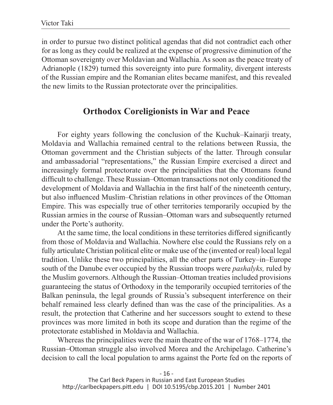in order to pursue two distinct political agendas that did not contradict each other for as long as they could be realized at the expense of progressive diminution of the Ottoman sovereignty over Moldavian and Wallachia. As soon as the peace treaty of Adrianople (1829) turned this sovereignty into pure formality, divergent interests of the Russian empire and the Romanian elites became manifest, and this revealed the new limits to the Russian protectorate over the principalities.

#### **Orthodox Coreligionists in War and Peace**

For eighty years following the conclusion of the Kuchuk–Kainarji treaty, Moldavia and Wallachia remained central to the relations between Russia, the Ottoman government and the Christian subjects of the latter. Through consular and ambassadorial "representations," the Russian Empire exercised a direct and increasingly formal protectorate over the principalities that the Ottomans found difficult to challenge. These Russian–Ottoman transactions not only conditioned the development of Moldavia and Wallachia in the first half of the nineteenth century, but also influenced Muslim–Christian relations in other provinces of the Ottoman Empire. This was especially true of other territories temporarily occupied by the Russian armies in the course of Russian–Ottoman wars and subsequently returned under the Porte's authority.

At the same time, the local conditions in these territories differed significantly from those of Moldavia and Wallachia. Nowhere else could the Russians rely on a fully articulate Christian political elite or make use of the (invented or real) local legal tradition. Unlike these two principalities, all the other parts of Turkey–in–Europe south of the Danube ever occupied by the Russian troops were *pashalyks,* ruled by the Muslim governors. Although the Russian–Ottoman treaties included provisions guaranteeing the status of Orthodoxy in the temporarily occupied territories of the Balkan peninsula, the legal grounds of Russia's subsequent interference on their behalf remained less clearly defined than was the case of the principalities. As a result, the protection that Catherine and her successors sought to extend to these provinces was more limited in both its scope and duration than the regime of the protectorate established in Moldavia and Wallachia.

Whereas the principalities were the main theatre of the war of 1768–1774, the Russian–Ottoman struggle also involved Morea and the Archipelago. Catherine's decision to call the local population to arms against the Porte fed on the reports of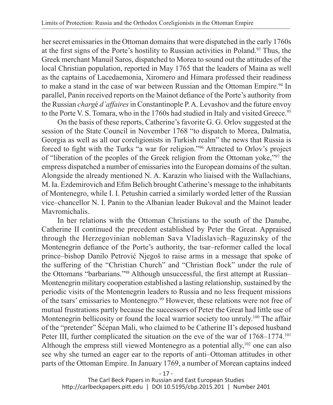her secret emissaries in the Ottoman domains that were dispatched in the early 1760s at the first signs of the Porte's hostility to Russian activities in Poland.93 Thus, the Greek merchant Manuil Saros, dispatched to Morea to sound out the attitudes of the local Christian population, reported in May 1765 that the leaders of Maina as well as the captains of Lacedaemonia, Xiromero and Himara professed their readiness to make a stand in the case of war between Russian and the Ottoman Empire.94 In parallel, Panin received reports on the Mainot defiance of the Porte's authority from the Russian *charg*é *d'affaires* in Constantinople P. A. Levashov and the future envoy to the Porte V. S. Tomara, who in the 1760s had studied in Italy and visited Greece.<sup>95</sup>

On the basis of these reports, Catherine's favorite G. G. Orlov suggested at the session of the State Council in November 1768 "to dispatch to Morea, Dalmatia, Georgia as well as all our coreligionists in Turkish realm" the news that Russia is forced to fight with the Turks "a war for religion."96 Attracted to Orlov's project of "liberation of the peoples of the Greek religion from the Ottoman yoke,"97 the empress dispatched a number of emissaries into the European domains of the sultan. Alongside the already mentioned N. A. Karazin who liaised with the Wallachians, M. Ia. Ezdemirovich and Efim Belich brought Catherine's message to the inhabitants of Montenegro, while I. I. Petushin carried a similarly worded letter of the Russian vice–chancellor N. I. Panin to the Albanian leader Bukoval and the Mainot leader **Mayromichalis** 

In her relations with the Ottoman Christians to the south of the Danube, Catherine II continued the precedent established by Peter the Great. Appraised through the Herzegovinian nobleman Sava Vladislavich–Raguzinsky of the Montenegrin defiance of the Porte's authority, the tsar–reformer called the local prince–bishop Danilo Petrović Njegoš to raise arms in a message that spoke of the suffering of the "Christian Church" and "Christian flock" under the rule of the Ottomans "barbarians."98 Although unsuccessful, the first attempt at Russian– Montenegrin military cooperation established a lasting relationship, sustained by the periodic visits of the Montenegrin leaders to Russia and no less frequent missions of the tsars' emissaries to Montenegro.99 However, these relations were not free of mutual frustrations partly because the successors of Peter the Great had little use of Montenegrin bellicosity or found the local warrior society too unruly.<sup>100</sup> The affair of the "pretender" Šćepan Mali, who claimed to be Catherine II's deposed husband Peter III, further complicated the situation on the eve of the war of 1768–1774.101 Although the empress still viewed Montenegro as a potential ally, $102$  one can also see why she turned an eager ear to the reports of anti–Ottoman attitudes in other parts of the Ottoman Empire. In January 1769, a number of Morean captains indeed

- 17 -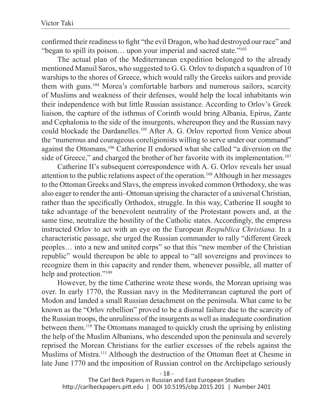confirmed their readiness to fight "the evil Dragon, who had destroyed our race" and "began to spill its poison… upon your imperial and sacred state."103

The actual plan of the Mediterranean expedition belonged to the already mentioned Manuil Saros, who suggested to G. G. Orlov to dispatch a squadron of 10 warships to the shores of Greece, which would rally the Greeks sailors and provide them with guns.104 Morea's comfortable harbors and numerous sailors, scarcity of Muslims and weakness of their defenses, would help the local inhabitants win their independence with but little Russian assistance. According to Orlov's Greek liaison, the capture of the isthmus of Corinth would bring Albania, Epirus, Zante and Cephalonia to the side of the insurgents, whereupon they and the Russian navy could blockade the Dardanelles.<sup>105</sup> After A. G. Orlov reported from Venice about the "numerous and courageous coreligionists willing to serve under our command" against the Ottomans,106 Catherine II endorsed what she called "a diversion on the side of Greece," and charged the brother of her favorite with its implementation.<sup>107</sup>

Catherine II's subsequent correspondence with A. G. Orlov reveals her usual attention to the public relations aspect of the operation.108 Although in her messages to the Ottoman Greeks and Slavs, the empress invoked common Orthodoxy, she was also eager to render the anti–Ottoman uprising the character of a universal Christian, rather than the specifically Orthodox, struggle. In this way, Catherine II sought to take advantage of the benevolent neutrality of the Protestant powers and, at the same time, neutralize the hostility of the Catholic states. Accordingly, the empress instructed Orlov to act with an eye on the European *Respublica Christiana.* In a characteristic passage, she urged the Russian commander to rally "different Greek peoples… into a new and united corps" so that this "new member of the Christian republic" would thereupon be able to appeal to "all sovereigns and provinces to recognize them in this capacity and render them, whenever possible, all matter of help and protection."<sup>109</sup>

However, by the time Catherine wrote these words, the Morean uprising was over. In early 1770, the Russian navy in the Mediterranean captured the port of Modon and landed a small Russian detachment on the peninsula. What came to be known as the "Orlov rebellion" proved to be a dismal failure due to the scarcity of the Russian troops, the unruliness of the insurgents as well as inadequate coordination between them.110 The Ottomans managed to quickly crush the uprising by enlisting the help of the Muslim Albanians, who descended upon the peninsula and severely reprised the Morean Christians for the earlier excesses of the rebels against the Muslims of Mistra.111 Although the destruction of the Ottoman fleet at Chesme in late June 1770 and the imposition of Russian control on the Archipelago seriously

- 18 -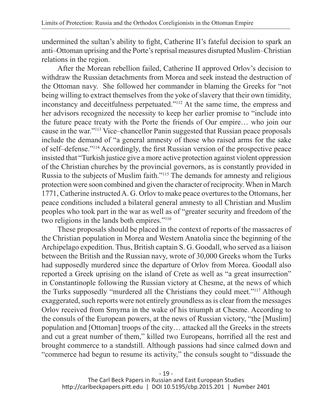undermined the sultan's ability to fight, Catherine II's fateful decision to spark an anti–Ottoman uprising and the Porte's reprisal measures disrupted Muslim–Christian relations in the region.

After the Morean rebellion failed, Catherine II approved Orlov's decision to withdraw the Russian detachments from Morea and seek instead the destruction of the Ottoman navy. She followed her commander in blaming the Greeks for "not being willing to extract themselves from the yoke of slavery that their own timidity, inconstancy and deceitfulness perpetuated."112 At the same time, the empress and her advisors recognized the necessity to keep her earlier promise to "include into the future peace treaty with the Porte the friends of Our empire… who join our cause in the war."113 Vice–chancellor Panin suggested that Russian peace proposals include the demand of "a general amnesty of those who raised arms for the sake of self–defense."114 Accordingly, the first Russian version of the prospective peace insisted that "Turkish justice give a more active protection against violent oppression of the Christian churches by the provincial governors, as is constantly provided in Russia to the subjects of Muslim faith."115 The demands for amnesty and religious protection were soon combined and given the character of reciprocity. When in March 1771, Catherine instructed A. G. Orlov to make peace overtures to the Ottomans, her peace conditions included a bilateral general amnesty to all Christian and Muslim peoples who took part in the war as well as of "greater security and freedom of the two religions in the lands both empires."116

These proposals should be placed in the context of reports of the massacres of the Christian population in Morea and Western Anatolia since the beginning of the Archipelago expedition. Thus, British captain S. G. Goodall, who served as a liaison between the British and the Russian navy, wrote of 30,000 Greeks whom the Turks had supposedly murdered since the departure of Orlov from Morea. Goodall also reported a Greek uprising on the island of Crete as well as "a great insurrection" in Constantinople following the Russian victory at Chesme, at the news of which the Turks supposedly "murdered all the Christians they could meet."117 Although exaggerated, such reports were not entirely groundless as is clear from the messages Orlov received from Smyrna in the wake of his triumph at Chesme. According to the consuls of the European powers, at the news of Russian victory, "the [Muslim] population and [Ottoman] troops of the city… attacked all the Greeks in the streets and cut a great number of them," killed two Europeans, horrified all the rest and brought commerce to a standstill. Although passions had since calmed down and "commerce had begun to resume its activity," the consuls sought to "dissuade the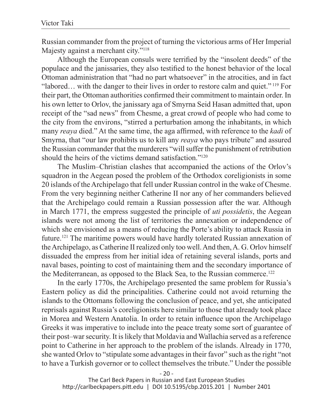Russian commander from the project of turning the victorious arms of Her Imperial Majesty against a merchant city."<sup>118</sup>

Although the European consuls were terrified by the "insolent deeds" of the populace and the janissaries, they also testified to the honest behavior of the local Ottoman administration that "had no part whatsoever" in the atrocities, and in fact "labored… with the danger to their lives in order to restore calm and quiet." 119 For their part, the Ottoman authorities confirmed their commitment to maintain order. In his own letter to Orlov, the janissary aga of Smyrna Seid Hasan admitted that, upon receipt of the "sad news" from Chesme, a great crowd of people who had come to the city from the environs, "stirred a perturbation among the inhabitants, in which many *reaya* died." At the same time, the aga affirmed, with reference to the *kadi* of Smyrna, that "our law prohibits us to kill any *reaya* who pays tribute" and assured the Russian commander that the murderers "will suffer the punishment of retribution should the heirs of the victims demand satisfaction."<sup>120</sup>

The Muslim–Christian clashes that accompanied the actions of the Orlov's squadron in the Aegean posed the problem of the Orthodox coreligionists in some 20 islands of the Archipelago that fell under Russian control in the wake of Chesme. From the very beginning neither Catherine II nor any of her commanders believed that the Archipelago could remain a Russian possession after the war. Although in March 1771, the empress suggested the principle of *uti possidetis*, the Aegean islands were not among the list of territories the annexation or independence of which she envisioned as a means of reducing the Porte's ability to attack Russia in future.121 The maritime powers would have hardly tolerated Russian annexation of the Archipelago, as Catherine II realized only too well. And then, A. G. Orlov himself dissuaded the empress from her initial idea of retaining several islands, ports and naval bases, pointing to cost of maintaining them and the secondary importance of the Mediterranean, as opposed to the Black Sea, to the Russian commerce.<sup>122</sup>

In the early 1770s, the Archipelago presented the same problem for Russia's Eastern policy as did the principalities. Catherine could not avoid returning the islands to the Ottomans following the conclusion of peace, and yet, she anticipated reprisals against Russia's coreligionists here similar to those that already took place in Morea and Western Anatolia. In order to retain influence upon the Archipelago Greeks it was imperative to include into the peace treaty some sort of guarantee of their post–war security. It is likely that Moldavia and Wallachia served as a reference point to Catherine in her approach to the problem of the islands. Already in 1770, she wanted Orlov to "stipulate some advantages in their favor" such as the right "not to have a Turkish governor or to collect themselves the tribute." Under the possible

 $-20-$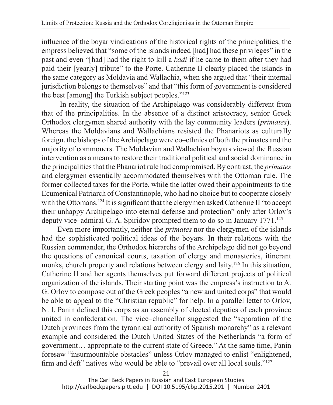influence of the boyar vindications of the historical rights of the principalities, the empress believed that "some of the islands indeed [had] had these privileges" in the past and even "[had] had the right to kill a *kadi* if he came to them after they had paid their [yearly] tribute" to the Porte. Catherine II clearly placed the islands in the same category as Moldavia and Wallachia, when she argued that "their internal jurisdiction belongs to themselves" and that "this form of government is considered the best [among] the Turkish subject peoples."123

 In reality, the situation of the Archipelago was considerably different from that of the principalities. In the absence of a distinct aristocracy, senior Greek Orthodox clergymen shared authority with the lay community leaders (*primates*). Whereas the Moldavians and Wallachians resisted the Phanariots as culturally foreign, the bishops of the Archipelago were co–ethnics of both the primates and the majority of commoners. The Moldavian and Wallachian boyars viewed the Russian intervention as a means to restore their traditional political and social dominance in the principalities that the Phanariot rule had compromised. By contrast, the *primates* and clergymen essentially accommodated themselves with the Ottoman rule. The former collected taxes for the Porte, while the latter owed their appointments to the Ecumenical Patriarch of Constantinople, who had no choice but to cooperate closely with the Ottomans.<sup>124</sup> It is significant that the clergymen asked Catherine II "to accept" their unhappy Archipelago into eternal defense and protection" only after Orlov's deputy vice–admiral G. A. Spiridov prompted them to do so in January 1771.<sup>125</sup>

Even more importantly, neither the *primates* nor the clergymen of the islands had the sophisticated political ideas of the boyars. In their relations with the Russian commander, the Orthodox hierarchs of the Archipelago did not go beyond the questions of canonical courts, taxation of clergy and monasteries, itinerant monks, church property and relations between clergy and laity.126 In this situation, Catherine II and her agents themselves put forward different projects of political organization of the islands. Their starting point was the empress's instruction to A. G. Orlov to compose out of the Greek peoples "a new and united corps" that would be able to appeal to the "Christian republic" for help. In a parallel letter to Orlov, N. I. Panin defined this corps as an assembly of elected deputies of each province united in confederation. The vice–chancellor suggested the "separation of the Dutch provinces from the tyrannical authority of Spanish monarchy" as a relevant example and considered the Dutch United States of the Netherlands "a form of government… appropriate to the current state of Greece." At the same time, Panin foresaw "insurmountable obstacles" unless Orlov managed to enlist "enlightened, firm and deft" natives who would be able to "prevail over all local souls."<sup>127</sup>

- 21 -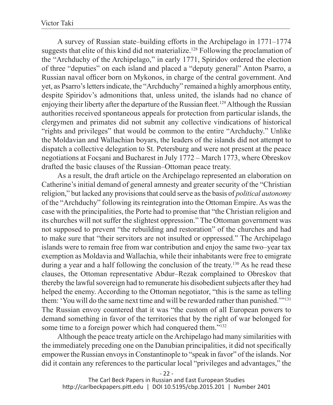A survey of Russian state–building efforts in the Archipelago in 1771–1774 suggests that elite of this kind did not materialize.<sup>128</sup> Following the proclamation of the "Archduchy of the Archipelago," in early 1771, Spiridov ordered the election of three "deputies" on each island and placed a "deputy general" Anton Psarro, a Russian naval officer born on Mykonos, in charge of the central government. And yet, as Psarro's letters indicate, the "Archduchy" remained a highly amorphous entity, despite Spiridov's admonitions that, unless united, the islands had no chance of enjoying their liberty after the departure of the Russian fleet.<sup>129</sup> Although the Russian authorities received spontaneous appeals for protection from particular islands, the clergymen and primates did not submit any collective vindications of historical "rights and privileges" that would be common to the entire "Archduchy." Unlike the Moldavian and Wallachian boyars, the leaders of the islands did not attempt to dispatch a collective delegation to St. Petersburg and were not present at the peace negotiations at Focșani and Bucharest in July 1772 – March 1773, where Obreskov drafted the basic clauses of the Russian–Ottoman peace treaty.

As a result, the draft article on the Archipelago represented an elaboration on Catherine's initial demand of general amnesty and greater security of the "Christian religion," but lacked any provisions that could serve as the basis of *political autonomy* of the "Archduchy" following its reintegration into the Ottoman Empire. As was the case with the principalities, the Porte had to promise that "the Christian religion and its churches will not suffer the slightest oppression." The Ottoman government was not supposed to prevent "the rebuilding and restoration" of the churches and had to make sure that "their servitors are not insulted or oppressed." The Archipelago islands were to remain free from war contribution and enjoy the same two–year tax exemption as Moldavia and Wallachia, while their inhabitants were free to emigrate during a year and a half following the conclusion of the treaty.130 As he read these clauses, the Ottoman representative Abdur–Rezak complained to Obreskov that thereby the lawful sovereign had to remunerate his disobedient subjects after they had helped the enemy. According to the Ottoman negotiator, "this is the same as telling them: 'You will do the same next time and will be rewarded rather than punished.'"131 The Russian envoy countered that it was "the custom of all European powers to demand something in favor of the territories that by the right of war belonged for some time to a foreign power which had conquered them."<sup>132</sup>

Although the peace treaty article on the Archipelago had many similarities with the immediately preceding one on the Danubian principalities, it did not specifically empower the Russian envoys in Constantinople to "speak in favor" of the islands. Nor did it contain any references to the particular local "privileges and advantages," the

- 22 -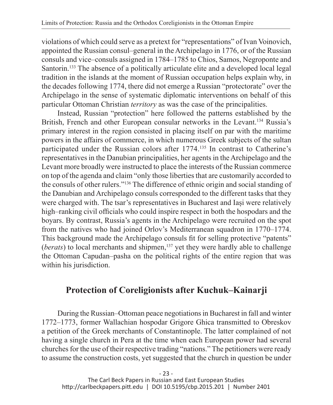violations of which could serve as a pretext for "representations" of Ivan Voinovich, appointed the Russian consul–general in the Archipelago in 1776, or of the Russian consuls and vice–consuls assigned in 1784–1785 to Chios, Samos, Negroponte and Santorin.133 The absence of a politically articulate elite and a developed local legal tradition in the islands at the moment of Russian occupation helps explain why, in the decades following 1774, there did not emerge a Russian "protectorate" over the Archipelago in the sense of systematic diplomatic interventions on behalf of this particular Ottoman Christian *territory* as was the case of the principalities.

Instead, Russian "protection" here followed the patterns established by the British, French and other European consular networks in the Levant.<sup>134</sup> Russia's primary interest in the region consisted in placing itself on par with the maritime powers in the affairs of commerce, in which numerous Greek subjects of the sultan participated under the Russian colors after 1774.135 In contrast to Catherine's representatives in the Danubian principalities, her agents in the Archipelago and the Levant more broadly were instructed to place the interests of the Russian commerce on top of the agenda and claim "only those liberties that are customarily accorded to the consuls of other rulers."136 The difference of ethnic origin and social standing of the Danubian and Archipelago consuls corresponded to the different tasks that they were charged with. The tsar's representatives in Bucharest and Iași were relatively high–ranking civil officials who could inspire respect in both the hospodars and the boyars. By contrast, Russia's agents in the Archipelago were recruited on the spot from the natives who had joined Orlov's Mediterranean squadron in 1770–1774. This background made the Archipelago consuls fit for selling protective "patents" (*berats*) to local merchants and shipmen,137 yet they were hardly able to challenge the Ottoman Capudan–pasha on the political rights of the entire region that was within his jurisdiction.

## **Protection of Coreligionists after Kuchuk–Kainarji**

During the Russian–Ottoman peace negotiations in Bucharest in fall and winter 1772–1773, former Wallachian hospodar Grigore Ghica transmitted to Obreskov a petition of the Greek merchants of Constantinople. The latter complained of not having a single church in Pera at the time when each European power had several churches for the use of their respective trading "nations." The petitioners were ready to assume the construction costs, yet suggested that the church in question be under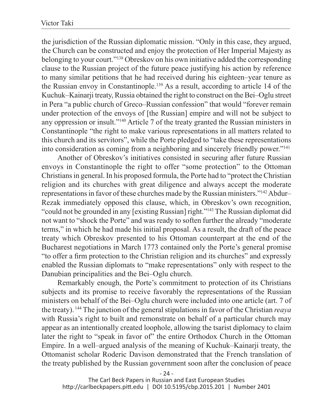the jurisdiction of the Russian diplomatic mission. "Only in this case, they argued, the Church can be constructed and enjoy the protection of Her Imperial Majesty as belonging to your court."138 Obreskov on his own initiative added the corresponding clause to the Russian project of the future peace justifying his action by reference to many similar petitions that he had received during his eighteen–year tenure as the Russian envoy in Constantinople.139 As a result, according to article 14 of the Kuchuk–Kainarji treaty, Russia obtained the right to construct on the Bei–Oglu street in Pera "a public church of Greco–Russian confession" that would "forever remain under protection of the envoys of [the Russian] empire and will not be subject to any oppression or insult."140 Article 7 of the treaty granted the Russian ministers in Constantinople "the right to make various representations in all matters related to this church and its servitors", while the Porte pledged to "take these representations into consideration as coming from a neighboring and sincerely friendly power."141

Another of Obreskov's initiatives consisted in securing after future Russian envoys in Constantinople the right to offer "some protection" to the Ottoman Christians in general. In his proposed formula, the Porte had to "protect the Christian religion and its churches with great diligence and always accept the moderate representations in favor of these churches made by the Russian ministers."142 Abdur– Rezak immediately opposed this clause, which, in Obreskov's own recognition, "could not be grounded in any [existing Russian] right."143 The Russian diplomat did not want to "shock the Porte" and was ready to soften further the already "moderate terms," in which he had made his initial proposal. As a result, the draft of the peace treaty which Obreskov presented to his Ottoman counterpart at the end of the Bucharest negotiations in March 1773 contained only the Porte's general promise "to offer a firm protection to the Christian religion and its churches" and expressly enabled the Russian diplomats to "make representations" only with respect to the Danubian principalities and the Bei–Oglu church.

Remarkably enough, the Porte's commitment to protection of its Christians subjects and its promise to receive favorably the representations of the Russian ministers on behalf of the Bei–Oglu church were included into one article (art. 7 of the treaty). 144 The junction of the general stipulations in favor of the Christian *reaya* with Russia's right to built and remonstrate on behalf of a particular church may appear as an intentionally created loophole, allowing the tsarist diplomacy to claim later the right to "speak in favor of" the entire Orthodox Church in the Ottoman Empire. In a well–argued analysis of the meaning of Kuchuk–Kainarji treaty, the Ottomanist scholar Roderic Davison demonstrated that the French translation of the treaty published by the Russian government soon after the conclusion of peace

- 24 -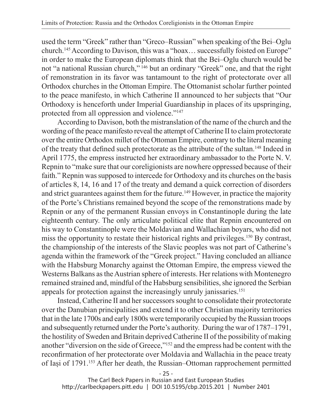used the term "Greek" rather than "Greco–Russian" when speaking of the Bei–Oglu church.145 According to Davison, this was a "hoax… successfully foisted on Europe" in order to make the European diplomats think that the Bei–Oglu church would be not "a national Russian church," 146 but an ordinary "Greek" one, and that the right of remonstration in its favor was tantamount to the right of protectorate over all Orthodox churches in the Ottoman Empire. The Ottomanist scholar further pointed to the peace manifesto, in which Catherine II announced to her subjects that "Our Orthodoxy is henceforth under Imperial Guardianship in places of its upspringing, protected from all oppression and violence."147

According to Davison, both the mistranslation of the name of the church and the wording of the peace manifesto reveal the attempt of Catherine II to claim protectorate over the entire Orthodox millet of the Ottoman Empire, contrary to the literal meaning of the treaty that defined such protectorate as the attribute of the sultan.148 Indeed in April 1775, the empress instructed her extraordinary ambassador to the Porte N. V. Repnin to "make sure that our coreligionists are nowhere oppressed because of their faith." Repnin was supposed to intercede for Orthodoxy and its churches on the basis of articles 8, 14, 16 and 17 of the treaty and demand a quick correction of disorders and strict guarantees against them for the future.<sup>149</sup> However, in practice the majority of the Porte's Christians remained beyond the scope of the remonstrations made by Repnin or any of the permanent Russian envoys in Constantinople during the late eighteenth century. The only articulate political elite that Repnin encountered on his way to Constantinople were the Moldavian and Wallachian boyars, who did not miss the opportunity to restate their historical rights and privileges.<sup>150</sup> By contrast, the championship of the interests of the Slavic peoples was not part of Catherine's agenda within the framework of the "Greek project." Having concluded an alliance with the Habsburg Monarchy against the Ottoman Empire, the empress viewed the Westerns Balkans as the Austrian sphere of interests. Her relations with Montenegro remained strained and, mindful of the Habsburg sensibilities, she ignored the Serbian appeals for protection against the increasingly unruly janissaries.<sup>151</sup>

Instead, Catherine II and her successors sought to consolidate their protectorate over the Danubian principalities and extend it to other Christian majority territories that in the late 1700s and early 1800s were temporarily occupied by the Russian troops and subsequently returned under the Porte's authority. During the war of 1787–1791, the hostility of Sweden and Britain deprived Catherine II of the possibility of making another "diversion on the side of Greece,"152 and the empress had be content with the reconfirmation of her protectorate over Moldavia and Wallachia in the peace treaty of Iași of 1791.153 After her death, the Russian–Ottoman rapprochement permitted

- 25 -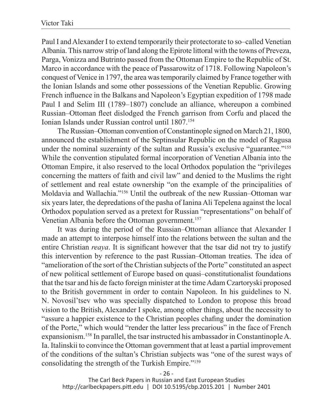Paul I and Alexander I to extend temporarily their protectorate to so–called Venetian Albania. This narrow strip of land along the Epirote littoral with the towns of Preveza, Parga, Vonizza and Butrinto passed from the Ottoman Empire to the Republic of St. Marco in accordance with the peace of Passarowitz of 1718. Following Napoleon's conquest of Venice in 1797, the area was temporarily claimed by France together with the Ionian Islands and some other possessions of the Venetian Republic. Growing French influence in the Balkans and Napoleon's Egyptian expedition of 1798 made Paul I and Selim III (1789–1807) conclude an alliance, whereupon a combined Russian–Ottoman fleet dislodged the French garrison from Corfu and placed the Ionian Islands under Russian control until 1807.154

The Russian–Ottoman convention of Constantinople signed on March 21, 1800, announced the establishment of the Septinsular Republic on the model of Ragusa under the nominal suzerainty of the sultan and Russia's exclusive "guarantee."155 While the convention stipulated formal incorporation of Venetian Albania into the Ottoman Empire, it also reserved to the local Orthodox population the "privileges concerning the matters of faith and civil law" and denied to the Muslims the right of settlement and real estate ownership "on the example of the principalities of Moldavia and Wallachia."156 Until the outbreak of the new Russian–Ottoman war six years later, the depredations of the pasha of Ianina Ali Tepelena against the local Orthodox population served as a pretext for Russian "representations" on behalf of Venetian Albania before the Ottoman government.<sup>157</sup>

It was during the period of the Russian–Ottoman alliance that Alexander I made an attempt to interpose himself into the relations between the sultan and the entire Christian *reaya*. It is significant however that the tsar did not try to justify this intervention by reference to the past Russian–Ottoman treaties. The idea of "amelioration of the sort of the Christian subjects of the Porte" constituted an aspect of new political settlement of Europe based on quasi–constitutionalist foundations that the tsar and his de facto foreign minister at the time Adam Czartoryski proposed to the British government in order to contain Napoleon. In his guidelines to N. N. Novosil'tsev who was specially dispatched to London to propose this broad vision to the British, Alexander I spoke, among other things, about the necessity to "assure a happier existence to the Christian peoples chafing under the domination of the Porte," which would "render the latter less precarious" in the face of French expansionism.158 In parallel, the tsar instructed his ambassador in Constantinople A. Ia. Italinskii to convince the Ottoman government that at least a partial improvement of the conditions of the sultan's Christian subjects was "one of the surest ways of consolidating the strength of the Turkish Empire."159

- 26 -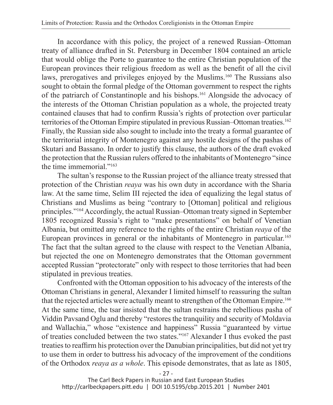In accordance with this policy, the project of a renewed Russian–Ottoman treaty of alliance drafted in St. Petersburg in December 1804 contained an article that would oblige the Porte to guarantee to the entire Christian population of the European provinces their religious freedom as well as the benefit of all the civil laws, prerogatives and privileges enjoyed by the Muslims.<sup>160</sup> The Russians also sought to obtain the formal pledge of the Ottoman government to respect the rights of the patriarch of Constantinople and his bishops.161 Alongside the advocacy of the interests of the Ottoman Christian population as a whole, the projected treaty contained clauses that had to confirm Russia's rights of protection over particular territories of the Ottoman Empire stipulated in previous Russian–Ottoman treaties.<sup>162</sup> Finally, the Russian side also sought to include into the treaty a formal guarantee of the territorial integrity of Montenegro against any hostile designs of the pashas of Skutari and Bassano. In order to justify this clause, the authors of the draft evoked the protection that the Russian rulers offered to the inhabitants of Montenegro "since the time immemorial."163

The sultan's response to the Russian project of the alliance treaty stressed that protection of the Christian *reaya* was his own duty in accordance with the Sharia law. At the same time, Selim III rejected the idea of equalizing the legal status of Christians and Muslims as being "contrary to [Ottoman] political and religious principles."164 Accordingly, the actual Russian–Ottoman treaty signed in September 1805 recognized Russia's right to "make presentations" on behalf of Venetian Albania, but omitted any reference to the rights of the entire Christian *reaya* of the European provinces in general or the inhabitants of Montenegro in particular.<sup>165</sup> The fact that the sultan agreed to the clause with respect to the Venetian Albania, but rejected the one on Montenegro demonstrates that the Ottoman government accepted Russian "protectorate" only with respect to those territories that had been stipulated in previous treaties.

Confronted with the Ottoman opposition to his advocacy of the interests of the Ottoman Christians in general, Alexander I limited himself to reassuring the sultan that the rejected articles were actually meant to strengthen of the Ottoman Empire.166 At the same time, the tsar insisted that the sultan restrains the rebellious pasha of Viddin Pavsand Oglu and thereby "restores the tranquility and security of Moldavia and Wallachia," whose "existence and happiness" Russia "guaranteed by virtue of treaties concluded between the two states."167 Alexander I thus evoked the past treaties to reaffirm his protection over the Danubian principalities, but did not yet try to use them in order to buttress his advocacy of the improvement of the conditions of the Orthodox *reaya as a whole*. This episode demonstrates, that as late as 1805,

- 27 -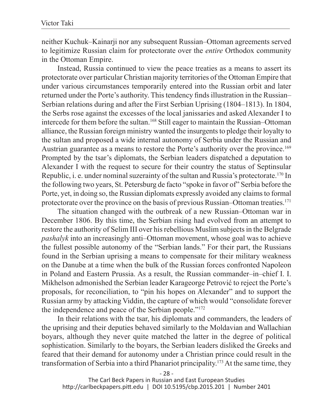neither Kuchuk–Kainarji nor any subsequent Russian–Ottoman agreements served to legitimize Russian claim for protectorate over the *entire* Orthodox community in the Ottoman Empire.

Instead, Russia continued to view the peace treaties as a means to assert its protectorate over particular Christian majority territories of the Ottoman Empire that under various circumstances temporarily entered into the Russian orbit and later returned under the Porte's authority. This tendency finds illustration in the Russian– Serbian relations during and after the First Serbian Uprising (1804–1813). In 1804, the Serbs rose against the excesses of the local janissaries and asked Alexander I to intercede for them before the sultan.168 Still eager to maintain the Russian–Ottoman alliance, the Russian foreign ministry wanted the insurgents to pledge their loyalty to the sultan and proposed a wide internal autonomy of Serbia under the Russian and Austrian guarantee as a means to restore the Porte's authority over the province.169 Prompted by the tsar's diplomats, the Serbian leaders dispatched a deputation to Alexander I with the request to secure for their country the status of Septinsular Republic, i. e. under nominal suzerainty of the sultan and Russia's protectorate.170 In the following two years, St. Petersburg de facto "spoke in favor of" Serbia before the Porte, yet, in doing so, the Russian diplomats expressly avoided any claims to formal protectorate over the province on the basis of previous Russian–Ottoman treaties.171

The situation changed with the outbreak of a new Russian–Ottoman war in December 1806. By this time, the Serbian rising had evolved from an attempt to restore the authority of Selim III over his rebellious Muslim subjects in the Belgrade *pashalyk* into an increasingly anti–Ottoman movement, whose goal was to achieve the fullest possible autonomy of the "Serbian lands." For their part, the Russians found in the Serbian uprising a means to compensate for their military weakness on the Danube at a time when the bulk of the Russian forces confronted Napoleon in Poland and Eastern Prussia. As a result, the Russian commander–in–chief I. I. Mikhelson admonished the Serbian leader Karageorge Petrović to reject the Porte's proposals, for reconciliation, to "pin his hopes on Alexander" and to support the Russian army by attacking Viddin, the capture of which would "consolidate forever the independence and peace of the Serbian people."172

In their relations with the tsar, his diplomats and commanders, the leaders of the uprising and their deputies behaved similarly to the Moldavian and Wallachian boyars, although they never quite matched the latter in the degree of political sophistication. Similarly to the boyars, the Serbian leaders disliked the Greeks and feared that their demand for autonomy under a Christian prince could result in the transformation of Serbia into a third Phanariot principality.173 At the same time, they

- 28 -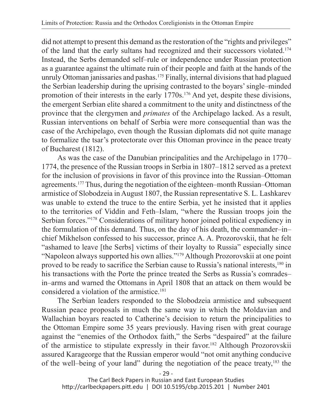did not attempt to present this demand as the restoration of the "rights and privileges" of the land that the early sultans had recognized and their successors violated.174 Instead, the Serbs demanded self–rule or independence under Russian protection as a guarantee against the ultimate ruin of their people and faith at the hands of the unruly Ottoman janissaries and pashas.<sup>175</sup> Finally, internal divisions that had plagued the Serbian leadership during the uprising contrasted to the boyars' single–minded promotion of their interests in the early 1770s.176 And yet, despite these divisions, the emergent Serbian elite shared a commitment to the unity and distinctness of the province that the clergymen and *primates* of the Archipelago lacked. As a result, Russian interventions on behalf of Serbia were more consequential than was the case of the Archipelago, even though the Russian diplomats did not quite manage to formalize the tsar's protectorate over this Ottoman province in the peace treaty of Bucharest (1812).

As was the case of the Danubian principalities and the Archipelago in 1770– 1774, the presence of the Russian troops in Serbia in 1807–1812 served as a pretext for the inclusion of provisions in favor of this province into the Russian–Ottoman agreements.177 Thus, during the negotiation of the eighteen–month Russian–Ottoman armistice of Slobodzeia in August 1807, the Russian representative S. L. Lashkarev was unable to extend the truce to the entire Serbia, yet he insisted that it applies to the territories of Viddin and Feth–Islam, "where the Russian troops join the Serbian forces."178 Considerations of military honor joined political expediency in the formulation of this demand. Thus, on the day of his death, the commander–in– chief Mikhelson confessed to his successor, prince A. A. Prozorovskii, that he felt "ashamed to leave [the Serbs] victims of their loyalty to Russia" especially since "Napoleon always supported his own allies."179 Although Prozorovskii at one point proved to be ready to sacrifice the Serbian cause to Russia's national interests,180 in his transactions with the Porte the prince treated the Serbs as Russia's comrades– in–arms and warned the Ottomans in April 1808 that an attack on them would be considered a violation of the armistice.<sup>181</sup>

The Serbian leaders responded to the Slobodzeia armistice and subsequent Russian peace proposals in much the same way in which the Moldavian and Wallachian boyars reacted to Catherine's decision to return the principalities to the Ottoman Empire some 35 years previously. Having risen with great courage against the "enemies of the Orthodox faith," the Serbs "despaired" at the failure of the armistice to stipulate expressly in their favor.<sup>182</sup> Although Prozorovskii assured Karageorge that the Russian emperor would "not omit anything conducive of the well–being of your land" during the negotiation of the peace treaty,183 the

- 29 -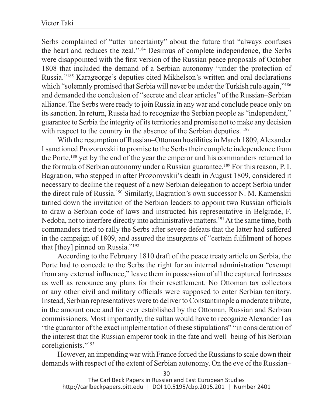Serbs complained of "utter uncertainty" about the future that "always confuses the heart and reduces the zeal."184 Desirous of complete independence, the Serbs were disappointed with the first version of the Russian peace proposals of October 1808 that included the demand of a Serbian autonomy "under the protection of Russia."185 Karageorge's deputies cited Mikhelson's written and oral declarations which "solemnly promised that Serbia will never be under the Turkish rule again,"<sup>186</sup> and demanded the conclusion of "secrete and clear articles" of the Russian–Serbian alliance. The Serbs were ready to join Russia in any war and conclude peace only on its sanction. In return, Russia had to recognize the Serbian people as "independent," guarantee to Serbia the integrity of its territories and promise not to make any decision with respect to the country in the absence of the Serbian deputies. <sup>187</sup>

With the resumption of Russian–Ottoman hostilities in March 1809, Alexander I sanctioned Prozorovskii to promise to the Serbs their complete independence from the Porte,188 yet by the end of the year the emperor and his commanders returned to the formula of Serbian autonomy under a Russian guarantee.189 For this reason, P. I. Bagration, who stepped in after Prozorovskii's death in August 1809, considered it necessary to decline the request of a new Serbian delegation to accept Serbia under the direct rule of Russia.190 Similarly, Bagration's own successor N. M. Kamenskii turned down the invitation of the Serbian leaders to appoint two Russian officials to draw a Serbian code of laws and instructed his representative in Belgrade, F. Nedoba, not to interfere directly into administrative matters.<sup>191</sup> At the same time, both commanders tried to rally the Serbs after severe defeats that the latter had suffered in the campaign of 1809, and assured the insurgents of "certain fulfilment of hopes that [they] pinned on Russia."192

According to the February 1810 draft of the peace treaty article on Serbia, the Porte had to concede to the Serbs the right for an internal administration "exempt from any external influence," leave them in possession of all the captured fortresses as well as renounce any plans for their resettlement. No Ottoman tax collectors or any other civil and military officials were supposed to enter Serbian territory. Instead, Serbian representatives were to deliver to Constantinople a moderate tribute, in the amount once and for ever established by the Ottoman, Russian and Serbian commissioners. Most importantly, the sultan would have to recognize Alexander I as "the guarantor of the exact implementation of these stipulations" "in consideration of the interest that the Russian emperor took in the fate and well–being of his Serbian coreligionists."193

However, an impending war with France forced the Russians to scale down their demands with respect of the extent of Serbian autonomy. On the eve of the Russian–

- 30 -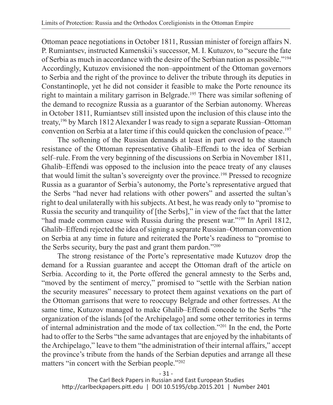Ottoman peace negotiations in October 1811, Russian minister of foreign affairs N. P. Rumiantsev, instructed Kamenskii's successor, M. I. Kutuzov, to "secure the fate of Serbia as much in accordance with the desire of the Serbian nation as possible."194 Accordingly, Kutuzov envisioned the non–appointment of the Ottoman governors to Serbia and the right of the province to deliver the tribute through its deputies in Constantinople, yet he did not consider it feasible to make the Porte renounce its right to maintain a military garrison in Belgrade.195 There was similar softening of the demand to recognize Russia as a guarantor of the Serbian autonomy. Whereas in October 1811, Rumiantsev still insisted upon the inclusion of this clause into the treaty,196 by March 1812 Alexander I was ready to sign a separate Russian–Ottoman convention on Serbia at a later time if this could quicken the conclusion of peace.197

The softening of the Russian demands at least in part owed to the staunch resistance of the Ottoman representative Ghalib–Effendi to the idea of Serbian self–rule. From the very beginning of the discussions on Serbia in November 1811, Ghalib–Effendi was opposed to the inclusion into the peace treaty of any clauses that would limit the sultan's sovereignty over the province.198 Pressed to recognize Russia as a guarantor of Serbia's autonomy, the Porte's representative argued that the Serbs "had never had relations with other powers" and asserted the sultan's right to deal unilaterally with his subjects. At best, he was ready only to "promise to Russia the security and tranquility of [the Serbs]," in view of the fact that the latter "had made common cause with Russia during the present war."<sup>199</sup> In April 1812, Ghalib–Effendi rejected the idea of signing a separate Russian–Ottoman convention on Serbia at any time in future and reiterated the Porte's readiness to "promise to the Serbs security, bury the past and grant them pardon."200

The strong resistance of the Porte's representative made Kutuzov drop the demand for a Russian guarantee and accept the Ottoman draft of the article on Serbia. According to it, the Porte offered the general amnesty to the Serbs and, "moved by the sentiment of mercy," promised to "settle with the Serbian nation the security measures" necessary to protect them against vexations on the part of the Ottoman garrisons that were to reoccupy Belgrade and other fortresses. At the same time, Kutuzov managed to make Ghalib–Effendi concede to the Serbs "the organization of the islands [of the Archipelago] and some other territories in terms of internal administration and the mode of tax collection."201 In the end, the Porte had to offer to the Serbs "the same advantages that are enjoyed by the inhabitants of the Archipelago," leave to them "the administration of their internal affairs," accept the province's tribute from the hands of the Serbian deputies and arrange all these matters "in concert with the Serbian people."202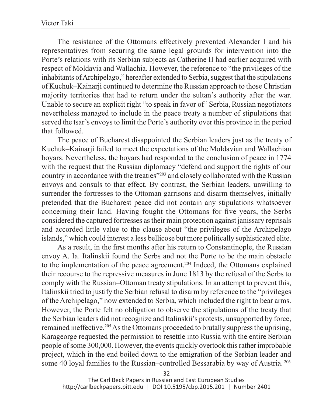The resistance of the Ottomans effectively prevented Alexander I and his representatives from securing the same legal grounds for intervention into the Porte's relations with its Serbian subjects as Catherine II had earlier acquired with respect of Moldavia and Wallachia. However, the reference to "the privileges of the inhabitants of Archipelago," hereafter extended to Serbia, suggest that the stipulations of Kuchuk–Kainarji continued to determine the Russian approach to those Christian majority territories that had to return under the sultan's authority after the war. Unable to secure an explicit right "to speak in favor of" Serbia, Russian negotiators nevertheless managed to include in the peace treaty a number of stipulations that served the tsar's envoys to limit the Porte's authority over this province in the period that followed.

The peace of Bucharest disappointed the Serbian leaders just as the treaty of Kuchuk–Kainarji failed to meet the expectations of the Moldavian and Wallachian boyars. Nevertheless, the boyars had responded to the conclusion of peace in 1774 with the request that the Russian diplomacy "defend and support the rights of our country in accordance with the treaties"<sup>203</sup> and closely collaborated with the Russian envoys and consuls to that effect. By contrast, the Serbian leaders, unwilling to surrender the fortresses to the Ottoman garrisons and disarm themselves, initially pretended that the Bucharest peace did not contain any stipulations whatsoever concerning their land. Having fought the Ottomans for five years, the Serbs considered the captured fortresses as their main protection against janissary reprisals and accorded little value to the clause about "the privileges of the Archipelago islands," which could interest a less bellicose but more politically sophisticated elite.

As a result, in the first months after his return to Constantinople, the Russian envoy A. Ia. Italinskii found the Serbs and not the Porte to be the main obstacle to the implementation of the peace agreement.204 Indeed, the Ottomans explained their recourse to the repressive measures in June 1813 by the refusal of the Serbs to comply with the Russian–Ottoman treaty stipulations. In an attempt to prevent this, Italinskii tried to justify the Serbian refusal to disarm by reference to the "privileges of the Archipelago," now extended to Serbia, which included the right to bear arms. However, the Porte felt no obligation to observe the stipulations of the treaty that the Serbian leaders did not recognize and Italinskii's protests, unsupported by force, remained ineffective.205 As the Ottomans proceeded to brutally suppress the uprising, Karageorge requested the permission to resettle into Russia with the entire Serbian people of some 300,000. However, the events quickly overtook this rather improbable project, which in the end boiled down to the emigration of the Serbian leader and some 40 loyal families to the Russian–controlled Bessarabia by way of Austria. 206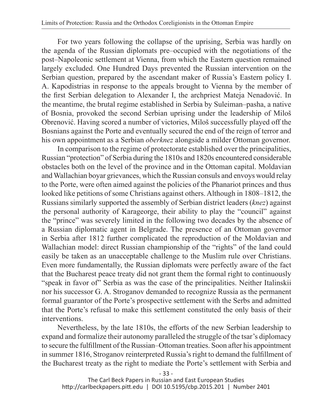For two years following the collapse of the uprising, Serbia was hardly on the agenda of the Russian diplomats pre–occupied with the negotiations of the post–Napoleonic settlement at Vienna, from which the Eastern question remained largely excluded. One Hundred Days prevented the Russian intervention on the Serbian question, prepared by the ascendant maker of Russia's Eastern policy I. A. Kapodistrias in response to the appeals brought to Vienna by the member of the first Serbian delegation to Alexander I, the archpriest Mateja Nenadović. In the meantime, the brutal regime established in Serbia by Suleiman–pasha, a native of Bosnia, provoked the second Serbian uprising under the leadership of Miloš Obrenović. Having scored a number of victories, Miloš successfully played off the Bosnians against the Porte and eventually secured the end of the reign of terror and his own appointment as a Serbian *oberknez* alongside a milder Ottoman governor.

In comparison to the regime of protectorate established over the principalities, Russian "protection" of Serbia during the 1810s and 1820s encountered considerable obstacles both on the level of the province and in the Ottoman capital. Moldavian and Wallachian boyar grievances, which the Russian consuls and envoys would relay to the Porte, were often aimed against the policies of the Phanariot princes and thus looked like petitions of some Christians against others. Although in 1808–1812, the Russians similarly supported the assembly of Serbian district leaders (*knez*) against the personal authority of Karageorge, their ability to play the "council" against the "prince" was severely limited in the following two decades by the absence of a Russian diplomatic agent in Belgrade. The presence of an Ottoman governor in Serbia after 1812 further complicated the reproduction of the Moldavian and Wallachian model: direct Russian championship of the "rights" of the land could easily be taken as an unacceptable challenge to the Muslim rule over Christians. Even more fundamentally, the Russian diplomats were perfectly aware of the fact that the Bucharest peace treaty did not grant them the formal right to continuously "speak in favor of" Serbia as was the case of the principalities. Neither Italinskii nor his successor G. A. Stroganov demanded to recognize Russia as the permanent formal guarantor of the Porte's prospective settlement with the Serbs and admitted that the Porte's refusal to make this settlement constituted the only basis of their interventions.

Nevertheless, by the late 1810s, the efforts of the new Serbian leadership to expand and formalize their autonomy paralleled the struggle of the tsar's diplomacy to secure the fulfillment of the Russian–Ottoman treaties. Soon after his appointment in summer 1816, Stroganov reinterpreted Russia's right to demand the fulfillment of the Bucharest treaty as the right to mediate the Porte's settlement with Serbia and

- 33 -

The Carl Beck Papers in Russian and East European Studies http://carlbeckpapers.pitt.edu | DOI 10.5195/cbp.2015.201 | Number 2401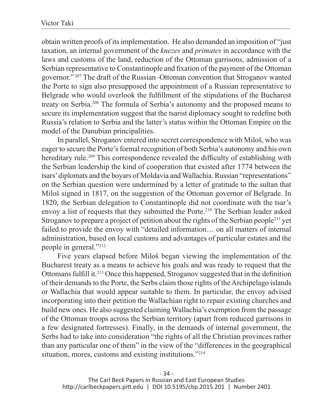obtain written proofs of its implementation. He also demanded an imposition of "just taxation, an internal government of the *knezes* and *primates* in accordance with the laws and customs of the land, reduction of the Ottoman garrisons, admission of a Serbian representative to Constantinople and fixation of the payment of the Ottoman governor." 207 The draft of the Russian–Ottoman convention that Stroganov wanted the Porte to sign also presupposed the appointment of a Russian representative to Belgrade who would overlook the fulfillment of the stipulations of the Bucharest treaty on Serbia.208 The formula of Serbia's autonomy and the proposed means to secure its implementation suggest that the tsarist diplomacy sought to redefine both Russia's relation to Serbia and the latter's status within the Ottoman Empire on the model of the Danubian principalities.

In parallel, Stroganov entered into secret correspondence with Miloš, who was eager to secure the Porte's formal recognition of both Serbia's autonomy and his own hereditary rule.<sup>209</sup> This correspondence revealed the difficulty of establishing with the Serbian leadership the kind of cooperation that existed after 1774 between the tsars' diplomats and the boyars of Moldavia and Wallachia. Russian "representations" on the Serbian question were undermined by a letter of gratitude to the sultan that Miloš signed in 1817, on the suggestion of the Ottoman governor of Belgrade. In 1820, the Serbian delegation to Constantinople did not coordinate with the tsar's envoy a list of requests that they submitted the Porte.210 The Serbian leader asked Stroganov to prepare a project of petition about the rights of the Serbian people<sup>211</sup> yet failed to provide the envoy with "detailed information… on all matters of internal administration, based on local customs and advantages of particular estates and the people in general."212

Five years elapsed before Miloš began viewing the implementation of the Bucharest treaty as a means to achieve his goals and was ready to request that the Ottomans fulfill it.<sup>213</sup> Once this happened, Stroganov suggested that in the definition of their demands to the Porte, the Serbs claim those rights of the Archipelago islands or Wallachia that would appear suitable to them. In particular, the envoy advised incorporating into their petition the Wallachian right to repair existing churches and build new ones. He also suggested claiming Wallachia's exemption from the passage of the Ottoman troops across the Serbian territory (apart from reduced garrisons in a few designated fortresses). Finally, in the demands of internal government, the Serbs had to take into consideration "the rights of all the Christian provinces rather than any particular one of them" in the view of the "differences in the geographical situation, mores, customs and existing institutions."214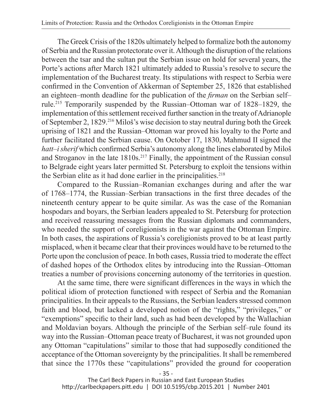The Greek Crisis of the 1820s ultimately helped to formalize both the autonomy of Serbia and the Russian protectorate over it. Although the disruption of the relations between the tsar and the sultan put the Serbian issue on hold for several years, the Porte's actions after March 1821 ultimately added to Russia's resolve to secure the implementation of the Bucharest treaty. Its stipulations with respect to Serbia were confirmed in the Convention of Akkerman of September 25, 1826 that established an eighteen–month deadline for the publication of the *firman* on the Serbian self– rule.215 Temporarily suspended by the Russian–Ottoman war of 1828–1829, the implementation of this settlement received further sanction in the treaty of Adrianople of September 2, 1829.216 Miloš's wise decision to stay neutral during both the Greek uprising of 1821 and the Russian–Ottoman war proved his loyalty to the Porte and further facilitated the Serbian cause. On October 17, 1830, Mahmud II signed the *hatt–i sherif* which confirmed Serbia's autonomy along the lines elaborated by Miloš and Stroganov in the late 1810s.<sup>217</sup> Finally, the appointment of the Russian consul to Belgrade eight years later permitted St. Petersburg to exploit the tensions within the Serbian elite as it had done earlier in the principalities.<sup>218</sup>

Compared to the Russian–Romanian exchanges during and after the war of 1768–1774, the Russian–Serbian transactions in the first three decades of the nineteenth century appear to be quite similar. As was the case of the Romanian hospodars and boyars, the Serbian leaders appealed to St. Petersburg for protection and received reassuring messages from the Russian diplomats and commanders, who needed the support of coreligionists in the war against the Ottoman Empire. In both cases, the aspirations of Russia's coreligionists proved to be at least partly misplaced, when it became clear that their provinces would have to be returned to the Porte upon the conclusion of peace. In both cases, Russia tried to moderate the effect of dashed hopes of the Orthodox elites by introducing into the Russian–Ottoman treaties a number of provisions concerning autonomy of the territories in question.

At the same time, there were significant differences in the ways in which the political idiom of protection functioned with respect of Serbia and the Romanian principalities. In their appeals to the Russians, the Serbian leaders stressed common faith and blood, but lacked a developed notion of the "rights," "privileges," or "exemptions" specific to their land, such as had been developed by the Wallachian and Moldavian boyars. Although the principle of the Serbian self–rule found its way into the Russian–Ottoman peace treaty of Bucharest, it was not grounded upon any Ottoman "capitulations" similar to those that had supposedly conditioned the acceptance of the Ottoman sovereignty by the principalities. It shall be remembered that since the 1770s these "capitulations" provided the ground for cooperation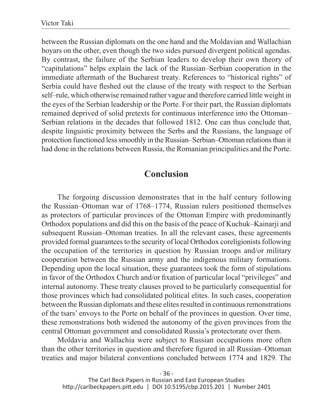between the Russian diplomats on the one hand and the Moldavian and Wallachian boyars on the other, even though the two sides pursued divergent political agendas. By contrast, the failure of the Serbian leaders to develop their own theory of "capitulations" helps explain the lack of the Russian–Serbian cooperation in the immediate aftermath of the Bucharest treaty. References to "historical rights" of Serbia could have fleshed out the clause of the treaty with respect to the Serbian self–rule, which otherwise remained rather vague and therefore carried little weight in the eyes of the Serbian leadership or the Porte. For their part, the Russian diplomats remained deprived of solid pretexts for continuous interference into the Ottoman– Serbian relations in the decades that followed 1812. One can thus conclude that, despite linguistic proximity between the Serbs and the Russians, the language of protection functioned less smoothly in the Russian–Serbian–Ottoman relations than it had done in the relations between Russia, the Romanian principalities and the Porte.

## **Conclusion**

The forgoing discussion demonstrates that in the half century following the Russian–Ottoman war of 1768–1774, Russian rulers positioned themselves as protectors of particular provinces of the Ottoman Empire with predominantly Orthodox populations and did this on the basis of the peace of Kuchuk–Kainarji and subsequent Russian–Ottoman treaties. In all the relevant cases, these agreements provided formal guarantees to the security of local Orthodox coreligionists following the occupation of the territories in question by Russian troops and/or military cooperation between the Russian army and the indigenous military formations. Depending upon the local situation, these guarantees took the form of stipulations in favor of the Orthodox Church and/or fixation of particular local "privileges" and internal autonomy. These treaty clauses proved to be particularly consequential for those provinces which had consolidated political elites. In such cases, cooperation between the Russian diplomats and these elites resulted in continuous remonstrations of the tsars' envoys to the Porte on behalf of the provinces in question. Over time, these remonstrations both widened the autonomy of the given provinces from the central Ottoman government and consolidated Russia's protectorate over them.

Moldavia and Wallachia were subject to Russian occupations more often than the other territories in question and therefore figured in all Russian–Ottoman treaties and major bilateral conventions concluded between 1774 and 1829. The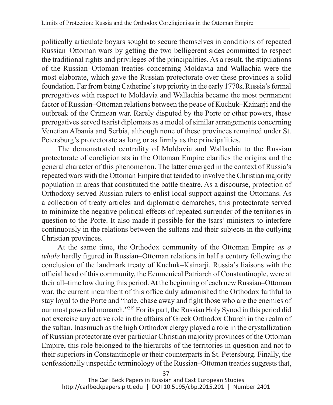politically articulate boyars sought to secure themselves in conditions of repeated Russian–Ottoman wars by getting the two belligerent sides committed to respect the traditional rights and privileges of the principalities. As a result, the stipulations of the Russian–Ottoman treaties concerning Moldavia and Wallachia were the most elaborate, which gave the Russian protectorate over these provinces a solid foundation. Far from being Catherine's top priority in the early 1770s, Russia's formal prerogatives with respect to Moldavia and Wallachia became the most permanent factor of Russian–Ottoman relations between the peace of Kuchuk–Kainarji and the outbreak of the Crimean war. Rarely disputed by the Porte or other powers, these prerogatives served tsarist diplomats as a model of similar arrangements concerning Venetian Albania and Serbia, although none of these provinces remained under St. Petersburg's protectorate as long or as firmly as the principalities.

The demonstrated centrality of Moldavia and Wallachia to the Russian protectorate of coreligionists in the Ottoman Empire clarifies the origins and the general character of this phenomenon. The latter emerged in the context of Russia's repeated wars with the Ottoman Empire that tended to involve the Christian majority population in areas that constituted the battle theatre. As a discourse, protection of Orthodoxy served Russian rulers to enlist local support against the Ottomans. As a collection of treaty articles and diplomatic demarches, this protectorate served to minimize the negative political effects of repeated surrender of the territories in question to the Porte. It also made it possible for the tsars' ministers to interfere continuously in the relations between the sultans and their subjects in the outlying Christian provinces.

At the same time, the Orthodox community of the Ottoman Empire *as a whole* hardly figured in Russian–Ottoman relations in half a century following the conclusion of the landmark treaty of Kuchuk–Kainarji. Russia's liaisons with the official head of this community, the Ecumenical Patriarch of Constantinople, were at their all–time low during this period. At the beginning of each new Russian–Ottoman war, the current incumbent of this office duly admonished the Orthodox faithful to stay loyal to the Porte and "hate, chase away and fight those who are the enemies of our most powerful monarch."219 For its part, the Russian Holy Synod in this period did not exercise any active role in the affairs of Greek Orthodox Church in the realm of the sultan. Inasmuch as the high Orthodox clergy played a role in the crystallization of Russian protectorate over particular Christian majority provinces of the Ottoman Empire, this role belonged to the hierarchs of the territories in question and not to their superiors in Constantinople or their counterparts in St. Petersburg. Finally, the confessionally unspecific terminology of the Russian–Ottoman treaties suggests that,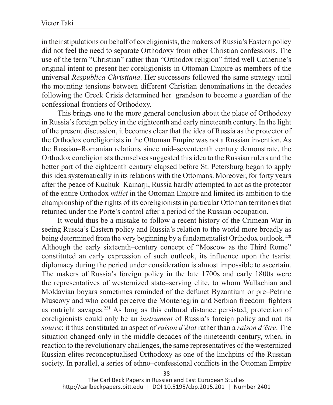in their stipulations on behalf of coreligionists, the makers of Russia's Eastern policy did not feel the need to separate Orthodoxy from other Christian confessions. The use of the term "Christian" rather than "Orthodox religion" fitted well Catherine's original intent to present her coreligionists in Ottoman Empire as members of the universal *Respublica Christiana*. Her successors followed the same strategy until the mounting tensions between different Christian denominations in the decades following the Greek Crisis determined her grandson to become a guardian of the confessional frontiers of Orthodoxy.

This brings one to the more general conclusion about the place of Orthodoxy in Russia's foreign policy in the eighteenth and early nineteenth century. In the light of the present discussion, it becomes clear that the idea of Russia as the protector of the Orthodox coreligionists in the Ottoman Empire was not a Russian invention. As the Russian–Romanian relations since mid–seventeenth century demonstrate, the Orthodox coreligionists themselves suggested this idea to the Russian rulers and the better part of the eighteenth century elapsed before St. Petersburg began to apply this idea systematically in its relations with the Ottomans. Moreover, for forty years after the peace of Kuchuk–Kainarji, Russia hardly attempted to act as the protector of the entire Orthodox *millet* in the Ottoman Empire and limited its ambition to the championship of the rights of its coreligionists in particular Ottoman territories that returned under the Porte's control after a period of the Russian occupation.

It would thus be a mistake to follow a recent history of the Crimean War in seeing Russia's Eastern policy and Russia's relation to the world more broadly as being determined from the very beginning by a fundamentalist Orthodox outlook.<sup>220</sup> Although the early sixteenth–century concept of "Moscow as the Third Rome" constituted an early expression of such outlook, its influence upon the tsarist diplomacy during the period under consideration is almost impossible to ascertain. The makers of Russia's foreign policy in the late 1700s and early 1800s were the representatives of westernized state–serving elite, to whom Wallachian and Moldavian boyars sometimes reminded of the defunct Byzantium or pre–Petrine Muscovy and who could perceive the Montenegrin and Serbian freedom–fighters as outright savages.221 As long as this cultural distance persisted, protection of coreligionists could only be an *instrument* of Russia's foreign policy and not its *source*; it thus constituted an aspect of *raison d'état* rather than a *raison d'être*. The situation changed only in the middle decades of the nineteenth century, when, in reaction to the revolutionary challenges, the same representatives of the westernized Russian elites reconceptualised Orthodoxy as one of the linchpins of the Russian society. In parallel, a series of ethno–confessional conflicts in the Ottoman Empire

- 38 -

The Carl Beck Papers in Russian and East European Studies http://carlbeckpapers.pitt.edu | DOI 10.5195/cbp.2015.201 | Number 2401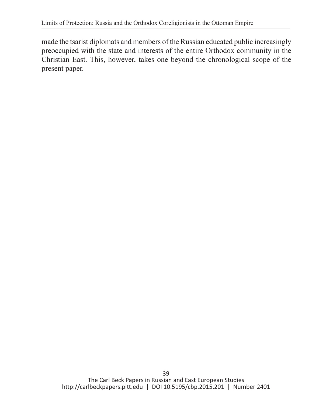made the tsarist diplomats and members of the Russian educated public increasingly preoccupied with the state and interests of the entire Orthodox community in the Christian East. This, however, takes one beyond the chronological scope of the present paper.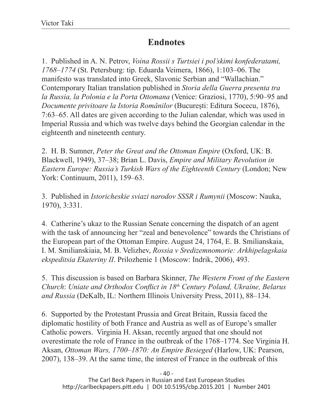## **Endnotes**

1. Published in A. N. Petrov, *Voina Rossii s Turtsiei i pol'skimi konfederatami, 1768–1774* (St. Petersburg: tip. Eduarda Veimera, 1866), 1:103–06. The manifesto was translated into Greek, Slavonic Serbian and "Wallachian." Contemporary Italian translation published in *Storia della Guerra presenta tra la Russia, la Polonia e la Porta Ottomana* (Venice: Graziosi, 1770), 5:90–95 and *Documente privitoare la Istoria Românilor* (București: Editura Socecu, 1876), 7:63–65. All dates are given according to the Julian calendar, which was used in Imperial Russia and which was twelve days behind the Georgian calendar in the eighteenth and nineteenth century.

2. H. B. Sumner, *Peter the Great and the Ottoman Empire* (Oxford, UK: B. Blackwell, 1949), 37–38; Brian L. Davis, *Empire and Military Revolution in Eastern Europe: Russia's Turkish Wars of the Eighteenth Century* (London; New York: Continuum, 2011), 159–63.

3. Published in *Istoricheskie sviazi narodov SSSR i Rumynii* (Moscow: Nauka, 1970), 3:331.

4. Catherine's ukaz to the Russian Senate concerning the dispatch of an agent with the task of announcing her "zeal and benevolence" towards the Christians of the European part of the Ottoman Empire. August 24, 1764, E. B. Smilianskaia, I. M. Smilianskiaia, M. B. Velizhev, *Rossia v Sredizemnomorie: Arkhipelagskaia ekspeditsia Ekateriny II*. Prilozhenie 1 (Moscow: Indrik, 2006), 493.

5. This discussion is based on Barbara Skinner, *The Western Front of the Eastern Church*: *Uniate and Orthodox Conflict in 18th Century Poland, Ukraine, Belarus and Russia* (DeKalb, IL: Northern Illinois University Press, 2011), 88–134.

6. Supported by the Protestant Prussia and Great Britain, Russia faced the diplomatic hostility of both France and Austria as well as of Europe's smaller Catholic powers. Virginia H. Aksan, recently argued that one should not overestimate the role of France in the outbreak of the 1768–1774. See Virginia H. Aksan, *Ottoman Wars, 1700–1870: An Empire Besieged* (Harlow, UK: Pearson, 2007), 138–39. At the same time, the interest of France in the outbreak of this

 $-40-$ The Carl Beck Papers in Russian and East European Studies http://carlbeckpapers.pitt.edu | DOI 10.5195/cbp.2015.201 | Number 2401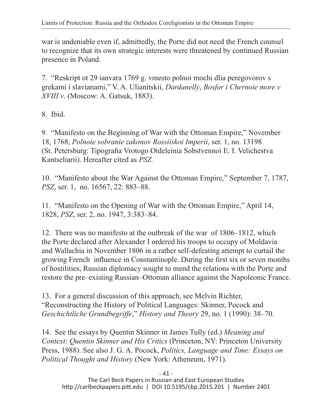war is undeniable even if, admittedly, the Porte did not need the French counsel to recognize that its own strategic interests were threatened by continued Russian presence in Poland.

7. "Reskript ot 29 ianvara 1769 g. vmesto polnoi mochi dlia peregovorov s grekami i slavianami," V. A. Ulianitskii, *Dardanelly*, *Bosfor i Chernoie more v XVIII v*. (Moscow: A. Gatsuk, 1883).

8. Ibid.

9. "Manifesto on the Beginning of War with the Ottoman Empire," November 18, 1768, *Polnoie sobranie zakonov Rossiiskoi Imperii*, ser. 1, no. 13198 (St. Petersburg: Tipografia Vrotogo Otdeleinia Sobstvennoi E. I. Velichestva Kantseliarii). Hereafter cited as *PSZ.*

10. "Manifesto about the War Against the Ottoman Empire," September 7, 1787, *PSZ*, ser. 1, no. 16567, 22: 883–88.

11. "Manifesto on the Opening of War with the Ottoman Empire," April 14, 1828, *PSZ*, ser. 2, no. 1947, 3:383–84.

12. There was no manifesto at the outbreak of the war of 1806–1812, which the Porte declared after Alexander I ordered his troops to occupy of Moldavia and Wallachia in November 1806 in a rather self-defeating attempt to curtail the growing French influence in Constantinople. During the first six or seven months of hostilities, Russian diplomacy sought to mend the relations with the Porte and restore the pre–existing Russian–Ottoman alliance against the Napoleonic France.

13. For a general discussion of this approach, see Melvin Richter, "Reconstructing the History of Political Languages: Skinner, Pocock and *Geschichtliche Grundbegriffe*," *History and Theory* 29, no. 1 (1990): 38–70.

14. See the essays by Quentin Skinner in James Tully (ed.) *Meaning and Context: Quentin Skinner and His Critics* (Princeton, NY: Princeton University Press, 1988). See also J. G. A. Pocock, *Politics, Language and Time: Essays on Political Thought and History* (New York: Atheneum, 1971).

The Carl Beck Papers in Russian and East European Studies http://carlbeckpapers.pitt.edu | DOI 10.5195/cbp.2015.201 | Number 2401

- 41 -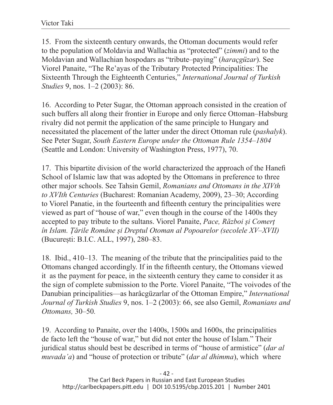15. From the sixteenth century onwards, the Ottoman documents would refer to the population of Moldavia and Wallachia as "protected" (*zimmi*) and to the Moldavian and Wallachian hospodars as "tribute–paying" (*haraçgüzar*). See Viorel Panaite, "The Re'ayas of the Tributary Protected Principalities: The Sixteenth Through the Eighteenth Centuries," *International Journal of Turkish Studies* 9, nos. 1–2 (2003): 86.

16. According to Peter Sugar, the Ottoman approach consisted in the creation of such buffers all along their frontier in Europe and only fierce Ottoman–Habsburg rivalry did not permit the application of the same principle to Hungary and necessitated the placement of the latter under the direct Ottoman rule (*pashalyk*). See Peter Sugar, *South Eastern Europe under the Ottoman Rule 1354–1804* (Seattle and London: University of Washington Press, 1977), 70.

17. This bipartite division of the world characterized the approach of the Hanefi School of Islamic law that was adopted by the Ottomans in preference to three other major schools. See Tahsin Gemil, *Romanians and Ottomans in the XIVth to XVIth Centuries* (Bucharest: Romanian Academy, 2009), 23–30; According to Viorel Panatie, in the fourteenth and fifteenth century the principalities were viewed as part of "house of war," even though in the course of the 1400s they accepted to pay tribute to the sultans. Viorel Panaite, *Pace, Război și Comerț în Islam. Țările Române și Dreptul Otoman al Popoarelor (secolele XV–XVII)* (București: B.I.C. ALL, 1997), 280–83.

18. Ibid., 410–13. The meaning of the tribute that the principalities paid to the Ottomans changed accordingly. If in the fifteenth century, the Ottomans viewed it as the payment for peace, in the sixteenth century they came to consider it as the sign of complete submission to the Porte. Viorel Panaite, "The voivodes of the Danubian principalities—as harâcgüzarlar of the Ottoman Empire," *International Journal of Turkish Studies* 9, nos. 1–2 (2003): 66, see also Gemil, *Romanians and Ottomans,* 30–50*.*

19. According to Panaite, over the 1400s, 1500s and 1600s, the principalities de facto left the "house of war," but did not enter the house of Islam." Their juridical status should best be described in terms of "house of armistice" (*dar al muvada'a*) and "house of protection or tribute" (*dar al dhimma*), which where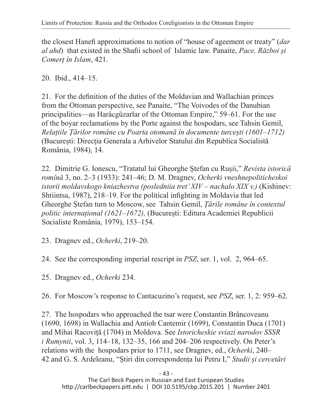the closest Hanefi approximations to notion of "house of ageement or treaty" (*dar al ahd*) that existed in the Shafii school of Islamic law. Panaite, *Pace, Război și Comerț în Islam*, 421.

20. Ibid., 414–15.

21. For the definition of the duties of the Moldavian and Wallachian princes from the Ottoman perspective, see Panaite, "The Voivodes of the Danubian principalities—as Harâcgüzarlar of the Ottoman Empire," 59–61. For the use of the boyar reclamations by the Porte against the hospodars, see Tahsin Gemil, *Relațiile Țărilor române cu Poarta otomană în documente turcești (1601–1712)* (București: Direcția Generala a Arhivelor Statului din Republica Socialistă România, 1984), 14.

22. Dimitrie G. Ionescu, "Tratatul lui Gheorghe Ștefan cu Rușii," *Revista istorică romînă* 3, no. 2–3 (1933): 241–46; D. M. Dragnev, *Ocherki vneshnepoliticheskoi istorii moldavskogo kniazhestva (posledniia tret' XIV – nachalo XIX v.)* (Kishinev: Shtiintsa, 1987), 218–19. For the political infighting in Moldavia that led Gheorghe Ștefan turn to Moscow, see Tahsin Gemil, *Țările române în contextul politic internațional (1621–1672),* (București: Editura Academiei Republicii Socialiste România, 1979), 153–154.

23. Dragnev ed., *Ocherki*, 219–20.

24. See the corresponding imperial rescript in *PSZ*, ser. 1, vol. 2, 964–65.

25. Dragnev ed., *Ocherki* 234.

26. For Moscow's response to Cantacuzino's request, see *PSZ*, ser. 1, 2: 959–62.

27. The hospodars who approached the tsar were Constantin Brâncoveanu (1690, 1698) in Wallachia and Antioh Cantemir (1699), Constantin Duca (1701) and Mihai Racoviță (1704) in Moldova. See *Istoricheskie sviazi narodov SSSR i Rumynii*, vol. 3, 114–18, 132–35, 166 and 204–206 respectively. On Peter's relations with the hospodars prior to 1711, see Dragnev, ed., *Ocherki*, 240– 42 and G. S. Ardeleanu, "Știri din correspondența lui Petru I," *Studii și cercetări*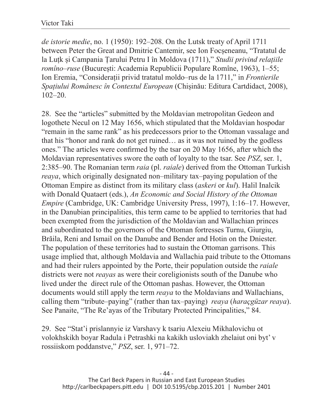*de istorie medie*, no. 1 (1950): 192–208. On the Lutsk treaty of April 1711 between Peter the Great and Dmitrie Cantemir, see Ion Focșeneanu, "Tratatul de la Luțk și Campania Țarului Petru I în Moldova (1711)," *Studii privind relațiile romîno–ruse* (București: Academia Republicii Populare Romîne, 1963), 1–55; Ion Eremia, "Considerații privid tratatul moldo–rus de la 1711," in *Frontierile Spațiului Românesc în Contextul European* (Chișinău: Editura Cartdidact, 2008), 102–20.

28. See the "articles" submitted by the Moldavian metropolitan Gedeon and logothete Necul on 12 May 1656, which stipulated that the Moldavian hospodar "remain in the same rank" as his predecessors prior to the Ottoman vassalage and that his "honor and rank do not get ruined… as it was not ruined by the godless ones." The articles were confirmed by the tsar on 20 May 1656, after which the Moldavian representatives swore the oath of loyalty to the tsar. See *PSZ*, ser. 1, 2:385–90. The Romanian term *raia* (pl. *raiale*) derived from the Ottoman Turkish *reaya*, which originally designated non–military tax–paying population of the Ottoman Empire as distinct from its military class (*askeri* or *kul*). Halil Inalcik with Donald Quataert (eds.), *An Economic and Social History of the Ottoman Empire* (Cambridge, UK: Cambridge University Press, 1997), 1:16–17. However, in the Danubian principalities, this term came to be applied to territories that had been exempted from the jurisdiction of the Moldavian and Wallachian princes and subordinated to the governors of the Ottoman fortresses Turnu, Giurgiu, Brăila, Reni and Ismail on the Danube and Bender and Hotin on the Dniester. The population of these territories had to sustain the Ottoman garrisons. This usage implied that, although Moldavia and Wallachia paid tribute to the Ottomans and had their rulers appointed by the Porte, their population outside the *raiale* districts were not *reayas* as were their coreligionists south of the Danube who lived under the direct rule of the Ottoman pashas. However, the Ottoman documents would still apply the term *reaya* to the Moldavians and Wallachians, calling them "tribute–paying" (rather than tax–paying) *reaya* (*haraçgüzar reaya*). See Panaite, "The Re'ayas of the Tributary Protected Principalities," 84.

29. See "Stat'i prislannyie iz Varshavy k tsariu Alexeiu Mikhalovichu ot volokhskikh boyar Radula i Petrashki na kakikh usloviakh zhelaiut oni byt' v rossiiskom poddanstve," *PSZ*, ser. 1, 971–72.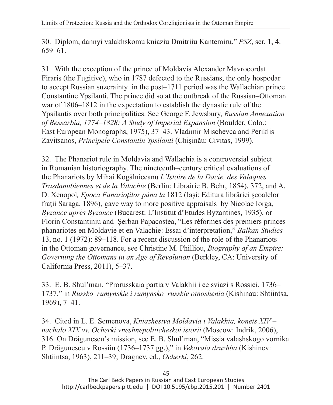30. Diplom, dannyi valakhskomu kniaziu Dmitriiu Kantemiru," *PSZ*, ser. 1, 4: 659–61.

31. With the exception of the prince of Moldavia Alexander Mavrocordat Firaris (the Fugitive), who in 1787 defected to the Russians, the only hospodar to accept Russian suzerainty in the post–1711 period was the Wallachian prince Constantine Ypsilanti. The prince did so at the outbreak of the Russian–Ottoman war of 1806–1812 in the expectation to establish the dynastic rule of the Ypsilantis over both principalities. See George F. Jewsbury, *Russian Annexation of Bessarbia, 1774–1828: A Study of Imperial Expansion* (Boulder, Colo.: East European Monographs, 1975), 37–43. Vladimir Mischevca and Periklis Zavitsanos, *Principele Constantin Ypsilanti* (Chişinău: Civitas, 1999).

32. The Phanariot rule in Moldavia and Wallachia is a controversial subject in Romanian historiography. The nineteenth–century critical evaluations of the Phanariots by Mihai Kogălniceanu *L'Istoire de la Dacie, des Valaques Trasdanubiennes et de la Valachie* (Berlin: Librairie B. Behr, 1854), 372, and A. D. Xenopol*, Epoca Fanarioţilor pâna la* 1812 (Iaşi: Editura librăriei şcoalelor fratii Saraga, 1896), gave way to more positive appraisals by Nicolae Iorga, *Byzance après Byzance* (Bucarest: L'Institut d'Etudes Byzantines, 1935), or Florin Constantiniu and Șerban Papacostea, "Les réformes des premiers princes phanariotes en Moldavie et en Valachie: Essai d'interpretation," *Balkan Studies* 13, no. 1 (1972): 89–118. For a recent discussion of the role of the Phanariots in the Ottoman governance, see Christine M. Philliou, *Biography of an Empire: Governing the Ottomans in an Age of Revolution* (Berkley, CA: University of California Press, 2011), 5–37.

33. E. B. Shul'man, "Prorusskaia partia v Valakhii i ee sviazi s Rossiei. 1736– 1737," in *Russko–rumynskie i rumynsko–russkie otnoshenia* (Kishinau: Shtiintsa, 1969), 7–41.

34. Cited in L. E. Semenova, *Kniazhestva Moldavia i Valakhia, konets XIV – nachalo XIX vv. Ocherki vneshnepoliticheskoi istorii* (Moscow: Indrik, 2006), 316. On Drăgunescu's mission, see E. B. Shul'man, "Missia valashskogo vornika P. Drăgunescu v Rossiiu (1736–1737 gg.)," in *Vekovaia druzhba* (Kishinev: Shtiintsa, 1963), 211–39; Dragnev, ed., *Ocherki*, 262.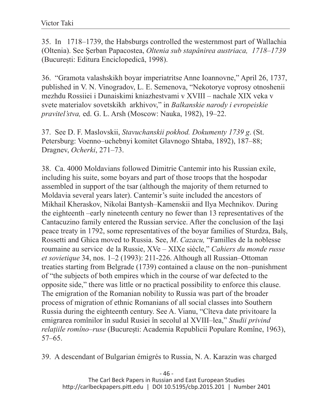35. In 1718–1739, the Habsburgs controlled the westernmost part of Wallachia (Oltenia). See Şerban Papacostea, *Oltenia sub stapânirea austriaca, 1718–1739* (București: Editura Enciclopedică, 1998).

36. "Gramota valashskikh boyar imperiatritse Anne Ioannovne," April 26, 1737, published in V. N. Vinogradov, L. E. Semenova, "Nekotorye voprosy otnoshenii mezhdu Rossiiei i Dunaiskimi kniazhestvami v XVIII – nachale XIX veka v svete materialov sovetskikh arkhivov," in *Balkanskie narody i evropeiskie pravitel'stva,* ed. G. L. Arsh (Moscow: Nauka, 1982), 19–22.

37. See D. F. Maslovskii, *Stavuchanskii pokhod. Dokumenty 1739 g*. (St. Petersburg: Voenno–uchebnyi komitet Glavnogo Shtaba, 1892), 187–88; Dragnev, *Ocherki*, 271–73.

38. Ca. 4000 Moldavians followed Dimitrie Cantemir into his Russian exile, including his suite, some boyars and part of those troops that the hospodar assembled in support of the tsar (although the majority of them returned to Moldavia several years later). Cantemir's suite included the ancestors of Mikhail Kheraskov, Nikolai Bantysh–Kamenskii and Ilya Mechnikov. During the eighteenth –early nineteenth century no fewer than 13 representatives of the Cantacuzino family entered the Russian service. After the conclusion of the Iași peace treaty in 1792, some representatives of the boyar families of Sturdza, Balș, Rossetti and Ghica moved to Russia. See, *M*. *Cazacu,* "Familles de la noblesse roumaine au service de la Russie, XVe – XIXe siècle," *Cahiers du monde russe et sovietique* 34, nos. 1–2 (1993): 211-226. Although all Russian–Ottoman treaties starting from Belgrade (1739) contained a clause on the non–punishment of "the subjects of both empires which in the course of war defected to the opposite side," there was little or no practical possibility to enforce this clause. The emigration of the Romanian nobility to Russia was part of the broader process of migration of ethnic Romanians of all social classes into Southern Russia during the eighteenth century. See A. Vianu, "Cîteva date privitoare la emigrarea romînilor în sudul Rusiei în secolul al XVIII–lea," *Studii privind relațiile romîno–ruse* (București: Academia Republicii Populare Romîne, 1963), 57–65.

39. A descendant of Bulgarian émigrés to Russia, N. A. Karazin was charged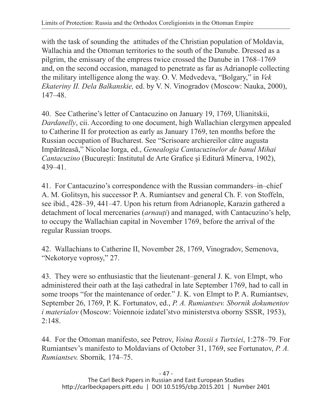with the task of sounding the attitudes of the Christian population of Moldavia, Wallachia and the Ottoman territories to the south of the Danube. Dressed as a pilgrim, the emissary of the empress twice crossed the Danube in 1768–1769 and, on the second occasion, managed to penetrate as far as Adrianople collecting the military intelligence along the way. O. V. Medvedeva, "Bolgary," in *Vek Ekateriny II. Dela Balkanskie,* ed. by V. N. Vinogradov (Moscow: Nauka, 2000), 147–48.

40. See Catherine's letter of Cantacuzino on January 19, 1769, Ulianitskii, *Dardanelly*, cii. According to one document, high Wallachian clergymen appealed to Catherine II for protection as early as January 1769, ten months before the Russian occupation of Bucharest. See "Scrisoare archiereilor către augusta Impărăteasă," Nicolae Iorga, ed., *Genealogia Cantacuzinelor de banul Mihai Cantacuzino* (București: Institutul de Arte Grafice și Editură Minerva, 1902), 439–41.

41. For Cantacuzino's correspondence with the Russian commanders–in–chief A. M. Golitsyn, his successor P. A. Rumiantsev and general Ch. F. von Stoffeln, see ibid., 428–39, 441–47. Upon his return from Adrianople, Karazin gathered a detachment of local mercenaries (*arnauți*) and managed, with Cantacuzino's help, to occupy the Wallachian capital in November 1769, before the arrival of the regular Russian troops.

42. Wallachians to Catherine II, November 28, 1769, Vinogradov, Semenova, "Nekotorye voprosy," 27.

43. They were so enthusiastic that the lieutenant–general J. K. von Elmpt, who administered their oath at the Iași cathedral in late September 1769, had to call in some troops "for the maintenance of order." J. K. von Elmpt to P. A. Rumiantsev, September 26, 1769, P. K. Fortunatov, ed., *P. A. Rumiantsev. Sbornik dokumentov i materialov* (Moscow: Voiennoie izdatel'stvo ministerstva oborny SSSR, 1953),  $2:148.$ 

44. For the Ottoman manifesto, see Petrov, *Voina Rossii s Turtsiei*, 1:278–79. For Rumiantsev's manifesto to Moldavians of October 31, 1769, see Fortunatov, *P. A. Rumiantsev.* Sbornik*,* 174–75.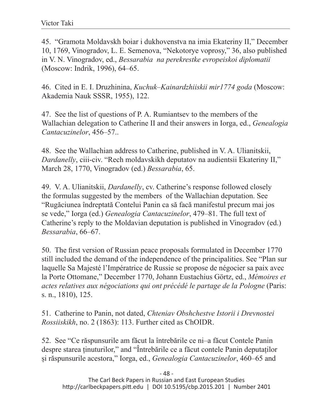45. "Gramota Moldavskh boiar i dukhovenstva na imia Ekateriny II," December 10, 1769, Vinogradov, L. E. Semenova, "Nekotorye voprosy," 36, also published in V. N. Vinogradov, ed., *Bessarabia na perekrestke evropeiskoi diplomatii* (Moscow: Indrik, 1996), 64–65.

46. Cited in E. I. Druzhinina, *Kuchuk–Kainardzhiiskii mir1774 goda* (Moscow: Akademia Nauk SSSR, 1955), 122.

47. See the list of questions of P. A. Rumiantsev to the members of the Wallachian delegation to Catherine II and their answers in Iorga, ed., *Genealogia Cantacuzinelor*, 456–57..

48. See the Wallachian address to Catherine, published in V. A. Ulianitskii, *Dardanelly*, ciii-civ. "Rech moldavskikh deputatov na audientsii Ekateriny II," March 28, 1770, Vinogradov (ed.) *Bessarabia*, 65.

49. V. A. Ulianitskii, *Dardanelly*, cv. Catherine's response followed closely the formulas suggested by the members of the Wallachian deputation. See "Rugăciunea îndreptată Contelui Panin ca să facă manifestul precum mai jos se vede," Iorga (ed.) *Genealogia Cantacuzinelor*, 479–81. The full text of Catherine's reply to the Moldavian deputation is published in Vinogradov (ed.) *Bessarabia*, 66–67.

50. The first version of Russian peace proposals formulated in December 1770 still included the demand of the independence of the principalities. See "Plan sur laquelle Sa Majesté l'Impératrice de Russie se propose de négocier sa paix avec la Porte Ottomane," December 1770, Johann Eustachius Görtz, ed., *Mémoires et actes relatives aux négociations qui ont précédé le partage de la Pologne* (Paris: s. n., 1810), 125.

51. Catherine to Panin, not dated, *Chteniav Obshchestve Istorii i Drevnostei Rossiiskikh*, no. 2 (1863): 113. Further cited as ChOIDR.

52. See "Ce răspunsurile am făcut la întrebările ce ni–a făcut Contele Panin despre starea ținuturilor," and "Întrebările ce a făcut contele Panin deputaților și răspunsurile acestora," Iorga, ed., *Genealogia Cantacuzinelor*, 460–65 and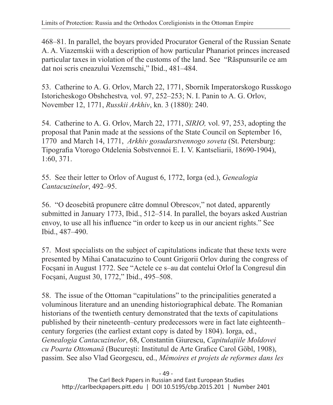468–81. In parallel, the boyars provided Procurator General of the Russian Senate A. A. Viazemskii with a description of how particular Phanariot princes increased particular taxes in violation of the customs of the land. See "Răspunsurile ce am dat noi scris cneazului Vezemschi," Ibid., 481–484.

53. Catherine to A. G. Orlov, March 22, 1771, Sbornik Imperatorskogo Russkogo Istoricheskogo Obshchestva*,* vol. 97, 252–253; N. I. Panin to A. G. Orlov, November 12, 1771, *Russkii Arkhiv*, kn. 3 (1880): 240.

54. Catherine to A. G. Orlov, March 22, 1771, *SIRIO,* vol. 97, 253, adopting the proposal that Panin made at the sessions of the State Council on September 16, 1770 and March 14, 1771, *Arkhiv gosudarstvennogo soveta* (St. Petersburg: Tipografia Vtorogo Otdelenia Sobstvennoi E. I. V. Kantseliarii, 18690-1904), 1:60, 371.

55. See their letter to Orlov of August 6, 1772, Iorga (ed.), *Genealogia Cantacuzinelor*, 492–95.

56. "O deosebită propunere către domnul Obrescov," not dated, apparently submitted in January 1773, Ibid., 512–514. In parallel, the boyars asked Austrian envoy, to use all his influence "in order to keep us in our ancient rights." See Ibid., 487–490.

57. Most specialists on the subject of capitulations indicate that these texts were presented by Mihai Canatacuzino to Count Grigorii Orlov during the congress of Focșani in August 1772. See "Actele ce s–au dat contelui Orlof la Congresul din Focșani, August 30, 1772," Ibid., 495–508.

58. The issue of the Ottoman "capitulations" to the principalities generated a voluminous literature and an unending historiographical debate. The Romanian historians of the twentieth century demonstrated that the texts of capitulations published by their nineteenth–century predecessors were in fact late eighteenth– century forgeries (the earliest extant copy is dated by 1804). Iorga, ed., *Genealogia Cantacuzinelor*, 68, Constantin Giurescu, *Capitulațiile Moldovei cu Poarta Ottomană* (București: Institutul de Arte Grafice Carol Göbl, 1908), passim. See also Vlad Georgescu, ed., *Mémoires et projets de reformes dans les*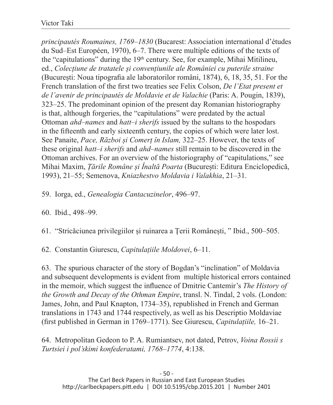*principautés Roumaines, 1769–1830* (Bucarest: Association international d'études du Sud–Est Européen, 1970), 6–7. There were multiple editions of the texts of the "capitulations" during the  $19<sup>th</sup>$  century. See, for example, Mihai Mitilineu, ed., *Colecțiune de tratatele și convențiunile ale României cu puterile straine* (București: Noua tipografia ale laboratorilor români, 1874), 6, 18, 35, 51. For the French translation of the first two treaties see Felix Colson, *De l'Etat present et de l'avenir de principautés de Moldavie et de Valachie* (Paris: A. Pougin, 1839), 323–25. The predominant opinion of the present day Romanian historiography is that, although forgeries, the "capitulations" were predated by the actual Ottoman *ahd–names* and *hatt–i sherifs* issued by the sultans to the hospodars in the fifteenth and early sixteenth century, the copies of which were later lost. See Panaite, *Pace, Război și Comerț în Islam,* 322–25. However, the texts of these original *hatt–i sherifs* and *ahd–names* still remain to be discovered in the Ottoman archives. For an overview of the historiography of "capitulations," see Mihai Maxim, *Țările Române și Înaltă Poarta* (București: Editura Enciclopedică, 1993), 21–55; Semenova, *Kniazhestvo Moldavia i Valakhia*, 21–31.

- 59. Iorga, ed., *Genealogia Cantacuzinelor*, 496–97.
- 60. Ibid., 498–99.

61. "Stricăciunea privilegiilor și ruinarea a Țerii Românești, " Ibid., 500–505.

62. Constantin Giurescu, *Capitulațiile Moldovei*, 6–11.

63. The spurious character of the story of Bogdan's "inclination" of Moldavia and subsequent developments is evident from multiple historical errors contained in the memoir, which suggest the influence of Dmitrie Cantemir's *The History of the Growth and Decay of the Othman Empire*, transl. N. Tindal, 2 vols. (London: James, John, and Paul Knapton, 1734–35), republished in French and German translations in 1743 and 1744 respectively, as well as his Descriptio Moldaviae (first published in German in 1769–1771). See Giurescu, *Capitulațiile,* 16–21.

64. Metropolitan Gedeon to P. A. Rumiantsev, not dated, Petrov, *Voina Rossii s Turtsiei i pol'skimi konfederatami, 1768–1774*, 4:138.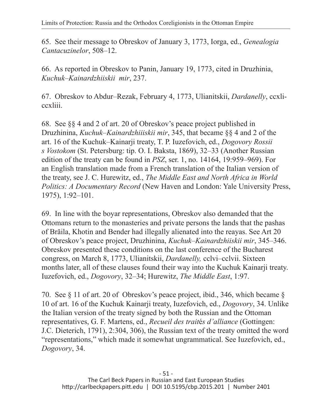65. See their message to Obreskov of January 3, 1773, Iorga, ed., *Genealogia Cantacuzinelor*, 508–12.

66. As reported in Obreskov to Panin, January 19, 1773, cited in Druzhinia, *Kuchuk–Kainardzhiiskii mir*, 237.

67. Obreskov to Abdur–Rezak, February 4, 1773, Ulianitskii, *Dardanelly*, ccxliccxliii.

68. See §§ 4 and 2 of art. 20 of Obreskov's peace project published in Druzhinina, *Kuchuk–Kainardzhiiiskii mir*, 345, that became §§ 4 and 2 of the art. 16 of the Kuchuk–Kainarji treaty, T. P. Iuzefovich, ed., *Dogovory Rossii s Vostokom* (St. Petersburg: tip. O. I. Baksta, 1869), 32–33 (Another Russian edition of the treaty can be found in *PSZ*, ser. 1, no. 14164, 19:959–969). For an English translation made from a French translation of the Italian version of the treaty, see J. C. Hurewitz, ed., *The Middle East and North Africa in World Politics: A Documentary Record* (New Haven and London: Yale University Press, 1975), 1:92–101.

69. In line with the boyar representations, Obreskov also demanded that the Ottomans return to the monasteries and private persons the lands that the pashas of Brăila, Khotin and Bender had illegally alienated into the reayas. See Art 20 of Obreskov's peace project, Druzhinina, *Kuchuk–Kainardzhiiskii mir*, 345–346. Obreskov presented these conditions on the last conference of the Bucharest congress, on March 8, 1773, Ulianitskii, *Dardanelly,* cclvi–cclvii. Sixteen months later, all of these clauses found their way into the Kuchuk Kainarji treaty. Iuzefovich, ed., *Dogovory*, 32–34; Hurewitz, *The Middle East*, 1:97.

70. See § 11 of art. 20 of Obreskov's peace project, ibid., 346, which became § 10 of art. 16 of the Kuchuk Kainarji treaty, Iuzefovich, ed., *Dogovory*, 34. Unlike the Italian version of the treaty signed by both the Russian and the Ottoman representatives, G. F. Martens, ed., *Recueil des trait*é*s d'alliance* (Gottingen: J.C. Dieterich, 1791), 2:304, 306), the Russian text of the treaty omitted the word "representations," which made it somewhat ungrammatical. See Iuzefovich, ed., *Dogovory*, 34.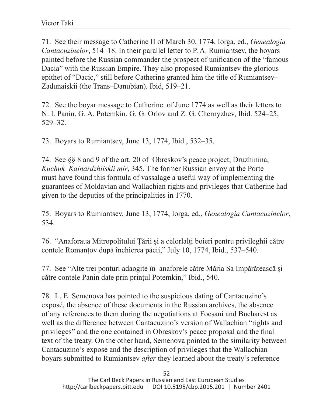71. See their message to Catherine II of March 30, 1774, Iorga, ed., *Genealogia Cantacuzinelor*, 514–18. In their parallel letter to P. A. Rumiantsev, the boyars painted before the Russian commander the prospect of unification of the "famous Dacia" with the Russian Empire. They also proposed Rumiantsev the glorious epithet of "Dacic," still before Catherine granted him the title of Rumiantsev– Zadunaiskii (the Trans–Danubian). Ibid, 519–21.

72. See the boyar message to Catherine of June 1774 as well as their letters to N. I. Panin, G. A. Potemkin, G. G. Orlov and Z. G. Chernyzhev, Ibid. 524–25, 529–32.

73. Boyars to Rumiantsev, June 13, 1774, Ibid., 532–35.

74. See §§ 8 and 9 of the art. 20 of Obreskov's peace project, Druzhinina, *Kuchuk–Kainardzhiiskii mir*, 345. The former Russian envoy at the Porte must have found this formula of vassalage a useful way of implementing the guarantees of Moldavian and Wallachian rights and privileges that Catherine had given to the deputies of the principalities in 1770.

75. Boyars to Rumiantsev, June 13, 1774, Iorga, ed., *Genealogia Cantacuzinelor*, 534.

76. "Anaforaua Mitropolitului Țării și a celorlalți boieri pentru privileghii către contele Romanțov după închierea păcii," July 10, 1774, Ibid., 537–540.

77. See "Alte trei ponturi adaogite în anaforele către Măria Sa Impărătească și către contele Panin date prin prințul Potemkin," Ibid., 540.

78. L. E. Semenova has pointed to the suspicious dating of Cantacuzino's exposé, the absence of these documents in the Russian archives, the absence of any references to them during the negotiations at Focșani and Bucharest as well as the difference between Cantacuzino's version of Wallachian "rights and privileges" and the one contained in Obreskov's peace proposal and the final text of the treaty. On the other hand, Semenova pointed to the similarity between Cantacuzino's exposé and the description of privileges that the Wallachian boyars submitted to Rumiantsev *after* they learned about the treaty's reference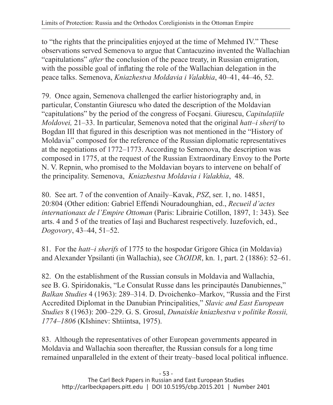to "the rights that the principalities enjoyed at the time of Mehmed IV." These observations served Semenova to argue that Cantacuzino invented the Wallachian "capitulations" *after* the conclusion of the peace treaty, in Russian emigration, with the possible goal of inflating the role of the Wallachian delegation in the peace talks. Semenova, *Kniazhestva Moldavia i Valakhia*, 40–41, 44–46, 52.

79. Once again, Semenova challenged the earlier historiography and, in particular, Constantin Giurescu who dated the description of the Moldavian "capitulations" by the period of the congress of Focșani. Giurescu, *Capitulațiile Moldovei,* 21–33. In particular, Semenova noted that the original *hatt–i sherif* to Bogdan III that figured in this description was not mentioned in the "History of Moldavia" composed for the reference of the Russian diplomatic representatives at the negotiations of 1772–1773. According to Semenova, the description was composed in 1775, at the request of the Russian Extraordinary Envoy to the Porte N. V. Repnin, who promised to the Moldavian boyars to intervene on behalf of the principality. Semenova, *Kniazhestva Moldavia i Valakhia*, 48.

80. See art. 7 of the convention of Anaily–Kavak, *PSZ*, ser. 1, no. 14851, 20:804 (Other edition: Gabriel Effendi Nouradounghian, ed., *Recueil d'actes internationaux de l'Empire Ottoman* (Paris: Librairie Cotillon, 1897, 1: 343). See arts. 4 and 5 of the treaties of Iași and Bucharest respectively. Iuzefovich, ed., *Dogovory*, 43–44, 51–52.

81. For the *hatt–i sherifs* of 1775 to the hospodar Grigore Ghica (in Moldavia) and Alexander Ypsilanti (in Wallachia), see *ChOIDR*, kn. 1, part. 2 (1886): 52–61.

82. On the establishment of the Russian consuls in Moldavia and Wallachia, see B. G. Spiridonakis, "Le Consulat Russe dans les principautés Danubiennes," *Balkan Studies* 4 (1963): 289–314. D. Dvoichenko–Markov, "Russia and the First Accredited Diplomat in the Danubian Principalities," *Slavic and East European Studies* 8 (1963): 200–229. G. S. Grosul, *Dunaiskie kniazhestva v politike Rossii, 1774–1806* (KIshinev: Shtiintsa, 1975).

83. Although the representatives of other European governments appeared in Moldavia and Wallachia soon thereafter, the Russian consuls for a long time remained unparalleled in the extent of their treaty–based local political influence.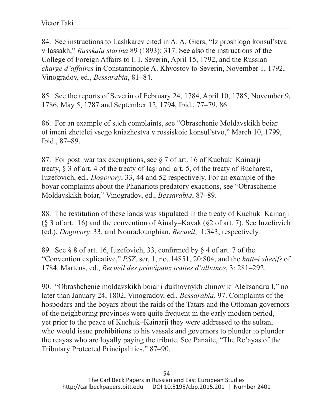84. See instructions to Lashkarev cited in A. A. Giers, "Iz proshlogo konsul'stva v Iassakh," *Russkaia starina* 89 (1893): 317. See also the instructions of the College of Foreign Affairs to I. I. Severin, April 15, 1792, and the Russian *charge d'affaires* in Constantinople A. Khvostov to Severin, November 1, 1792, Vinogradov, ed., *Bessarabia*, 81–84.

85. See the reports of Severin of February 24, 1784, April 10, 1785, November 9, 1786, May 5, 1787 and September 12, 1794, Ibid., 77–79, 86.

86. For an example of such complaints, see "Obraschenie Moldavskikh boiar ot imeni zhetelei vsego kniazhestva v rossiskoie konsul'stvo," March 10, 1799, Ibid., 87–89.

87. For post–war tax exemptions, see § 7 of art. 16 of Kuchuk–Kainarji treaty, § 3 of art. 4 of the treaty of Iași and art. 5, of the treaty of Bucharest, Iuzefovich, ed., *Dogovory*, 33, 44 and 52 respectively. For an example of the boyar complaints about the Phanariots predatory exactions, see "Obraschenie Moldavskikh boiar," Vinogradov, ed., *Bessarabia*, 87–89.

88. The restitution of these lands was stipulated in the treaty of Kuchuk–Kainarji (§ 3 of art. 16) and the convention of Ainaly–Kavak (§2 of art. 7). See Iuzefovich (ed.), *Dogovory,* 33, and Nouradounghian, *Recueil*, 1:343, respectively.

89. See § 8 of art. 16, Iuzefovich, 33, confirmed by § 4 of art. 7 of the "Convention explicative," *PSZ*, ser. 1, no. 14851, 20:804, and the *hatt–i sherifs* of 1784. Martens, ed., *Recueil des principaux traites d'alliance*, 3: 281–292.

90. "Obrashchenie moldavskikh boiar i dukhovnykh chinov k Aleksandru I," no later than January 24, 1802, Vinogradov, ed., *Bessarabia*, 97. Complaints of the hospodars and the boyars about the raids of the Tatars and the Ottoman governors of the neighboring provinces were quite frequent in the early modern period, yet prior to the peace of Kuchuk–Kainarji they were addressed to the sultan, who would issue prohibitions to his vassals and governors to plunder to plunder the reayas who are loyally paying the tribute. See Panaite, "The Re'ayas of the Tributary Protected Principalities," 87–90.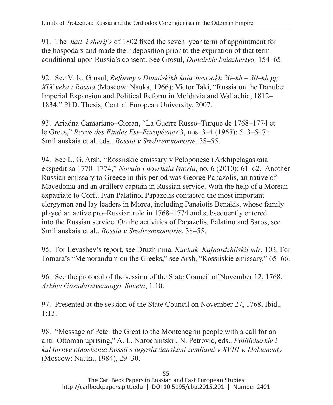91. The *hatt–i sherif s* of 1802 fixed the seven–year term of appointment for the hospodars and made their deposition prior to the expiration of that term conditional upon Russia's consent. See Grosul, *Dunaiskie kniazhestva,* 154–65.

92. See V. Ia. Grosul, *Reformy v Dunaiskikh kniazhestvakh 20–kh – 30–kh gg. XIX veka i Rossia* (Moscow: Nauka, 1966); Victor Taki, "Russia on the Danube: Imperial Expansion and Political Reform in Moldavia and Wallachia, 1812– 1834." PhD. Thesis, Central European University, 2007.

93. Ariadna Camariano–Cioran, "La Guerre Russo–Turque de 1768–1774 et le Grecs," *Revue des Etudes Est–Européenes* 3, nos. 3–4 (1965): 513–547 ; Smilianskaia et al, eds., *Rossia v Sredizemnomorie*, 38–55.

94. See L. G. Arsh, "Rossiiskie emissary v Peloponese i Arkhipelagaskaia ekspeditisa 1770–1774," *Novaia i novshaia istoria*, no. 6 (2010): 61–62. Another Russian emissary to Greece in this period was George Papazolis, an native of Macedonia and an artillery captain in Russian service. With the help of a Morean expatriate to Corfu Ivan Palatino, Papazolis contacted the most important clergymen and lay leaders in Morea, including Panaiotis Benakis, whose family played an active pro–Russian role in 1768–1774 and subsequently entered into the Russian service. On the activities of Papazolis, Palatino and Saros, see Smilianskaia et al., *Rossia v Sredizemnomorie*, 38–55.

95. For Levashev's report, see Druzhinina, *Kuchuk–Kajnardzhiiskii mir*, 103. For Tomara's "Memorandum on the Greeks," see Arsh, "Rossiiskie emissary," 65–66.

96. See the protocol of the session of the State Council of November 12, 1768, *Arkhiv Gosudarstvennogo Soveta*, 1:10.

97. Presented at the session of the State Council on November 27, 1768, Ibid., 1:13.

98. "Message of Peter the Great to the Montenegrin people with a call for an anti–Ottoman uprising," A. L. Narochnitskii, N. Petrović, eds., *Politicheskie i kul'turnye otnoshenia Rossii s iugoslavianskimi zemliami v XVIII v. Dokumenty* (Moscow: Nauka, 1984), 29–30.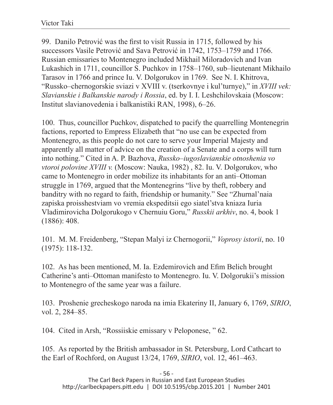99. Danilo Petrović was the first to visit Russia in 1715, followed by his successors Vasile Petrović and Sava Petrović in 1742, 1753–1759 and 1766. Russian emissaries to Montenegro included Mikhail Miloradovich and Ivan Lukashich in 1711, councillor S. Puchkov in 1758–1760, sub–lieutenant Mikhailo Tarasov in 1766 and prince Iu. V. Dolgorukov in 1769. See N. I. Khitrova, "Russko–chernogorskie sviazi v XVIII v. (tserkovnye i kul'turnye)," in *XVIII vek: Slavianskie i Balkanskie narody i Rossia*, ed. by I. I. Leshchilovskaia (Moscow: Institut slavianovedenia i balkanistiki RAN, 1998), 6–26.

100. Thus, councillor Puchkov, dispatched to pacify the quarrelling Montenegrin factions, reported to Empress Elizabeth that "no use can be expected from Montenegro, as this people do not care to serve your Imperial Majesty and apparently all matter of advice on the creation of a Senate and a corps will turn into nothing." Cited in A. P. Bazhova, *Russko–iugoslavianskie otnoshenia vo vtoroi polovine XVIII v.* (Moscow: Nauka, 1982) , 82. Iu. V. Dolgorukov, who came to Montenegro in order mobilize its inhabitants for an anti–Ottoman struggle in 1769, argued that the Montenegrins "live by theft, robbery and banditry with no regard to faith, friendship or humanity." See "Zhurnal'naia zapiska proisshestviam vo vremia ekspeditsii ego siatel'stva kniaza Iuria Vladimirovicha Dolgorukogo v Chernuiu Goru," *Russkii arkhiv*, no. 4, book 1 (1886): 408.

101. M. M. Freidenberg, "Stepan Malyi iz Chernogorii," *Voprosy istorii*, no. 10 (1975): 118-132.

102. As has been mentioned, M. Ia. Ezdemirovich and Efim Belich brought Catherine's anti–Ottoman manifesto to Montenegro. Iu. V. Dolgorukii's mission to Montenegro of the same year was a failure.

103. Proshenie grecheskogo naroda na imia Ekateriny II, January 6, 1769, *SIRIO*, vol. 2, 284–85.

104. Cited in Arsh, "Rossiiskie emissary v Peloponese, " 62.

105. As reported by the British ambassador in St. Petersburg, Lord Cathcart to the Earl of Rochford, on August 13/24, 1769, *SIRIO*, vol. 12, 461–463.

- 56 -

The Carl Beck Papers in Russian and East European Studies http://carlbeckpapers.pitt.edu | DOI 10.5195/cbp.2015.201 | Number 2401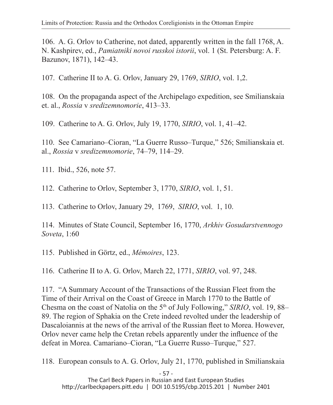106. A. G. Orlov to Catherine, not dated, apparently written in the fall 1768, A. N. Kashpirev, ed., *Pamiatniki novoi russkoi istorii*, vol. 1 (St. Petersburg: A. F. Bazunov, 1871), 142–43.

107. Catherine II to A. G. Orlov, January 29, 1769, *SIRIO*, vol. 1,2.

108. On the propaganda aspect of the Archipelago expedition, see Smilianskaia et. al., *Rossia* v *sredizemnomorie*, 413–33.

109. Catherine to A. G. Orlov, July 19, 1770, *SIRIO*, vol. 1, 41–42.

110. See Camariano–Cioran, "La Guerre Russo–Turque," 526; Smilianskaia et. al., *Rossia* v *sredizemnomorie*, 74–79, 114–29.

111. Ibid., 526, note 57.

112. Catherine to Orlov, September 3, 1770, *SIRIO*, vol. 1, 51.

113. Catherine to Orlov, January 29, 1769, *SIRIO*, vol. 1, 10.

114. Minutes of State Council, September 16, 1770, *Arkhiv Gosudarstvennogo Soveta*, 1:60

115. Published in Görtz, ed., *Mémoires*, 123.

116. Catherine II to A. G. Orlov, March 22, 1771, *SIRIO*, vol. 97, 248.

117. "A Summary Account of the Transactions of the Russian Fleet from the Time of their Arrival on the Coast of Greece in March 1770 to the Battle of Chesma on the coast of Natolia on the 5th of July Following," *SIRIO*, vol. 19, 88– 89. The region of Sphakia on the Crete indeed revolted under the leadership of Dascaloiannis at the news of the arrival of the Russian fleet to Morea. However, Orlov never came help the Cretan rebels apparently under the influence of the defeat in Morea. Camariano–Cioran, "La Guerre Russo–Turque," 527.

118. European consuls to A. G. Orlov, July 21, 1770, published in Smilianskaia

- 57 -

The Carl Beck Papers in Russian and East European Studies http://carlbeckpapers.pitt.edu | DOI 10.5195/cbp.2015.201 | Number 2401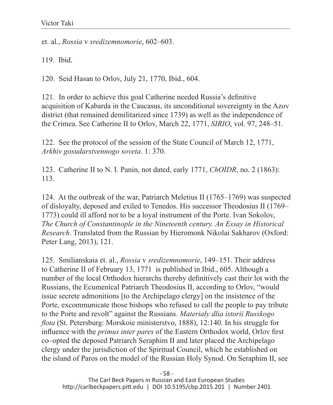et. al., *Rossia* v *sredizemnomorie*, 602–603.

119. Ibid.

120. Seid Hasan to Orlov, July 21, 1770, Ibid., 604.

121. In order to achieve this goal Catherine needed Russia's definitive acquisition of Kabarda in the Caucasus, its unconditional sovereignty in the Azov district (that remained demilitarized since 1739) as well as the independence of the Crimea. See Catherine II to Orlov, March 22, 1771, *SIRIO*, vol. 97, 248–51.

122. See the protocol of the session of the State Council of March 12, 1771, *Arkhiv gosudarstvennogo soveta*. 1: 370.

123. Catherine II to N. I. Panin, not dated, early 1771, *ChOIDR*, no. 2 (1863): 113.

124. At the outbreak of the war, Patriarch Meletius II (1765–1769) was suspected of disloyalty, deposed and exiled to Tenedos. His successor Theodosius II (1769– 1773) could ill afford not to be a loyal instrument of the Porte. Ivan Sokolov, *The Church of Constantinople in the Nineteenth century. An Essay in Historical Research*. Translated from the Russian by Hieromonk Nikolai Sakharov (Oxford: Peter Lang, 2013), 121.

125. Smilianskaia et. al., *Rossia* v *sredizemnomorie*, 149–151. Their address to Catherine II of February 13, 1771 is published in Ibid., 605. Although a number of the local Orthodox hierarchs thereby definitively cast their lot with the Russians, the Ecumenical Patriarch Theodosius II, according to Orlov, "would issue secrete admonitions [to the Archipelago clergy] on the insistence of the Porte, excommunicate those bishops who refused to call the people to pay tribute to the Porte and revolt" against the Russians. *Materialy dlia istorii Russkogo flota* (St. Petersburg: Morskoie ministerstvo, 1888), 12:140. In his struggle for influence with the *primus inter pares* of the Eastern Orthodox world, Orlov first co–opted the deposed Patriarch Seraphim II and later placed the Archipelago clergy under the jurisdiction of the Spiritual Council, which he established on the island of Paros on the model of the Russian Holy Synod. On Seraphim II, see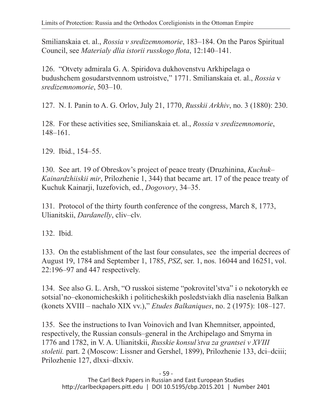Smilianskaia et. al., *Rossia v sredizemnomorie*, 183–184. On the Paros Spiritual Council, see *Materialy dlia istorii russkogo flota*, 12:140–141.

126. "Otvety admirala G. A. Spiridova dukhovenstvu Arkhipelaga o budushchem gosudarstvennom ustroistve," 1771. Smilianskaia et. al., *Rossia* v *sredizemnomorie*, 503–10.

127. N. I. Panin to A. G. Orlov, July 21, 1770, *Russkii Arkhiv*, no. 3 (1880): 230.

128. For these activities see, Smilianskaia et. al., *Rossia* v *sredizemnomorie*, 148–161.

129. Ibid., 154–55.

130. See art. 19 of Obreskov's project of peace treaty (Druzhinina, *Kuchuk– Kainardzhiiskii mir*, Prilozhenie 1, 344) that became art. 17 of the peace treaty of Kuchuk Kainarji, Iuzefovich, ed., *Dogovory*, 34–35.

131. Protocol of the thirty fourth conference of the congress, March 8, 1773, Ulianitskii, *Dardanelly*, cliv–clv.

132. Ibid.

133. On the establishment of the last four consulates, see the imperial decrees of August 19, 1784 and September 1, 1785, *PSZ*, ser. 1, nos. 16044 and 16251, vol. 22:196–97 and 447 respectively.

134. See also G. L. Arsh, "O russkoi sisteme "pokrovitel'stva" i o nekotorykh ee sotsial'no–ekonomicheskikh i politicheskikh posledstviakh dlia naselenia Balkan (konets XVIII – nachalo XIX vv.)," *Etudes Balkaniques*, no. 2 (1975): 108–127.

135. See the instructions to Ivan Voinovich and Ivan Khemnitser, appointed, respectively, the Russian consuls–general in the Archipelago and Smyrna in 1776 and 1782, in V. A. Ulianitskii, *Russkie konsul'stva za grantsei v XVIII stoletii.* part. 2 (Moscow: Lissner and Gershel, 1899), Prilozhenie 133, dci–dciii; Prilozhenie 127, dlxxi–dlxxiv.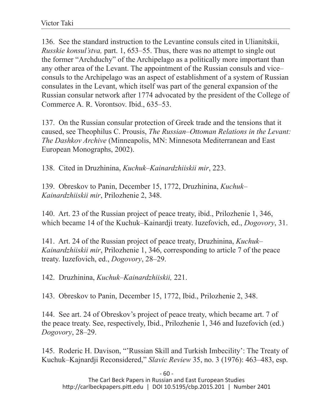136. See the standard instruction to the Levantine consuls cited in Ulianitskii, *Russkie konsul'stva,* part. 1, 653–55. Thus, there was no attempt to single out the former "Archduchy" of the Archipelago as a politically more important than any other area of the Levant. The appointment of the Russian consuls and vice– consuls to the Archipelago was an aspect of establishment of a system of Russian consulates in the Levant, which itself was part of the general expansion of the Russian consular network after 1774 advocated by the president of the College of Commerce A. R. Vorontsov. Ibid., 635–53.

137. On the Russian consular protection of Greek trade and the tensions that it caused, see Theophilus C. Prousis, *The Russian–Ottoman Relations in the Levant: The Dashkov Archive* (Minneapolis, MN: Minnesota Mediterranean and East European Monographs, 2002).

138. Cited in Druzhinina, *Kuchuk–Kainardzhiiskii mir*, 223.

139. Obreskov to Panin, December 15, 1772, Druzhinina, *Kuchuk– Kainardzhiiskii mir*, Prilozhenie 2, 348.

140. Art. 23 of the Russian project of peace treaty, ibid., Prilozhenie 1, 346, which became 14 of the Kuchuk–Kainardji treaty. Iuzefovich, ed., *Dogovory*, 31.

141. Art. 24 of the Russian project of peace treaty, Druzhinina, *Kuchuk– Kainardzhiiskii mir*, Prilozhenie 1, 346, corresponding to article 7 of the peace treaty. Iuzefovich, ed., *Dogovory*, 28–29.

142. Druzhinina, *Kuchuk–Kainardzhiiskii,* 221.

143. Obreskov to Panin, December 15, 1772, Ibid., Prilozhenie 2, 348.

144. See art. 24 of Obreskov's project of peace treaty, which became art. 7 of the peace treaty. See, respectively, Ibid., Prilozhenie 1, 346 and Iuzefovich (ed.) *Dogovory*, 28–29.

145. Roderic H. Davison, "'Russian Skill and Turkish Imbecility': The Treaty of Kuchuk–Kajnardji Reconsidered," *Slavic Review* 35, no. 3 (1976): 463–483, esp.

- 60 -

The Carl Beck Papers in Russian and East European Studies http://carlbeckpapers.pitt.edu | DOI 10.5195/cbp.2015.201 | Number 2401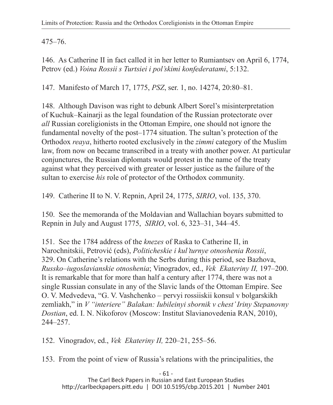475–76.

146. As Catherine II in fact called it in her letter to Rumiantsev on April 6, 1774, Petrov (ed.) *Voina Rossii s Turtsiei i pol'skimi konfederatami*, 5:132.

147. Manifesto of March 17, 1775, *PSZ*, ser. 1, no. 14274, 20:80–81.

148. Although Davison was right to debunk Albert Sorel's misinterpretation of Kuchuk–Kainarji as the legal foundation of the Russian protectorate over *all* Russian coreligionists in the Ottoman Empire, one should not ignore the fundamental novelty of the post–1774 situation. The sultan's protection of the Orthodox *reaya*, hitherto rooted exclusively in the *zimmi* category of the Muslim law, from now on became transcribed in a treaty with another power. At particular conjunctures, the Russian diplomats would protest in the name of the treaty against what they perceived with greater or lesser justice as the failure of the sultan to exercise *his* role of protector of the Orthodox community.

149. Catherine II to N. V. Repnin, April 24, 1775, *SIRIO*, vol. 135, 370.

150. See the memoranda of the Moldavian and Wallachian boyars submitted to Repnin in July and August 1775, *SIRIO*, vol. 6, 323–31, 344–45.

151. See the 1784 address of the *knezes* of Raska to Catherine II, in Narochnitskii, Petrović (eds), *Politicheskie i kul'turnye otnoshenia Rossii*, 329. On Catherine's relations with the Serbs during this period, see Bazhova, *Russko–iugoslavianskie otnoshenia*; Vinogradov, ed., *Vek Ekateriny II,* 197–200. It is remarkable that for more than half a century after 1774, there was not a single Russian consulate in any of the Slavic lands of the Ottoman Empire. See O. V. Medvedeva, "G. V. Vashchenko – pervyi rossiiskii konsul v bolgarskikh zemliakh," in *V "interiere" Balakan: Iubileinyi sbornik v chest' Iriny Stepanovny Dostian*, ed. I. N. Nikoforov (Moscow: Institut Slavianovedenia RAN, 2010), 244–257.

152. Vinogradov, ed., *Vek Ekateriny II,* 220–21, 255–56.

153. From the point of view of Russia's relations with the principalities, the

- 61 - The Carl Beck Papers in Russian and East European Studies http://carlbeckpapers.pitt.edu | DOI 10.5195/cbp.2015.201 | Number 2401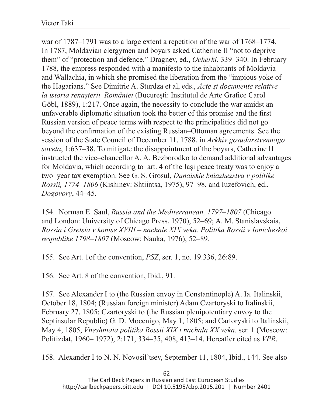war of 1787–1791 was to a large extent a repetition of the war of 1768–1774. In 1787, Moldavian clergymen and boyars asked Catherine II "not to deprive them" of "protection and defence." Dragnev, ed., *Ocherki,* 339–340. In February 1788, the empress responded with a manifesto to the inhabitants of Moldavia and Wallachia, in which she promised the liberation from the "impious yoke of the Hagarians." See Dimitrie A. Sturdza et al, eds., *Acte și documente relative la istoria renașterii României* (București: Institutul de Arte Grafice Carol Göbl, 1889), 1:217. Once again, the necessity to conclude the war amidst an unfavorable diplomatic situation took the better of this promise and the first Russian version of peace terms with respect to the principalities did not go beyond the confirmation of the existing Russian–Ottoman agreements. See the session of the State Council of December 11, 1788, in *Arkhiv gosudarstvennogo soveta*, 1:637–38. To mitigate the disappointment of the boyars, Catherine II instructed the vice–chancellor A. A. Bezborodko to demand additional advantages for Moldavia, which according to art. 4 of the Iași peace treaty was to enjoy a two–year tax exemption. See G. S. Grosul, *Dunaiskie kniazhezstva v politike Rossii, 1774–1806* (Kishinev: Shtiintsa, 1975), 97–98, and Iuzefovich, ed., *Dogovory*, 44–45.

154. Norman E. Saul, *Russia and the Mediterranean, 1797–1807* (Chicago and London: University of Chicago Press, 1970), 52–69; A. M. Stanislavskaia, *Rossia i Gretsia v kontse XVIII – nachale XIX veka. Politika Rossii v Ionicheskoi respublike 1798–1807* (Moscow: Nauka, 1976), 52–89.

155. See Art. 1of the convention, *PSZ*, ser. 1, no. 19.336, 26:89.

156. See Art. 8 of the convention, Ibid., 91.

157. See Alexander I to (the Russian envoy in Constantinople) A. Ia. Italinskii, October 18, 1804; (Russian foreign minister) Adam Czartoryski to Italinskii, February 27, 1805; Czartoryski to (the Russian plenipotentiary envoy to the Septinsular Republic) G. D. Mocenigo, May 1, 1805; and Cartoryski to Italinskii, May 4, 1805, *Vneshniaia politika Rossii XIX i nachala XX veka.* ser. 1 (Moscow: Politizdat, 1960– 1972), 2:171, 334–35, 408, 413–14. Hereafter cited as *VPR*.

158. Alexander I to N. N. Novosil'tsev, September 11, 1804, Ibid., 144. See also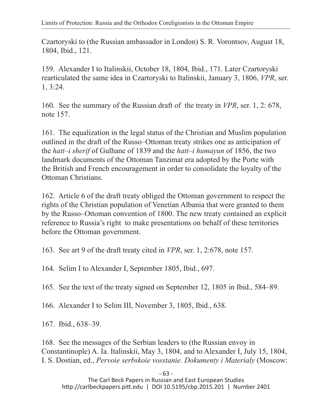Czartoryski to (the Russian ambassador in London) S. R. Vorontsov, August 18, 1804, Ibid., 121.

159. Alexander I to Italinskii, October 18, 1804, Ibid., 171. Later Czartoryski rearticulated the same idea in Czartoryski to Italinskii, January 3, 1806, *VPR*, ser. 1, 3:24.

160. See the summary of the Russian draft of the treaty in *VPR*, ser. 1, 2: 678, note 157.

161. The equalization in the legal status of the Christian and Muslim population outlined in the draft of the Russo–Ottoman treaty strikes one as anticipation of the *hatt–i sherif* of Gulhane of 1839 and the *hatt–i humayun* of 1856, the two landmark documents of the Ottoman Tanzimat era adopted by the Porte with the British and French encouragement in order to consolidate the loyalty of the Ottoman Christians.

162. Article 6 of the draft treaty obliged the Ottoman government to respect the rights of the Christian population of Venetian Albania that were granted to them by the Russo–Ottoman convention of 1800. The new treaty contained an explicit reference to Russia's right to make presentations on behalf of these territories before the Ottoman government.

163. See art 9 of the draft treaty cited in *VPR*, ser. 1, 2:678, note 157.

164. Selim I to Alexander I, September 1805, Ibid., 697.

165. See the text of the treaty signed on September 12, 1805 in Ibid., 584–89.

166. Alexander I to Selim III, November 3, 1805, Ibid., 638.

167. Ibid., 638–39.

168. See the messages of the Serbian leaders to (the Russian envoy in Constantinople) A. Ia. Italinskii, May 3, 1804, and to Alexander I, July 15, 1804, I. S. Dostian, ed., *Pervoie serbskoie vosstanie. Dokumenty i Materialy* (Moscow:

- 63 -

The Carl Beck Papers in Russian and East European Studies http://carlbeckpapers.pitt.edu | DOI 10.5195/cbp.2015.201 | Number 2401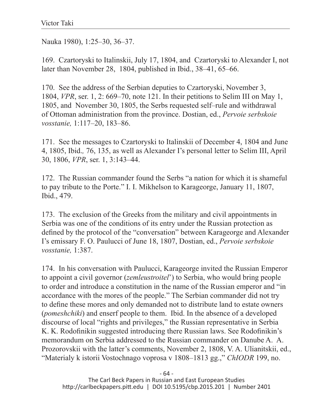Nauka 1980), 1:25–30, 36–37.

169. Czartoryski to Italinskii, July 17, 1804, and Czartoryski to Alexander I, not later than November 28, 1804, published in Ibid., 38–41, 65–66.

170. See the address of the Serbian deputies to Czartoryski, November 3, 1804, *VPR*, ser. 1, 2: 669–70, note 121. In their petitions to Selim III on May 1, 1805, and November 30, 1805, the Serbs requested self–rule and withdrawal of Ottoman administration from the province. Dostian, ed., *Pervoie serbskoie vosstanie,* 1:117–20, 183–86.

171. See the messages to Czartoryski to Italinskii of December 4, 1804 and June 4, 1805, Ibid.*,* 76, 135, as well as Alexander I's personal letter to Selim III, April 30, 1806, *VPR*, ser. 1, 3:143–44.

172. The Russian commander found the Serbs "a nation for which it is shameful to pay tribute to the Porte." I. I. Mikhelson to Karageorge, January 11, 1807, Ibid., 479.

173. The exclusion of the Greeks from the military and civil appointments in Serbia was one of the conditions of its entry under the Russian protection as defined by the protocol of the "conversation" between Karageorge and Alexander I's emissary F. O. Paulucci of June 18, 1807, Dostian, ed., *Pervoie serbskoie vosstanie,* 1:387.

174. In his conversation with Paulucci, Karageorge invited the Russian Emperor to appoint a civil governor (*zemleustroitel*') to Serbia, who would bring people to order and introduce a constitution in the name of the Russian emperor and "in accordance with the mores of the people." The Serbian commander did not try to define these mores and only demanded not to distribute land to estate owners (*pomeshchiki*) and enserf people to them. Ibid. In the absence of a developed discourse of local "rights and privileges," the Russian representative in Serbia K. K. Rodofinikin suggested introducing there Russian laws. See Rodofinikin's memorandum on Serbia addressed to the Russian commander on Danube A. A. Prozorovskii with the latter's comments, November 2, 1808, V. A. Ulianitskii, ed., "Materialy k istorii Vostochnago voprosa v 1808–1813 gg.," *ChIODR* 199, no.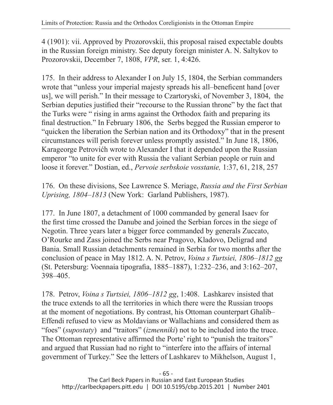4 (1901): vii. Approved by Prozorovskii, this proposal raised expectable doubts in the Russian foreign ministry. See deputy foreign minister A. N. Saltykov to Prozorovskii, December 7, 1808, *VPR*, ser. 1, 4:426.

175. In their address to Alexander I on July 15, 1804, the Serbian commanders wrote that "unless your imperial majesty spreads his all–beneficent hand [over us], we will perish." In their message to Czartoryski, of November 3, 1804, the Serbian deputies justified their "recourse to the Russian throne" by the fact that the Turks were " rising in arms against the Orthodox faith and preparing its final destruction." In February 1806, the Serbs begged the Russian emperor to "quicken the liberation the Serbian nation and its Orthodoxy" that in the present circumstances will perish forever unless promptly assisted." In June 18, 1806, Karageorge Petrovićh wrote to Alexander I that it depended upon the Russian emperor "to unite for ever with Russia the valiant Serbian people or ruin and loose it forever." Dostian, ed., *Pervoie serbskoie vosstanie,* 1:37, 61, 218, 257

176. On these divisions, See Lawrence S. Meriage, *Russia and the First Serbian Uprising, 1804–1813* (New York: Garland Publishers, 1987).

177. In June 1807, a detachment of 1000 commanded by general Isaev for the first time crossed the Danube and joined the Serbian forces in the siege of Negotin. Three years later a bigger force commanded by generals Zuccato, O'Rourke and Zass joined the Serbs near Pragovo, Kladovo, Deligrad and Bania. Small Russian detachments remained in Serbia for two months after the conclusion of peace in May 1812. A. N. Petrov, *Voina s Turtsiei, 1806–1812 gg*  (St. Petersburg: Voennaia tipografia, 1885–1887), 1:232–236, and 3:162–207, 398–405.

178. Petrov, *Voina s Turtsiei, 1806–1812 gg*, 1:408. Lashkarev insisted that the truce extends to all the territories in which there were the Russian troops at the moment of negotiations. By contrast, his Ottoman counterpart Ghalib– Effendi refused to view as Moldavians or Wallachians and considered them as "foes" (*supostaty*) and "traitors" (*izmenniki*) not to be included into the truce. The Ottoman representative affirmed the Porte' right to "punish the traitors" and argued that Russian had no right to "interfere into the affairs of internal government of Turkey." See the letters of Lashkarev to Mikhelson, August 1,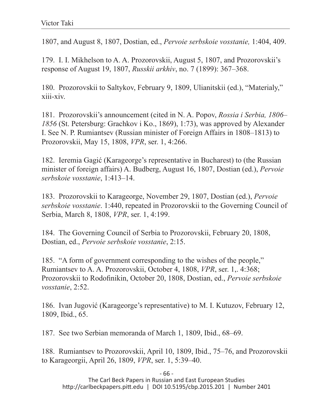1807, and August 8, 1807, Dostian, ed., *Pervoie serbskoie vosstanie,* 1:404, 409.

179. I. I. Mikhelson to A. A. Prozorovskii, August 5, 1807, and Prozorovskii's response of August 19, 1807, *Russkii arkhiv*, no. 7 (1899): 367–368.

180. Prozorovskii to Saltykov, February 9, 1809, Ulianitskii (ed.), "Materialy," xiii-xiv.

181. Prozorovskii's announcement (cited in N. A. Popov, *Rossia i Serbia, 1806– 1856* (St. Petersburg: Grachkov i Ko., 1869), 1:73), was approved by Alexander I. See N. P. Rumiantsev (Russian minister of Foreign Affairs in 1808–1813) to Prozorovskii, May 15, 1808, *VPR*, ser. 1, 4:266.

182. Ieremia Gagić (Karageorge's representative in Bucharest) to (the Russian minister of foreign affairs) A. Budberg, August 16, 1807, Dostian (ed.), *Pervoie serbskoie vosstanie*, 1:413–14.

183. Prozorovskii to Karageorge, November 29, 1807, Dostian (ed.), *Pervoie serbskoie vosstanie*. 1:440, repeated in Prozorovskii to the Governing Council of Serbia, March 8, 1808, *VPR*, ser. 1, 4:199.

184. The Governing Council of Serbia to Prozorovskii, February 20, 1808, Dostian, ed., *Pervoie serbskoie vosstanie*, 2:15.

185. "A form of government corresponding to the wishes of the people," Rumiantsev to A. A. Prozorovskii, October 4, 1808, *VPR*, ser. 1,. 4:368; Prozorovskii to Rodofinikin, October 20, 1808, Dostian, ed., *Pervoie serbskoie vosstanie*, 2:52.

186. Ivan Jugović (Karageorge's representative) to M. I. Kutuzov, February 12, 1809, Ibid., 65.

187. See two Serbian memoranda of March 1, 1809, Ibid., 68–69.

188. Rumiantsev to Prozorovskii, April 10, 1809, Ibid., 75–76, and Prozorovskii to Karageorgii, April 26, 1809, *VPR*, ser. 1, 5:39–40.

- 66 -

The Carl Beck Papers in Russian and East European Studies http://carlbeckpapers.pitt.edu | DOI 10.5195/cbp.2015.201 | Number 2401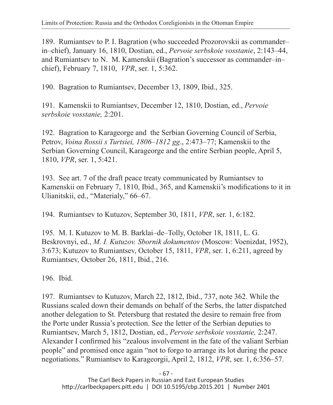189. Rumiantsev to P. I. Bagration (who succeeded Prozorovskii as commander– in–chief), January 16, 1810, Dostian, ed., *Pervoie serbskoie vosstanie*, 2:143–44, and Rumiantsev to N. M. Kamenskii (Bagration's successor as commander–in– chief), February 7, 1810, *VPR*, ser. 1, 5:362.

190. Bagration to Rumiantsev, December 13, 1809, Ibid., 325.

191. Kamenskii to Rumiantsev, December 12, 1810, Dostian, ed., *Pervoie serbskoie vosstanie,* 2:201.

192. Bagration to Karageorge and the Serbian Governing Council of Serbia, Petrov, *Voina Rossii s Turtsiei, 1806–1812 gg*., 2:473–77; Kamenskii to the Serbian Governing Council, Karageorge and the entire Serbian people, April 5, 1810, *VPR*, ser. 1, 5:421.

193. See art. 7 of the draft peace treaty communicated by Rumiantsev to Kamenskii on February 7, 1810, Ibid., 365, and Kamenskii's modifications to it in Ulianitskii, ed., "Materialy," 66–67.

194. Rumiantsev to Kutuzov, September 30, 1811, *VPR*, ser. 1, 6:182.

195. M. I. Kutuzov to M. B. Barklai–de–Tolly, October 18, 1811, L. G. Beskrovnyi, ed., *M. I. Kutuzov. Sbornik dokumentov* (Moscow: Voenizdat, 1952), 3:673; Kutuzov to Rumiantsev, October 15, 1811, *VPR*, ser. 1, 6:211, agreed by Rumiantsev, October 26, 1811, Ibid., 216.

196. Ibid.

197. Rumiantsev to Kutuzov, March 22, 1812, Ibid., 737, note 362. While the Russians scaled down their demands on behalf of the Serbs, the latter dispatched another delegation to St. Petersburg that restated the desire to remain free from the Porte under Russia's protection. See the letter of the Serbian deputies to Rumiantsev, March 5, 1812, Dostian, ed., *Pervoie serbskoie vosstanie,* 2:247. Alexander I confirmed his "zealous involvement in the fate of the valiant Serbian people" and promised once again "not to forgo to arrange its lot during the peace negotiations." Rumiantsev to Karageorgii, April 2, 1812, *VPR*, ser. 1, 6:356–57.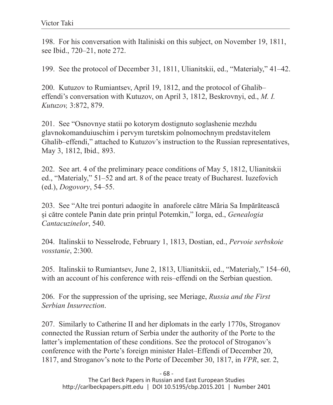198. For his conversation with Italiniski on this subject, on November 19, 1811, see Ibid., 720–21, note 272.

199. See the protocol of December 31, 1811, Ulianitskii, ed., "Materialy," 41–42.

200. Kutuzov to Rumiantsev, April 19, 1812, and the protocol of Ghalib– effendi's conversation with Kutuzov, on April 3, 1812, Beskrovnyi, ed., *M. I. Kutuzov,* 3:872, 879.

201. See "Osnovnye statii po kotorym dostignuto soglashenie mezhdu glavnokomanduiuschim i pervym turetskim polnomochnym predstavitelem Ghalib–effendi," attached to Kutuzov's instruction to the Russian representatives, May 3, 1812, Ibid.*,* 893.

202. See art. 4 of the preliminary peace conditions of May 5, 1812, Ulianitskii ed., "Materialy," 51–52 and art. 8 of the peace treaty of Bucharest. Iuzefovich (ed.), *Dogovory*, 54–55.

203. See "Alte trei ponturi adaogite în anaforele către Măria Sa Impărătească și către contele Panin date prin prințul Potemkin," Iorga, ed., *Genealogia Cantacuzinelor*, 540.

204. Italinskii to Nesselrode, February 1, 1813, Dostian, ed., *Pervoie serbskoie vosstanie*, 2:300.

205. Italinskii to Rumiantsev, June 2, 1813, Ulianitskii, ed., "Materialy," 154–60, with an account of his conference with reis–effendi on the Serbian question.

206. For the suppression of the uprising, see Meriage, *Russia and the First Serbian Insurrection*.

207. Similarly to Catherine II and her diplomats in the early 1770s, Stroganov connected the Russian return of Serbia under the authority of the Porte to the latter's implementation of these conditions. See the protocol of Stroganov's conference with the Porte's foreign minister Halet–Effendi of December 20, 1817, and Stroganov's note to the Porte of December 30, 1817, in *VPR*, ser. 2,

- 68 -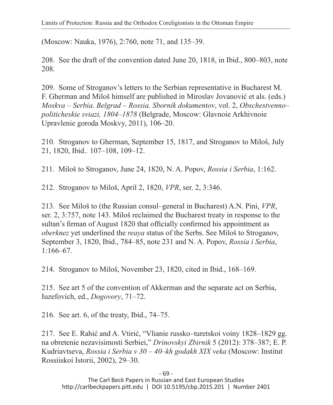(Moscow: Nauka, 1976), 2:760, note 71, and 135–39.

208. See the draft of the convention dated June 20, 1818, in Ibid., 800–803, note 208.

209. Some of Stroganov's letters to the Serbian representative in Bucharest M. F. Gherman and Miloš himself are published in Miroslav Jovanović et als. (eds.) *Moskva – Serbia. Belgrad – Rossia. Sbornik dokumentov*, vol. 2, *Obschestvenno– politicheskie sviazi, 1804–1878* (Belgrade, Moscow: Glavnoie Arkhivnoie Upravlenie goroda Moskvy, 2011), 106–20.

210. Stroganov to Gherman, September 15, 1817, and Stroganov to Miloš, July 21, 1820, Ibid.*.* 107–108, 109–12.

211. Miloš to Stroganov, June 24, 1820, N. A. Popov, *Rossia i Serbia*, 1:162.

212. Stroganov to Miloš, April 2, 1820, *VPR*, ser. 2, 3:346.

213. See Miloš to (the Russian consul–general in Bucharest) A.N. Pini, *VPR*, ser. 2, 3:757, note 143. Miloš reclaimed the Bucharest treaty in response to the sultan's firman of August 1820 that officially confirmed his appointment as *oberknez* yet underlined the *reaya* status of the Serbs. See Miloš to Stroganov, September 3, 1820, Ibid., 784–85, note 231 and N. A. Popov, *Rossia i Serbia*, 1:166–67.

214. Stroganov to Miloš, November 23, 1820, cited in Ibid., 168–169.

215. See art 5 of the convention of Akkerman and the separate act on Serbia, Iuzefovich, ed., *Dogovory*, 71–72.

216. See art. 6, of the treaty, Ibid., 74–75.

217. See E. Rahić and A. Vtirić, "Vlianie russko–turetskoi voiny 1828–1829 gg. na obretenie nezavisimosti Serbiei," *Drinovskyi Zbirnik* 5 (2012): 378–387; E. P. Kudriavtseva, *Rossia i Serbia v 30 – 40–kh godakh XIX veka* (Moscow: Institut Rossiiskoi Istorii, 2002), 29–30.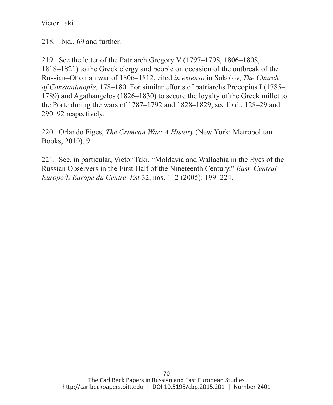218. Ibid., 69 and further.

219. See the letter of the Patriarch Gregory V (1797–1798, 1806–1808, 1818–1821) to the Greek clergy and people on occasion of the outbreak of the Russian–Ottoman war of 1806–1812, cited *in extenso* in Sokolov, *The Church of Constantinople*, 178–180. For similar efforts of patriarchs Procopius I (1785– 1789) and Agathangelos (1826–1830) to secure the loyalty of the Greek millet to the Porte during the wars of 1787–1792 and 1828–1829, see Ibid., 128–29 and 290–92 respectively.

220. Orlando Figes, *The Crimean War: A History* (New York: Metropolitan Books, 2010), 9.

221. See, in particular, Victor Taki, "Moldavia and Wallachia in the Eyes of the Russian Observers in the First Half of the Nineteenth Century," *East–Central Europe/L'Europe du Centre–Est* 32, nos. 1–2 (2005): 199–224.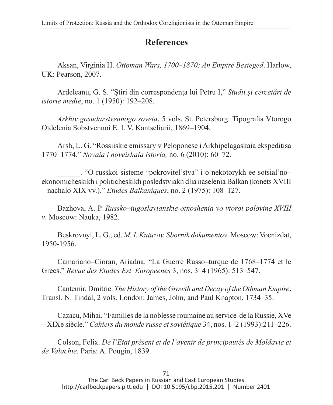## **References**

Aksan, Virginia H. *Ottoman Wars, 1700–1870: An Empire Besieged*. Harlow, UK: Pearson, 2007.

Ardeleanu, G. S. "Știri din correspondența lui Petru I," *Studii și cercetări de istorie medie*, no. 1 (1950): 192–208.

*Arkhiv gosudarstvennogo soveta*. 5 vols. St. Petersburg: Tipografia Vtorogo Otdelenia Sobstvennoi E. I. V. Kantseliarii, 1869–1904.

Arsh, L. G. "Rossiiskie emissary v Peloponese i Arkhipelagaskaia ekspeditisa 1770–1774." *Novaia i noveishaia istoria,* no. 6 (2010): 60–72.

\_\_\_\_\_\_. "O russkoi sisteme "pokrovitel'stva" i o nekotorykh ee sotsial'no– ekonomicheskikh i politicheskikh posledstviakh dlia naselenia Balkan (konets XVIII – nachalo XIX vv.)." *Etudes Balkaniques*, no. 2 (1975): 108–127.

Bazhova, A. P. *Russko–iugoslavianskie otnoshenia vo vtoroi polovine XVIII v*. Moscow: Nauka, 1982.

Beskrovnyi, L. G., ed. *M. I. Kutuzov. Sbornik dokumentov*. Moscow: Voenizdat, 1950-1956.

Camariano–Cioran, Ariadna. "La Guerre Russo–turque de 1768–1774 et le Grecs." *Revue des Etudes Est–Européenes* 3, nos. 3–4 (1965): 513–547.

Cantemir, Dmitrie. *The History of the Growth and Decay of the Othman Empire***.**  Transl. N. Tindal, 2 vols. London: James, John, and Paul Knapton, 1734–35.

Cazacu, Mihai. "Familles de la noblesse roumaine au service de la Russie, XVe – XIXe siècle." *Cahiers du monde russe et soviétique* 34, nos. 1–2 (1993):211–226.

Colson, Felix. *De l'Etat présent et de l'avenir de principautés de Moldavie et de Valachie*. Paris: A. Pougin, 1839.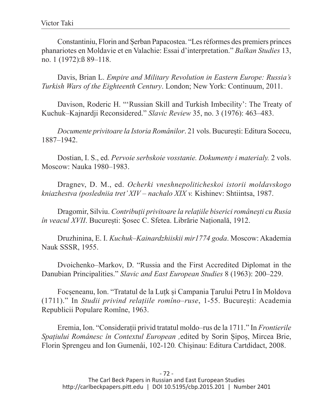Constantiniu, Florin and Șerban Papacostea. "Les réformes des premiers princes phanariotes en Moldavie et en Valachie: Essai d'interpretation." *Balkan Studies* 13, no. 1 (1972):ß 89–118.

Davis, Brian L. *Empire and Military Revolution in Eastern Europe: Russia's Turkish Wars of the Eighteenth Century*. London; New York: Continuum, 2011.

Davison, Roderic H. "'Russian Skill and Turkish Imbecility': The Treaty of Kuchuk–Kajnardji Reconsidered." *Slavic Review* 35, no. 3 (1976): 463–483.

*Documente privitoare la Istoria Românilor*. 21 vols. București: Editura Socecu, 1887–1942.

Dostian, I. S., ed. *Pervoie serbskoie vosstanie. Dokumenty i materialy.* 2 vols. Moscow: Nauka 1980–1983.

Dragnev, D. M., ed. *Ocherki vneshnepoliticheskoi istorii moldavskogo kniazhestva (posledniia tret' XIV – nachalo XIX v.* Kishinev: Shtiintsa, 1987.

Dragomir, Silviu. *Contribuții privitoare la relațiile biserici românești cu Rusia în veacul XVII*. București: Șosec C. Sfetea. Librărie Națională, 1912.

Druzhinina, E. I. *Kuchuk–Kainardzhiiskii mir1774 goda*. Moscow: Akademia Nauk SSSR, 1955.

Dvoichenko–Markov, D. "Russia and the First Accredited Diplomat in the Danubian Principalities." *Slavic and East European Studies* 8 (1963): 200–229.

Focșeneanu, Ion. "Tratatul de la Luțk și Campania Țarului Petru I în Moldova (1711)." In *Studii privind relațiile romîno–ruse*, 1-55. București: Academia Republicii Populare Romîne, 1963.

Eremia, Ion. "Considerații privid tratatul moldo–rus de la 1711." In *Frontierile Spațiului Românesc în Contextul European ,*edited by Sorin Șipoș, Mircea Brie, Florin Șprengeu and Ion Gumenâi, 102-120*.* Chișinau: Editura Cartdidact, 2008.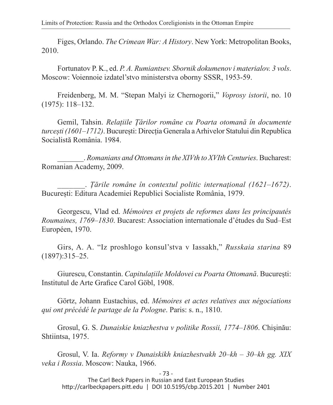Figes, Orlando. *The Crimean War: A History*. New York: Metropolitan Books, 2010.

Fortunatov P. K., ed. *P. A. Rumiantsev. Sbornik dokumenov i materialov. 3 vols*. Moscow: Voiennoie izdatel'stvo ministerstva oborny SSSR, 1953-59.

Freidenberg, M. M. "Stepan Malyi iz Chernogorii," *Voprosy istorii*, no. 10 (1975): 118–132.

Gemil, Tahsin. *Relațiile Țărilor române cu Poarta otomană în documente turcești (1601–1712)*. București: Direcția Generala a Arhivelor Statului din Republica Socialistă România. 1984.

\_\_\_\_\_\_\_. *Romanians and Ottomans in the XIVth to XVIth Centuries*. Bucharest: Romanian Academy, 2009.

\_\_\_\_\_\_\_. *Țările române în contextul politic internațional (1621–1672)*. București: Editura Academiei Republici Socialiste România, 1979.

Georgescu, Vlad ed. *Mémoires et projets de reformes dans les principautés Roumaines, 1769–1830*. Bucarest: Association internationale d'études du Sud–Est Européen, 1970.

Girs, A. A. "Iz proshlogo konsul'stva v Iassakh," *Russkaia starina* 89 (1897):315–25.

Giurescu, Constantin. *Capitulațiile Moldovei cu Poarta Ottomană*. București: Institutul de Arte Grafice Carol Göbl, 1908.

Görtz, Johann Eustachius, ed. *Mémoires et actes relatives aux négociations qui ont précédé le partage de la Pologne*. Paris: s. n., 1810.

Grosul, G. S. *Dunaiskie kniazhestva v politike Rossii, 1774–1806*. Chişinău: Shtiintsa, 1975.

Grosul, V. Ia. *Reformy v Dunaiskikh kniazhestvakh 20–kh – 30–kh gg. XIX veka i Rossia*. Moscow: Nauka, 1966.

- 73 -

The Carl Beck Papers in Russian and East European Studies http://carlbeckpapers.pitt.edu | DOI 10.5195/cbp.2015.201 | Number 2401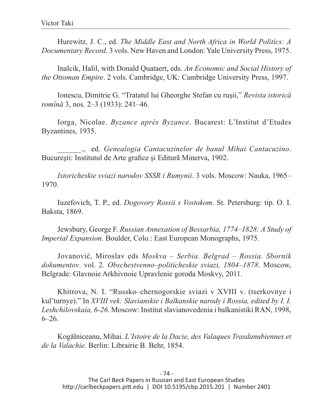Hurewitz, J. C., ed. *The Middle East and North Africa in World Politics: A Documentary Record*. 3 vols. New Haven and London: Yale University Press, 1975.

Inalcik, Halil, with Donald Quataert, eds. *An Economic and Social History of the Ottoman Empire*. 2 vols. Cambridge, UK: Cambridge University Press, 1997.

Ionescu, Dimitrie G. "Tratatul lui Gheorghe Stefan cu rușii," *Revista istorică romînă* 3, nos. 2–3 (1933): 241–46.

Iorga, Nicolae. *Byzance après Byzance*. Bucarest: L'Institut d'Etudes Byzantines, 1935.

\_\_\_\_\_\_., ed. *Genealogia Cantacuzinelor de banul Mihai Cantacuzino*. București: Institutul de Arte grafice și Editură Minerva, 1902.

*Istoricheskie sviazi narodov SSSR i Rumynii*. 3 vols. Moscow: Nauka, 1965– 1970.

Iuzefovich, T. P., ed. *Dogovory Rossii s Vostokom*. St. Petersburg: tip. O. I. Baksta, 1869.

Jewsbury, George F. *Russian Annexation of Bessarbia, 1774–1828: A Study of Imperial Expansion.* Boulder, Colo.: East European Monographs, 1975.

Jovanović, Miroslav eds *Moskva – Serbia. Belgrad – Rossia. Sbornik dokumentov*. vol. 2. *Obschestvenno–politicheskie sviazi, 1804–1878*. Moscow, Belgrade: Glavnoie Arkhivnoie Upravlenie goroda Moskvy, 2011.

Khitrova, N. I. "Russko–chernogorskie sviazi v XVIII v. (tserkovnye i kul'turnye)." In *XVIII vek: Slavianskie i Balkanskie narody i Rossia, edited by I. I. Leshchilovskaia, 6-26*. Moscow: Institut slavianovedenia i balkanistiki RAN, 1998,  $6 - 26.$ 

Kogălniceanu, Mihai. *L'Istoire de la Dacie, des Valaques Trasdanubiennes et de la Valachie.* Berlin: Librairie B. Behr, 1854.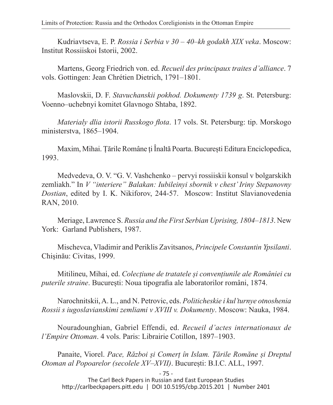Kudriavtseva, E. P. *Rossia i Serbia v 30 – 40–kh godakh XIX veka*. Moscow: Institut Rossiiskoi Istorii, 2002.

Martens, Georg Friedrich von. ed. *Recueil des principaux traites d'alliance*. 7 vols. Gottingen: Jean Chrétien Dietrich, 1791–1801.

Maslovskii, D. F. *Stavuchanskii pokhod. Dokumenty 1739 g*. St. Petersburg: Voenno–uchebnyi komitet Glavnogo Shtaba, 1892.

*Materialy dlia istorii Russkogo flota*. 17 vols. St. Petersburg: tip. Morskogo ministerstva, 1865–1904.

Maxim, Mihai. Țările Române ți Înaltă Poarta. București Editura Enciclopedica, 1993.

Medvedeva, O. V. "G. V. Vashchenko – pervyi rossiiskii konsul v bolgarskikh zemliakh." In *V "interiere" Balakan: Iubileinyi sbornik v chest' Iriny Stepanovny Dostian*, edited by I. K. Nikiforov, 244-57. Moscow: Institut Slavianovedenia RAN, 2010.

Meriage, Lawrence S. *Russia and the First Serbian Uprising, 1804–1813*. New York: Garland Publishers, 1987.

Mischevca, Vladimir and Periklis Zavitsanos, *Principele Constantin Ypsilanti*. Chişinău: Civitas, 1999.

Mitilineu, Mihai, ed. *Colecțiune de tratatele și convențiunile ale României cu puterile straine*. București: Noua tipografia ale laboratorilor români, 1874.

Narochnitskii, A. L., and N. Petrovic, eds. *Politicheskie i kul'turnye otnoshenia Rossii s iugoslavianskimi zemliami v XVIII v. Dokumenty*. Moscow: Nauka, 1984.

Nouradounghian, Gabriel Effendi, ed. *Recueil d'actes internationaux de l'Empire Ottoman*. 4 vols. Paris: Librairie Cotillon, 1897–1903.

Panaite, Viorel. *Pace, Război și Comerț în Islam. Țările Romăne și Dreptul Otoman al Popoarelor (secolele XV–XVII)*. București: B.I.C. ALL, 1997.

- 75 -

The Carl Beck Papers in Russian and East European Studies http://carlbeckpapers.pitt.edu | DOI 10.5195/cbp.2015.201 | Number 2401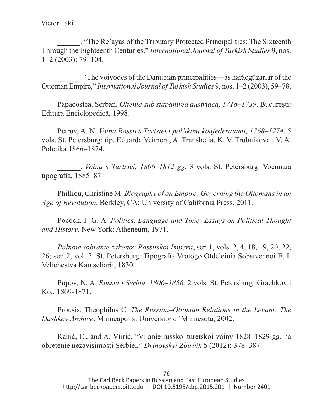\_\_\_\_\_\_. "The Re'ayas of the Tributary Protected Principalities: The Sixteenth Through the Eighteenth Centuries." *International Journal of Turkish Studies* 9, nos. 1–2 (2003): 79–104.

\_\_\_\_\_\_. "The voivodes of the Danubian principalities—as harâcgüzarlar of the Ottoman Empire," *International Journal of Turkish Studies* 9, nos. 1–2 (2003), 59–78.

Papacostea, Şerban. *Oltenia sub stapânirea austriaca, 1718–1739*. București: Editura Enciclopedică, 1998.

Petrov, A. N. *Voina Rossii s Turtsiei i pol'skimi konfederatami, 1768–1774*. 5 vols. St. Petersburg: tip. Eduarda Veimera, A. Transhelia, K. V. Trubnikova i V. A. Poletika 1866–1874.

\_\_\_\_\_\_. *Voina s Turtsiei, 1806–1812 gg.* 3 vols. St. Petersburg: Voennaia tipografia, 1885–87.

Philliou, Christine M. *Biography of an Empire: Governing the Ottomans in an Age of Revolution*. Berkley, CA: University of California Press, 2011.

Pocock, J. G. A. *Politics, Language and Time: Essays on Political Thought and History*. New York: Atheneum, 1971.

*Polnoie sobranie zakonov Rossiiskoi Imperii*, ser. 1, vols. 2, 4, 18, 19, 20, 22, 26; ser. 2, vol. 3. St. Petersburg: Tipografia Vrotogo Otdeleinia Sobstvennoi E. I. Velichestva Kantseliarii, 1830.

Popov, N. A. *Rossia i Serbia, 1806–1856.* 2 vols. St. Petersburg: Grachkov i Ko., 1869-1871.

Prousis, Theophilus C. *The Russian–Ottoman Relations in the Levant: The Dashkov Archive*. Minneapolis: University of Minnesota, 2002.

Rahić, E., and A. Vtirić, "Vlianie russko–turetskoi voiny 1828–1829 gg. na obretenie nezavisimosti Serbiei," *Drinovskyi Zbirnik* 5 (2012): 378–387.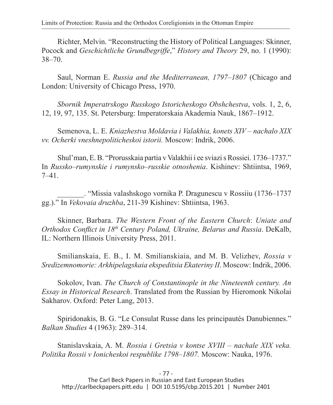Richter, Melvin. "Reconstructing the History of Political Languages: Skinner, Pocock and *Geschichtliche Grundbegriffe*," *History and Theory* 29, no. 1 (1990): 38–70.

Saul, Norman E. *Russia and the Mediterranean, 1797–1807* (Chicago and London: University of Chicago Press, 1970.

*Sbornik Imperatrskogo Russkogo Istoricheskogo Obshchestva*, vols. 1, 2, 6, 12, 19, 97, 135. St. Petersburg: Imperatorskaia Akademia Nauk, 1867–1912.

Semenova, L. E. *Kniazhestva Moldavia i Valakhia, konets XIV – nachalo XIX vv. Ocherki vneshnepoliticheskoi istorii.* Moscow: Indrik, 2006.

Shul'man, E. B. "Prorusskaia partia v Valakhii i ee sviazi s Rossiei. 1736–1737." In *Russko–rumynskie i rumynsko–russkie otnoshenia*. Kishinev: Shtiintsa, 1969, 7–41.

\_\_\_\_\_\_\_. "Missia valashskogo vornika P. Dragunescu v Rossiiu (1736–1737 gg.)." In *Vekovaia druzhba*, 211-39 Kishinev: Shtiintsa, 1963.

Skinner, Barbara. *The Western Front of the Eastern Church*: *Uniate and Orthodox Conflict in 18th Century Poland, Ukraine, Belarus and Russia*. DeKalb, IL: Northern Illinois University Press, 2011.

Smilianskaia, E. B., I. M. Smilianskiaia, and M. B. Velizhev, *Rossia v Sredizemnomorie: Arkhipelagskaia ekspeditsia Ekateriny II*. Moscow: Indrik, 2006.

Sokolov, Ivan. *The Church of Constantinople in the Nineteenth century. An Essay in Historical Research*. Translated from the Russian by Hieromonk Nikolai Sakharov. Oxford: Peter Lang, 2013.

Spiridonakis, B. G. "Le Consulat Russe dans les principautés Danubiennes." *Balkan Studies* 4 (1963): 289–314.

Stanislavskaia, A. M. *Rossia i Gretsia v kontse XVIII – nachale XIX veka. Politika Rossii v Ionicheskoi respublike 1798–1807.* Moscow: Nauka, 1976.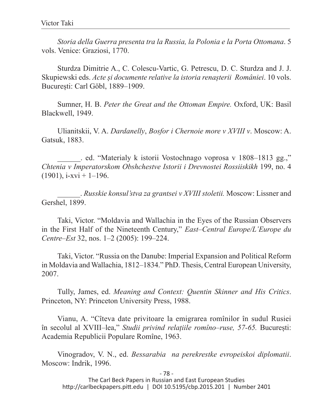*Storia della Guerra presenta tra la Russia, la Polonia e la Porta Ottomana*. 5 vols. Venice: Graziosi, 1770.

Sturdza Dimitrie A., C. Colescu-Vartic, G. Petrescu, D. C. Sturdza and J. J. Skupiewski eds. *Acte și documente relative la istoria renașterii României*. 10 vols. București: Carl Göbl, 1889–1909.

Sumner, H. B. *Peter the Great and the Ottoman Empire.* Oxford, UK: Basil Blackwell, 1949.

Ulianitskii, V. A. *Dardanelly*, *Bosfor i Chernoie more v XVIII v*. Moscow: A. Gatsuk, 1883.

\_\_\_\_\_\_. ed. "Materialy k istorii Vostochnago voprosa v 1808–1813 gg.," *Chtenia v Imperatorskom Obshchestve Istorii i Drevnostei Rossiiskikh* 199, no. 4  $(1901)$ , i-xvi + 1–196.

\_\_\_\_\_\_. *Russkie konsul'stva za grantsei v XVIII stoletii.* Moscow: Lissner and Gershel, 1899.

Taki, Victor. "Moldavia and Wallachia in the Eyes of the Russian Observers in the First Half of the Nineteenth Century," *East–Central Europe/L'Europe du Centre–Est* 32, nos. 1–2 (2005): 199–224.

Taki, Victor. "Russia on the Danube: Imperial Expansion and Political Reform in Moldavia and Wallachia, 1812–1834." PhD. Thesis, Central European University, 2007.

Tully, James, ed. *Meaning and Context: Quentin Skinner and His Critics*. Princeton, NY: Princeton University Press, 1988.

Vianu, A. "Cîteva date privitoare la emigrarea romînilor în sudul Rusiei în secolul al XVIII–lea," *Studii privind relațiile romîno–ruse, 57-65.* București: Academia Republicii Populare Romîne, 1963.

Vinogradov, V. N., ed. *Bessarabia na perekrestke evropeiskoi diplomatii*. Moscow: Indrik, 1996.

- 78 -

The Carl Beck Papers in Russian and East European Studies http://carlbeckpapers.pitt.edu | DOI 10.5195/cbp.2015.201 | Number 2401